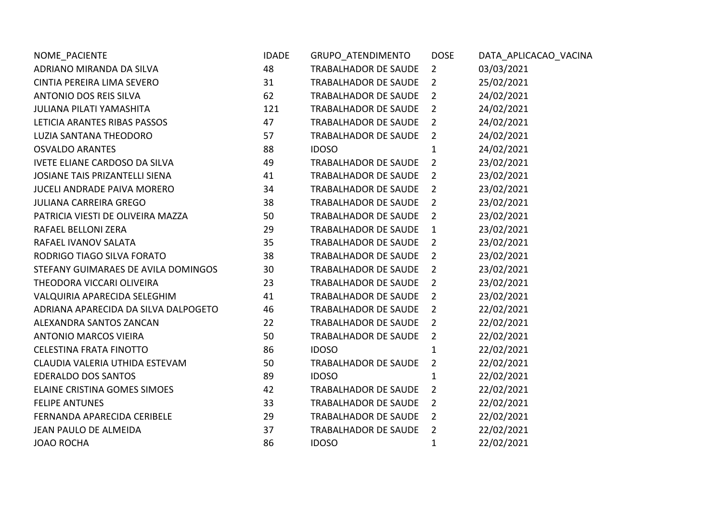| NOME_PACIENTE                        | <b>IDADE</b> | GRUPO ATENDIMENTO           | <b>DOSE</b>    | DATA_APLICACAO_VACINA |
|--------------------------------------|--------------|-----------------------------|----------------|-----------------------|
| ADRIANO MIRANDA DA SILVA             | 48           | <b>TRABALHADOR DE SAUDE</b> | $\overline{2}$ | 03/03/2021            |
| CINTIA PEREIRA LIMA SEVERO           | 31           | <b>TRABALHADOR DE SAUDE</b> | $\overline{2}$ | 25/02/2021            |
| <b>ANTONIO DOS REIS SILVA</b>        | 62           | <b>TRABALHADOR DE SAUDE</b> | $\overline{2}$ | 24/02/2021            |
| <b>JULIANA PILATI YAMASHITA</b>      | 121          | <b>TRABALHADOR DE SAUDE</b> | $\overline{2}$ | 24/02/2021            |
| LETICIA ARANTES RIBAS PASSOS         | 47           | TRABALHADOR DE SAUDE        | $\overline{2}$ | 24/02/2021            |
| LUZIA SANTANA THEODORO               | 57           | <b>TRABALHADOR DE SAUDE</b> | $\overline{2}$ | 24/02/2021            |
| <b>OSVALDO ARANTES</b>               | 88           | <b>IDOSO</b>                | 1              | 24/02/2021            |
| <b>IVETE ELIANE CARDOSO DA SILVA</b> | 49           | <b>TRABALHADOR DE SAUDE</b> | $\overline{2}$ | 23/02/2021            |
| JOSIANE TAIS PRIZANTELLI SIENA       | 41           | TRABALHADOR DE SAUDE        | $\overline{2}$ | 23/02/2021            |
| <b>JUCELI ANDRADE PAIVA MORERO</b>   | 34           | <b>TRABALHADOR DE SAUDE</b> | $\overline{2}$ | 23/02/2021            |
| <b>JULIANA CARREIRA GREGO</b>        | 38           | <b>TRABALHADOR DE SAUDE</b> | $\overline{2}$ | 23/02/2021            |
| PATRICIA VIESTI DE OLIVEIRA MAZZA    | 50           | <b>TRABALHADOR DE SAUDE</b> | $\overline{2}$ | 23/02/2021            |
| RAFAEL BELLONI ZERA                  | 29           | <b>TRABALHADOR DE SAUDE</b> | $\mathbf{1}$   | 23/02/2021            |
| RAFAEL IVANOV SALATA                 | 35           | <b>TRABALHADOR DE SAUDE</b> | $\overline{2}$ | 23/02/2021            |
| RODRIGO TIAGO SILVA FORATO           | 38           | <b>TRABALHADOR DE SAUDE</b> | $\overline{2}$ | 23/02/2021            |
| STEFANY GUIMARAES DE AVILA DOMINGOS  | 30           | <b>TRABALHADOR DE SAUDE</b> | $\overline{2}$ | 23/02/2021            |
| THEODORA VICCARI OLIVEIRA            | 23           | TRABALHADOR DE SAUDE        | $\overline{2}$ | 23/02/2021            |
| VALQUIRIA APARECIDA SELEGHIM         | 41           | <b>TRABALHADOR DE SAUDE</b> | $\overline{2}$ | 23/02/2021            |
| ADRIANA APARECIDA DA SILVA DALPOGETO | 46           | TRABALHADOR DE SAUDE        | $\overline{2}$ | 22/02/2021            |
| ALEXANDRA SANTOS ZANCAN              | 22           | <b>TRABALHADOR DE SAUDE</b> | $\overline{2}$ | 22/02/2021            |
| <b>ANTONIO MARCOS VIEIRA</b>         | 50           | TRABALHADOR DE SAUDE        | $\overline{2}$ | 22/02/2021            |
| <b>CELESTINA FRATA FINOTTO</b>       | 86           | <b>IDOSO</b>                | 1              | 22/02/2021            |
| CLAUDIA VALERIA UTHIDA ESTEVAM       | 50           | TRABALHADOR DE SAUDE        | $\overline{2}$ | 22/02/2021            |
| <b>EDERALDO DOS SANTOS</b>           | 89           | <b>IDOSO</b>                | $\mathbf{1}$   | 22/02/2021            |
| ELAINE CRISTINA GOMES SIMOES         | 42           | <b>TRABALHADOR DE SAUDE</b> | $\overline{2}$ | 22/02/2021            |
| <b>FELIPE ANTUNES</b>                | 33           | TRABALHADOR DE SAUDE        | $\overline{2}$ | 22/02/2021            |
| FERNANDA APARECIDA CERIBELE          | 29           | TRABALHADOR DE SAUDE        | $\overline{2}$ | 22/02/2021            |
| JEAN PAULO DE ALMEIDA                | 37           | TRABALHADOR DE SAUDE        | $\overline{2}$ | 22/02/2021            |
| <b>JOAO ROCHA</b>                    | 86           | <b>IDOSO</b>                | $\mathbf{1}$   | 22/02/2021            |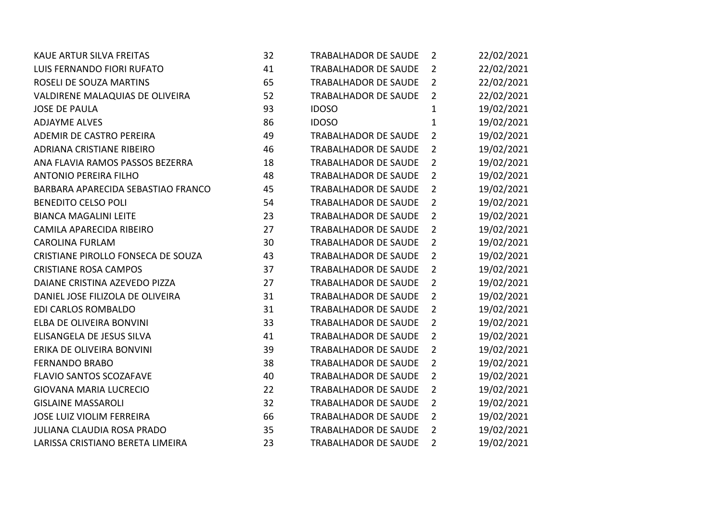| <b>KAUE ARTUR SILVA FREITAS</b>    | 32 | <b>TRABALHADOR DE SAUDE</b> | $\overline{2}$ | 22/02/2021 |
|------------------------------------|----|-----------------------------|----------------|------------|
| LUIS FERNANDO FIORI RUFATO         | 41 | <b>TRABALHADOR DE SAUDE</b> | $\overline{2}$ | 22/02/2021 |
| ROSELI DE SOUZA MARTINS            | 65 | <b>TRABALHADOR DE SAUDE</b> | $\overline{2}$ | 22/02/2021 |
| VALDIRENE MALAQUIAS DE OLIVEIRA    | 52 | <b>TRABALHADOR DE SAUDE</b> | $\overline{2}$ | 22/02/2021 |
| <b>JOSE DE PAULA</b>               | 93 | <b>IDOSO</b>                | $\mathbf{1}$   | 19/02/2021 |
| <b>ADJAYME ALVES</b>               | 86 | <b>IDOSO</b>                | $\mathbf{1}$   | 19/02/2021 |
| ADEMIR DE CASTRO PEREIRA           | 49 | TRABALHADOR DE SAUDE        | $\overline{2}$ | 19/02/2021 |
| ADRIANA CRISTIANE RIBEIRO          | 46 | <b>TRABALHADOR DE SAUDE</b> | $\overline{2}$ | 19/02/2021 |
| ANA FLAVIA RAMOS PASSOS BEZERRA    | 18 | <b>TRABALHADOR DE SAUDE</b> | $\overline{2}$ | 19/02/2021 |
| <b>ANTONIO PEREIRA FILHO</b>       | 48 | <b>TRABALHADOR DE SAUDE</b> | $\overline{2}$ | 19/02/2021 |
| BARBARA APARECIDA SEBASTIAO FRANCO | 45 | <b>TRABALHADOR DE SAUDE</b> | $\overline{2}$ | 19/02/2021 |
| <b>BENEDITO CELSO POLI</b>         | 54 | <b>TRABALHADOR DE SAUDE</b> | $\overline{2}$ | 19/02/2021 |
| <b>BIANCA MAGALINI LEITE</b>       | 23 | <b>TRABALHADOR DE SAUDE</b> | $\overline{2}$ | 19/02/2021 |
| CAMILA APARECIDA RIBEIRO           | 27 | TRABALHADOR DE SAUDE        | $\overline{2}$ | 19/02/2021 |
| <b>CAROLINA FURLAM</b>             | 30 | <b>TRABALHADOR DE SAUDE</b> | $\overline{2}$ | 19/02/2021 |
| CRISTIANE PIROLLO FONSECA DE SOUZA | 43 | <b>TRABALHADOR DE SAUDE</b> | $\overline{2}$ | 19/02/2021 |
| <b>CRISTIANE ROSA CAMPOS</b>       | 37 | <b>TRABALHADOR DE SAUDE</b> | $\overline{2}$ | 19/02/2021 |
| DAIANE CRISTINA AZEVEDO PIZZA      | 27 | TRABALHADOR DE SAUDE        | $\overline{2}$ | 19/02/2021 |
| DANIEL JOSE FILIZOLA DE OLIVEIRA   | 31 | <b>TRABALHADOR DE SAUDE</b> | $\overline{2}$ | 19/02/2021 |
| EDI CARLOS ROMBALDO                | 31 | <b>TRABALHADOR DE SAUDE</b> | $\overline{2}$ | 19/02/2021 |
| ELBA DE OLIVEIRA BONVINI           | 33 | <b>TRABALHADOR DE SAUDE</b> | $\overline{2}$ | 19/02/2021 |
| ELISANGELA DE JESUS SILVA          | 41 | <b>TRABALHADOR DE SAUDE</b> | $\overline{2}$ | 19/02/2021 |
| ERIKA DE OLIVEIRA BONVINI          | 39 | <b>TRABALHADOR DE SAUDE</b> | $\overline{2}$ | 19/02/2021 |
| <b>FERNANDO BRABO</b>              | 38 | <b>TRABALHADOR DE SAUDE</b> | $\overline{2}$ | 19/02/2021 |
| <b>FLAVIO SANTOS SCOZAFAVE</b>     | 40 | <b>TRABALHADOR DE SAUDE</b> | $\overline{2}$ | 19/02/2021 |
| <b>GIOVANA MARIA LUCRECIO</b>      | 22 | <b>TRABALHADOR DE SAUDE</b> | $\overline{2}$ | 19/02/2021 |
| <b>GISLAINE MASSAROLI</b>          | 32 | <b>TRABALHADOR DE SAUDE</b> | $\overline{2}$ | 19/02/2021 |
| <b>JOSE LUIZ VIOLIM FERREIRA</b>   | 66 | <b>TRABALHADOR DE SAUDE</b> | $\overline{2}$ | 19/02/2021 |
| <b>JULIANA CLAUDIA ROSA PRADO</b>  | 35 | <b>TRABALHADOR DE SAUDE</b> | $\overline{2}$ | 19/02/2021 |
| LARISSA CRISTIANO BERETA LIMEIRA   | 23 | <b>TRABALHADOR DE SAUDE</b> | $\overline{2}$ | 19/02/2021 |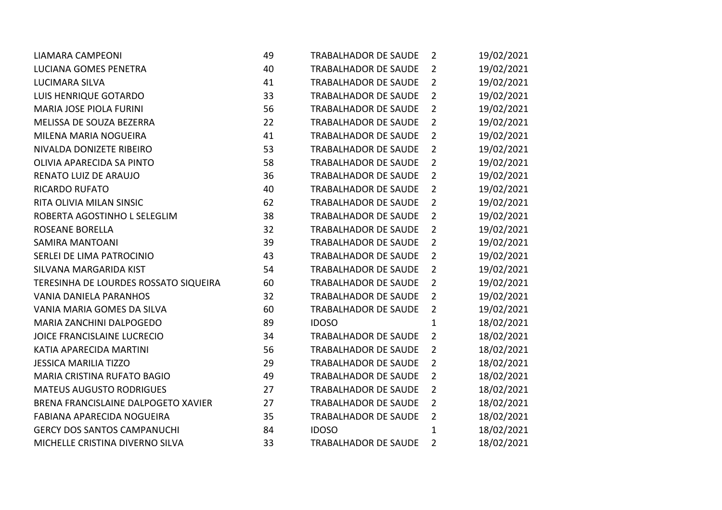| <b>LIAMARA CAMPEONI</b>               | 49 | <b>TRABALHADOR DE SAUDE</b> | $\overline{2}$ | 19/02/2021 |
|---------------------------------------|----|-----------------------------|----------------|------------|
| LUCIANA GOMES PENETRA                 | 40 | <b>TRABALHADOR DE SAUDE</b> | $\overline{2}$ | 19/02/2021 |
| <b>LUCIMARA SILVA</b>                 | 41 | <b>TRABALHADOR DE SAUDE</b> | $\overline{2}$ | 19/02/2021 |
| <b>LUIS HENRIQUE GOTARDO</b>          | 33 | <b>TRABALHADOR DE SAUDE</b> | $\overline{2}$ | 19/02/2021 |
| MARIA JOSE PIOLA FURINI               | 56 | <b>TRABALHADOR DE SAUDE</b> | $\overline{2}$ | 19/02/2021 |
| MELISSA DE SOUZA BEZERRA              | 22 | <b>TRABALHADOR DE SAUDE</b> | $\overline{2}$ | 19/02/2021 |
| MILENA MARIA NOGUEIRA                 | 41 | <b>TRABALHADOR DE SAUDE</b> | $\overline{2}$ | 19/02/2021 |
| NIVALDA DONIZETE RIBEIRO              | 53 | <b>TRABALHADOR DE SAUDE</b> | $\overline{2}$ | 19/02/2021 |
| OLIVIA APARECIDA SA PINTO             | 58 | <b>TRABALHADOR DE SAUDE</b> | $\overline{2}$ | 19/02/2021 |
| RENATO LUIZ DE ARAUJO                 | 36 | <b>TRABALHADOR DE SAUDE</b> | $\overline{2}$ | 19/02/2021 |
| <b>RICARDO RUFATO</b>                 | 40 | <b>TRABALHADOR DE SAUDE</b> | $\overline{2}$ | 19/02/2021 |
| RITA OLIVIA MILAN SINSIC              | 62 | <b>TRABALHADOR DE SAUDE</b> | $\overline{2}$ | 19/02/2021 |
| ROBERTA AGOSTINHO L SELEGLIM          | 38 | <b>TRABALHADOR DE SAUDE</b> | $\overline{2}$ | 19/02/2021 |
| <b>ROSEANE BORELLA</b>                | 32 | <b>TRABALHADOR DE SAUDE</b> | $\overline{2}$ | 19/02/2021 |
| <b>SAMIRA MANTOANI</b>                | 39 | <b>TRABALHADOR DE SAUDE</b> | $\overline{2}$ | 19/02/2021 |
| SERLEI DE LIMA PATROCINIO             | 43 | <b>TRABALHADOR DE SAUDE</b> | $\overline{2}$ | 19/02/2021 |
| SILVANA MARGARIDA KIST                | 54 | <b>TRABALHADOR DE SAUDE</b> | $\overline{2}$ | 19/02/2021 |
| TERESINHA DE LOURDES ROSSATO SIQUEIRA | 60 | TRABALHADOR DE SAUDE        | $\overline{2}$ | 19/02/2021 |
| <b>VANIA DANIELA PARANHOS</b>         | 32 | <b>TRABALHADOR DE SAUDE</b> | $\overline{2}$ | 19/02/2021 |
| VANIA MARIA GOMES DA SILVA            | 60 | <b>TRABALHADOR DE SAUDE</b> | $\overline{2}$ | 19/02/2021 |
| MARIA ZANCHINI DALPOGEDO              | 89 | <b>IDOSO</b>                | $\mathbf{1}$   | 18/02/2021 |
| JOICE FRANCISLAINE LUCRECIO           | 34 | <b>TRABALHADOR DE SAUDE</b> | $\overline{2}$ | 18/02/2021 |
| KATIA APARECIDA MARTINI               | 56 | <b>TRABALHADOR DE SAUDE</b> | $\overline{2}$ | 18/02/2021 |
| <b>JESSICA MARILIA TIZZO</b>          | 29 | <b>TRABALHADOR DE SAUDE</b> | $\overline{2}$ | 18/02/2021 |
| MARIA CRISTINA RUFATO BAGIO           | 49 | <b>TRABALHADOR DE SAUDE</b> | $\overline{2}$ | 18/02/2021 |
| <b>MATEUS AUGUSTO RODRIGUES</b>       | 27 | <b>TRABALHADOR DE SAUDE</b> | $\overline{2}$ | 18/02/2021 |
| BRENA FRANCISLAINE DALPOGETO XAVIER   | 27 | <b>TRABALHADOR DE SAUDE</b> | $\overline{2}$ | 18/02/2021 |
| <b>FABIANA APARECIDA NOGUEIRA</b>     | 35 | <b>TRABALHADOR DE SAUDE</b> | $\overline{2}$ | 18/02/2021 |
| <b>GERCY DOS SANTOS CAMPANUCHI</b>    | 84 | <b>IDOSO</b>                | $\mathbf{1}$   | 18/02/2021 |
| MICHELLE CRISTINA DIVERNO SILVA       | 33 | <b>TRABALHADOR DE SAUDE</b> | $\overline{2}$ | 18/02/2021 |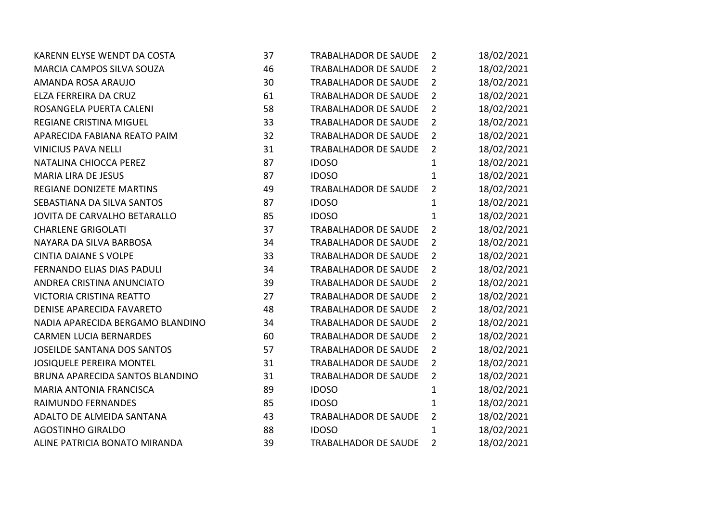| KARENN ELYSE WENDT DA COSTA        | 37 | <b>TRABALHADOR DE SAUDE</b> | $\overline{2}$ | 18/02/2021 |
|------------------------------------|----|-----------------------------|----------------|------------|
| MARCIA CAMPOS SILVA SOUZA          | 46 | TRABALHADOR DE SAUDE        | $\overline{2}$ | 18/02/2021 |
| AMANDA ROSA ARAUJO                 | 30 | TRABALHADOR DE SAUDE        | $\overline{2}$ | 18/02/2021 |
| ELZA FERREIRA DA CRUZ              | 61 | <b>TRABALHADOR DE SAUDE</b> | $\overline{2}$ | 18/02/2021 |
| ROSANGELA PUERTA CALENI            | 58 | TRABALHADOR DE SAUDE        | $\overline{2}$ | 18/02/2021 |
| REGIANE CRISTINA MIGUEL            | 33 | <b>TRABALHADOR DE SAUDE</b> | $\overline{2}$ | 18/02/2021 |
| APARECIDA FABIANA REATO PAIM       | 32 | TRABALHADOR DE SAUDE        | $\overline{2}$ | 18/02/2021 |
| <b>VINICIUS PAVA NELLI</b>         | 31 | <b>TRABALHADOR DE SAUDE</b> | $\overline{2}$ | 18/02/2021 |
| NATALINA CHIOCCA PEREZ             | 87 | <b>IDOSO</b>                | $\mathbf{1}$   | 18/02/2021 |
| <b>MARIA LIRA DE JESUS</b>         | 87 | <b>IDOSO</b>                | 1              | 18/02/2021 |
| <b>REGIANE DONIZETE MARTINS</b>    | 49 | <b>TRABALHADOR DE SAUDE</b> | $\overline{2}$ | 18/02/2021 |
| SEBASTIANA DA SILVA SANTOS         | 87 | <b>IDOSO</b>                | $\mathbf{1}$   | 18/02/2021 |
| JOVITA DE CARVALHO BETARALLO       | 85 | <b>IDOSO</b>                | $\mathbf{1}$   | 18/02/2021 |
| <b>CHARLENE GRIGOLATI</b>          | 37 | <b>TRABALHADOR DE SAUDE</b> | $\overline{2}$ | 18/02/2021 |
| NAYARA DA SILVA BARBOSA            | 34 | TRABALHADOR DE SAUDE        | $\overline{2}$ | 18/02/2021 |
| <b>CINTIA DAIANE S VOLPE</b>       | 33 | TRABALHADOR DE SAUDE        | $\overline{2}$ | 18/02/2021 |
| FERNANDO ELIAS DIAS PADULI         | 34 | <b>TRABALHADOR DE SAUDE</b> | $\overline{2}$ | 18/02/2021 |
| ANDREA CRISTINA ANUNCIATO          | 39 | TRABALHADOR DE SAUDE        | $\overline{2}$ | 18/02/2021 |
| <b>VICTORIA CRISTINA REATTO</b>    | 27 | <b>TRABALHADOR DE SAUDE</b> | $\overline{2}$ | 18/02/2021 |
| DENISE APARECIDA FAVARETO          | 48 | <b>TRABALHADOR DE SAUDE</b> | $\overline{2}$ | 18/02/2021 |
| NADIA APARECIDA BERGAMO BLANDINO   | 34 | <b>TRABALHADOR DE SAUDE</b> | $\overline{2}$ | 18/02/2021 |
| <b>CARMEN LUCIA BERNARDES</b>      | 60 | TRABALHADOR DE SAUDE        | $\overline{2}$ | 18/02/2021 |
| <b>JOSEILDE SANTANA DOS SANTOS</b> | 57 | <b>TRABALHADOR DE SAUDE</b> | $\overline{2}$ | 18/02/2021 |
| JOSIQUELE PEREIRA MONTEL           | 31 | <b>TRABALHADOR DE SAUDE</b> | $\overline{2}$ | 18/02/2021 |
| BRUNA APARECIDA SANTOS BLANDINO    | 31 | TRABALHADOR DE SAUDE        | $\overline{2}$ | 18/02/2021 |
| <b>MARIA ANTONIA FRANCISCA</b>     | 89 | <b>IDOSO</b>                | $\mathbf{1}$   | 18/02/2021 |
| RAIMUNDO FERNANDES                 | 85 | <b>IDOSO</b>                | $\mathbf{1}$   | 18/02/2021 |
| ADALTO DE ALMEIDA SANTANA          | 43 | TRABALHADOR DE SAUDE        | $\overline{2}$ | 18/02/2021 |
| <b>AGOSTINHO GIRALDO</b>           | 88 | <b>IDOSO</b>                | $\mathbf{1}$   | 18/02/2021 |
| ALINE PATRICIA BONATO MIRANDA      | 39 | <b>TRABALHADOR DE SAUDE</b> | $\overline{2}$ | 18/02/2021 |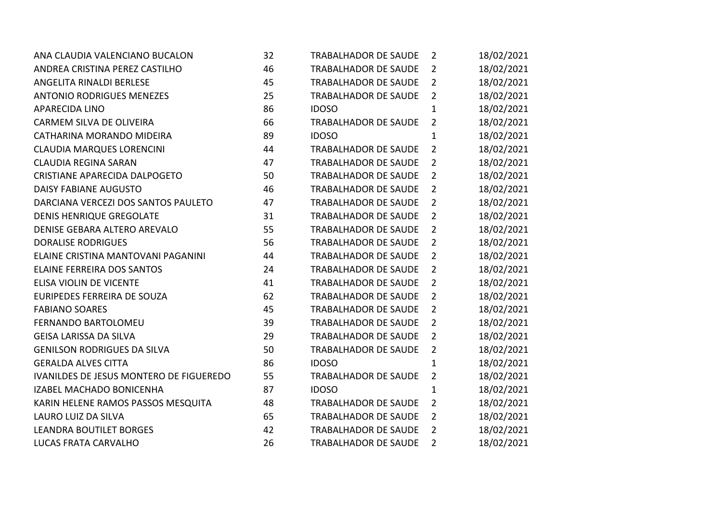| ANA CLAUDIA VALENCIANO BUCALON          | 32 | TRABALHADOR DE SAUDE        | $\overline{2}$ | 18/02/2021 |
|-----------------------------------------|----|-----------------------------|----------------|------------|
| ANDREA CRISTINA PEREZ CASTILHO          | 46 | <b>TRABALHADOR DE SAUDE</b> | $\overline{2}$ | 18/02/2021 |
| ANGELITA RINALDI BERLESE                | 45 | TRABALHADOR DE SAUDE        | $\overline{2}$ | 18/02/2021 |
| <b>ANTONIO RODRIGUES MENEZES</b>        | 25 | <b>TRABALHADOR DE SAUDE</b> | $\overline{2}$ | 18/02/2021 |
| <b>APARECIDA LINO</b>                   | 86 | <b>IDOSO</b>                | $\mathbf{1}$   | 18/02/2021 |
| CARMEM SILVA DE OLIVEIRA                | 66 | TRABALHADOR DE SAUDE        | $\overline{2}$ | 18/02/2021 |
| CATHARINA MORANDO MIDEIRA               | 89 | <b>IDOSO</b>                | $\mathbf{1}$   | 18/02/2021 |
| <b>CLAUDIA MARQUES LORENCINI</b>        | 44 | <b>TRABALHADOR DE SAUDE</b> | $\overline{2}$ | 18/02/2021 |
| <b>CLAUDIA REGINA SARAN</b>             | 47 | <b>TRABALHADOR DE SAUDE</b> | $\overline{2}$ | 18/02/2021 |
| CRISTIANE APARECIDA DALPOGETO           | 50 | <b>TRABALHADOR DE SAUDE</b> | $\overline{2}$ | 18/02/2021 |
| DAISY FABIANE AUGUSTO                   | 46 | <b>TRABALHADOR DE SAUDE</b> | $\overline{2}$ | 18/02/2021 |
| DARCIANA VERCEZI DOS SANTOS PAULETO     | 47 | <b>TRABALHADOR DE SAUDE</b> | $\overline{2}$ | 18/02/2021 |
| <b>DENIS HENRIQUE GREGOLATE</b>         | 31 | <b>TRABALHADOR DE SAUDE</b> | $\overline{2}$ | 18/02/2021 |
| DENISE GEBARA ALTERO AREVALO            | 55 | <b>TRABALHADOR DE SAUDE</b> | $\overline{2}$ | 18/02/2021 |
| <b>DORALISE RODRIGUES</b>               | 56 | <b>TRABALHADOR DE SAUDE</b> | $\overline{2}$ | 18/02/2021 |
| ELAINE CRISTINA MANTOVANI PAGANINI      | 44 | <b>TRABALHADOR DE SAUDE</b> | $\overline{2}$ | 18/02/2021 |
| <b>ELAINE FERREIRA DOS SANTOS</b>       | 24 | <b>TRABALHADOR DE SAUDE</b> | $\overline{2}$ | 18/02/2021 |
| ELISA VIOLIN DE VICENTE                 | 41 | TRABALHADOR DE SAUDE        | $\overline{2}$ | 18/02/2021 |
| EURIPEDES FERREIRA DE SOUZA             | 62 | <b>TRABALHADOR DE SAUDE</b> | $\overline{2}$ | 18/02/2021 |
| <b>FABIANO SOARES</b>                   | 45 | <b>TRABALHADOR DE SAUDE</b> | $\overline{2}$ | 18/02/2021 |
| FERNANDO BARTOLOMEU                     | 39 | TRABALHADOR DE SAUDE        | $\overline{2}$ | 18/02/2021 |
| <b>GEISA LARISSA DA SILVA</b>           | 29 | TRABALHADOR DE SAUDE        | $\overline{2}$ | 18/02/2021 |
| <b>GENILSON RODRIGUES DA SILVA</b>      | 50 | <b>TRABALHADOR DE SAUDE</b> | $2^{\circ}$    | 18/02/2021 |
| <b>GERALDA ALVES CITTA</b>              | 86 | <b>IDOSO</b>                | $\mathbf{1}$   | 18/02/2021 |
| IVANILDES DE JESUS MONTERO DE FIGUEREDO | 55 | <b>TRABALHADOR DE SAUDE</b> | $\overline{2}$ | 18/02/2021 |
| IZABEL MACHADO BONICENHA                | 87 | <b>IDOSO</b>                | $\mathbf{1}$   | 18/02/2021 |
| KARIN HELENE RAMOS PASSOS MESQUITA      | 48 | <b>TRABALHADOR DE SAUDE</b> | $\overline{2}$ | 18/02/2021 |
| LAURO LUIZ DA SILVA                     | 65 | TRABALHADOR DE SAUDE        | $\overline{2}$ | 18/02/2021 |
| <b>LEANDRA BOUTILET BORGES</b>          | 42 | <b>TRABALHADOR DE SAUDE</b> | $\overline{2}$ | 18/02/2021 |
| LUCAS FRATA CARVALHO                    | 26 | <b>TRABALHADOR DE SAUDE</b> | $\overline{2}$ | 18/02/2021 |
|                                         |    |                             |                |            |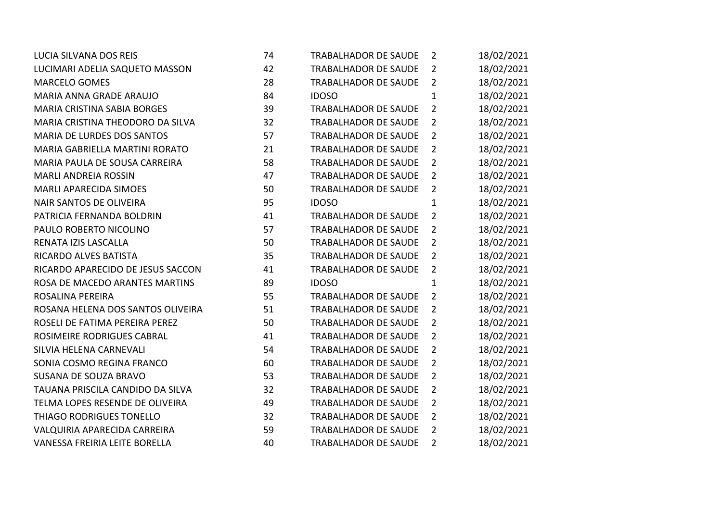| LUCIA SILVANA DOS REIS             | 74 | <b>TRABALHADOR DE SAUDE</b> | $\overline{2}$ | 18/02/2021 |
|------------------------------------|----|-----------------------------|----------------|------------|
| LUCIMARI ADELIA SAQUETO MASSON     | 42 | <b>TRABALHADOR DE SAUDE</b> | $\overline{2}$ | 18/02/2021 |
| <b>MARCELO GOMES</b>               | 28 | TRABALHADOR DE SAUDE        | $\overline{2}$ | 18/02/2021 |
| MARIA ANNA GRADE ARAUJO            | 84 | <b>IDOSO</b>                | $\mathbf{1}$   | 18/02/2021 |
| <b>MARIA CRISTINA SABIA BORGES</b> | 39 | <b>TRABALHADOR DE SAUDE</b> | $\overline{2}$ | 18/02/2021 |
| MARIA CRISTINA THEODORO DA SILVA   | 32 | <b>TRABALHADOR DE SAUDE</b> | $\overline{2}$ | 18/02/2021 |
| MARIA DE LURDES DOS SANTOS         | 57 | <b>TRABALHADOR DE SAUDE</b> | $\overline{2}$ | 18/02/2021 |
| MARIA GABRIELLA MARTINI RORATO     | 21 | TRABALHADOR DE SAUDE        | $\overline{2}$ | 18/02/2021 |
| MARIA PAULA DE SOUSA CARREIRA      | 58 | <b>TRABALHADOR DE SAUDE</b> | $\overline{2}$ | 18/02/2021 |
| <b>MARLI ANDREIA ROSSIN</b>        | 47 | TRABALHADOR DE SAUDE        | $\overline{2}$ | 18/02/2021 |
| <b>MARLI APARECIDA SIMOES</b>      | 50 | TRABALHADOR DE SAUDE        | $\overline{2}$ | 18/02/2021 |
| <b>NAIR SANTOS DE OLIVEIRA</b>     | 95 | <b>IDOSO</b>                | $\mathbf{1}$   | 18/02/2021 |
| PATRICIA FERNANDA BOLDRIN          | 41 | <b>TRABALHADOR DE SAUDE</b> | $\overline{2}$ | 18/02/2021 |
| PAULO ROBERTO NICOLINO             | 57 | <b>TRABALHADOR DE SAUDE</b> | $\overline{2}$ | 18/02/2021 |
| RENATA IZIS LASCALLA               | 50 | <b>TRABALHADOR DE SAUDE</b> | $\overline{2}$ | 18/02/2021 |
| RICARDO ALVES BATISTA              | 35 | TRABALHADOR DE SAUDE        | $\overline{2}$ | 18/02/2021 |
| RICARDO APARECIDO DE JESUS SACCON  | 41 | <b>TRABALHADOR DE SAUDE</b> | $\overline{2}$ | 18/02/2021 |
| ROSA DE MACEDO ARANTES MARTINS     | 89 | <b>IDOSO</b>                | $\mathbf{1}$   | 18/02/2021 |
| ROSALINA PEREIRA                   | 55 | <b>TRABALHADOR DE SAUDE</b> | $\overline{2}$ | 18/02/2021 |
| ROSANA HELENA DOS SANTOS OLIVEIRA  | 51 | TRABALHADOR DE SAUDE        | $\overline{2}$ | 18/02/2021 |
| ROSELI DE FATIMA PEREIRA PEREZ     | 50 | <b>TRABALHADOR DE SAUDE</b> | $\overline{2}$ | 18/02/2021 |
| ROSIMEIRE RODRIGUES CABRAL         | 41 | TRABALHADOR DE SAUDE        | $\overline{2}$ | 18/02/2021 |
| SILVIA HELENA CARNEVALI            | 54 | <b>TRABALHADOR DE SAUDE</b> | $\overline{2}$ | 18/02/2021 |
| SONIA COSMO REGINA FRANCO          | 60 | TRABALHADOR DE SAUDE        | $\overline{2}$ | 18/02/2021 |
| SUSANA DE SOUZA BRAVO              | 53 | <b>TRABALHADOR DE SAUDE</b> | $\overline{2}$ | 18/02/2021 |
| TAUANA PRISCILA CANDIDO DA SILVA   | 32 | <b>TRABALHADOR DE SAUDE</b> | $\overline{2}$ | 18/02/2021 |
| TELMA LOPES RESENDE DE OLIVEIRA    | 49 | <b>TRABALHADOR DE SAUDE</b> | $\overline{2}$ | 18/02/2021 |
| THIAGO RODRIGUES TONELLO           | 32 | TRABALHADOR DE SAUDE        | $\overline{2}$ | 18/02/2021 |
| VALQUIRIA APARECIDA CARREIRA       | 59 | <b>TRABALHADOR DE SAUDE</b> | $\overline{2}$ | 18/02/2021 |
| VANESSA FREIRIA LEITE BORELLA      | 40 | <b>TRABALHADOR DE SAUDE</b> | $\overline{2}$ | 18/02/2021 |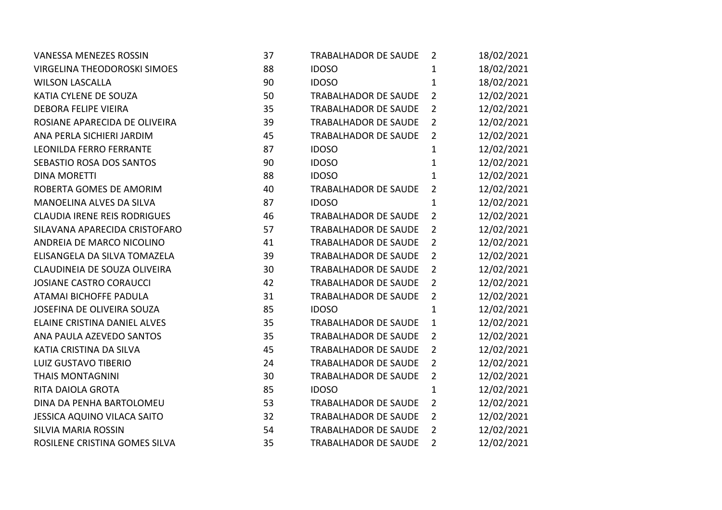| <b>VANESSA MENEZES ROSSIN</b>       | 37 | TRABALHADOR DE SAUDE        | $\overline{2}$ | 18/02/2021 |
|-------------------------------------|----|-----------------------------|----------------|------------|
| VIRGELINA THEODOROSKI SIMOES        | 88 | <b>IDOSO</b>                | $\mathbf{1}$   | 18/02/2021 |
| <b>WILSON LASCALLA</b>              | 90 | <b>IDOSO</b>                | $\mathbf{1}$   | 18/02/2021 |
| KATIA CYLENE DE SOUZA               | 50 | <b>TRABALHADOR DE SAUDE</b> | $\overline{2}$ | 12/02/2021 |
| <b>DEBORA FELIPE VIEIRA</b>         | 35 | <b>TRABALHADOR DE SAUDE</b> | $2^{\circ}$    | 12/02/2021 |
| ROSIANE APARECIDA DE OLIVEIRA       | 39 | TRABALHADOR DE SAUDE        | $2^{\circ}$    | 12/02/2021 |
| ANA PERLA SICHIERI JARDIM           | 45 | TRABALHADOR DE SAUDE        | $\overline{2}$ | 12/02/2021 |
| <b>LEONILDA FERRO FERRANTE</b>      | 87 | <b>IDOSO</b>                | $\mathbf{1}$   | 12/02/2021 |
| SEBASTIO ROSA DOS SANTOS            | 90 | <b>IDOSO</b>                | $\mathbf{1}$   | 12/02/2021 |
| <b>DINA MORETTI</b>                 | 88 | <b>IDOSO</b>                | $\mathbf{1}$   | 12/02/2021 |
| ROBERTA GOMES DE AMORIM             | 40 | <b>TRABALHADOR DE SAUDE</b> | $\overline{2}$ | 12/02/2021 |
| MANOELINA ALVES DA SILVA            | 87 | <b>IDOSO</b>                | $\mathbf{1}$   | 12/02/2021 |
| <b>CLAUDIA IRENE REIS RODRIGUES</b> | 46 | TRABALHADOR DE SAUDE        | $2^{\circ}$    | 12/02/2021 |
| SILAVANA APARECIDA CRISTOFARO       | 57 | TRABALHADOR DE SAUDE        | $\overline{2}$ | 12/02/2021 |
| ANDREIA DE MARCO NICOLINO           | 41 | <b>TRABALHADOR DE SAUDE</b> | $\overline{2}$ | 12/02/2021 |
| ELISANGELA DA SILVA TOMAZELA        | 39 | <b>TRABALHADOR DE SAUDE</b> | $\overline{2}$ | 12/02/2021 |
| CLAUDINEIA DE SOUZA OLIVEIRA        | 30 | <b>TRABALHADOR DE SAUDE</b> | $2^{\circ}$    | 12/02/2021 |
| <b>JOSIANE CASTRO CORAUCCI</b>      | 42 | TRABALHADOR DE SAUDE        | $\overline{2}$ | 12/02/2021 |
| ATAMAI BICHOFFE PADULA              | 31 | TRABALHADOR DE SAUDE        | $\overline{2}$ | 12/02/2021 |
| JOSEFINA DE OLIVEIRA SOUZA          | 85 | <b>IDOSO</b>                | $\mathbf{1}$   | 12/02/2021 |
| ELAINE CRISTINA DANIEL ALVES        | 35 | <b>TRABALHADOR DE SAUDE</b> | $\mathbf{1}$   | 12/02/2021 |
| ANA PAULA AZEVEDO SANTOS            | 35 | TRABALHADOR DE SAUDE        | $2^{\circ}$    | 12/02/2021 |
| KATIA CRISTINA DA SILVA             | 45 | TRABALHADOR DE SAUDE        | $\overline{2}$ | 12/02/2021 |
| LUIZ GUSTAVO TIBERIO                | 24 | TRABALHADOR DE SAUDE        | $\overline{2}$ | 12/02/2021 |
| <b>THAIS MONTAGNINI</b>             | 30 | <b>TRABALHADOR DE SAUDE</b> | $\overline{2}$ | 12/02/2021 |
| RITA DAIOLA GROTA                   | 85 | <b>IDOSO</b>                | $\mathbf{1}$   | 12/02/2021 |
| DINA DA PENHA BARTOLOMEU            | 53 | <b>TRABALHADOR DE SAUDE</b> | $2^{\circ}$    | 12/02/2021 |
| JESSICA AQUINO VILACA SAITO         | 32 | <b>TRABALHADOR DE SAUDE</b> | $\overline{2}$ | 12/02/2021 |
| <b>SILVIA MARIA ROSSIN</b>          | 54 | <b>TRABALHADOR DE SAUDE</b> | $\overline{2}$ | 12/02/2021 |
| ROSILENE CRISTINA GOMES SILVA       | 35 | TRABALHADOR DE SAUDE        | $\overline{2}$ | 12/02/2021 |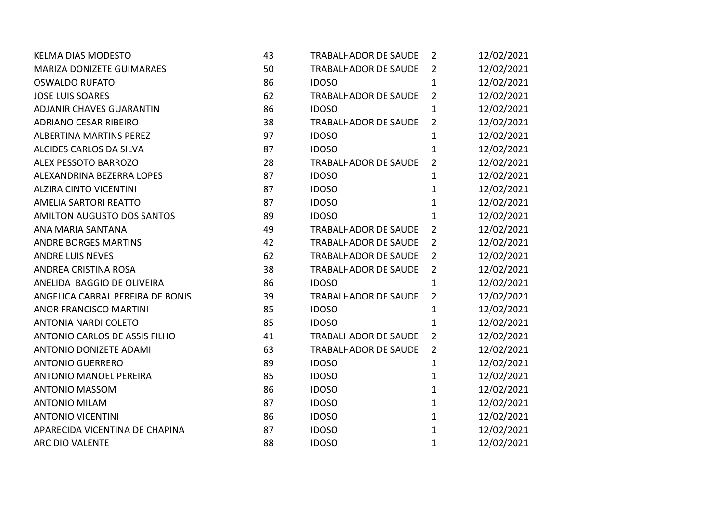| <b>KELMA DIAS MODESTO</b>         | 43 | TRABALHADOR DE SAUDE        | $\overline{2}$ | 12/02/2021 |
|-----------------------------------|----|-----------------------------|----------------|------------|
| MARIZA DONIZETE GUIMARAES         | 50 | TRABALHADOR DE SAUDE        | $2^{\circ}$    | 12/02/2021 |
| <b>OSWALDO RUFATO</b>             | 86 | <b>IDOSO</b>                | $\mathbf{1}$   | 12/02/2021 |
| <b>JOSE LUIS SOARES</b>           | 62 | TRABALHADOR DE SAUDE        | $\overline{2}$ | 12/02/2021 |
| <b>ADJANIR CHAVES GUARANTIN</b>   | 86 | <b>IDOSO</b>                | $\mathbf{1}$   | 12/02/2021 |
| <b>ADRIANO CESAR RIBEIRO</b>      | 38 | <b>TRABALHADOR DE SAUDE</b> | $\overline{2}$ | 12/02/2021 |
| <b>ALBERTINA MARTINS PEREZ</b>    | 97 | <b>IDOSO</b>                | $\mathbf{1}$   | 12/02/2021 |
| ALCIDES CARLOS DA SILVA           | 87 | <b>IDOSO</b>                | $\mathbf{1}$   | 12/02/2021 |
| ALEX PESSOTO BARROZO              | 28 | TRABALHADOR DE SAUDE        | $2^{\circ}$    | 12/02/2021 |
| ALEXANDRINA BEZERRA LOPES         | 87 | <b>IDOSO</b>                | $\mathbf{1}$   | 12/02/2021 |
| <b>ALZIRA CINTO VICENTINI</b>     | 87 | <b>IDOSO</b>                | $\mathbf{1}$   | 12/02/2021 |
| AMELIA SARTORI REATTO             | 87 | <b>IDOSO</b>                | $\mathbf{1}$   | 12/02/2021 |
| <b>AMILTON AUGUSTO DOS SANTOS</b> | 89 | <b>IDOSO</b>                | $\mathbf{1}$   | 12/02/2021 |
| ANA MARIA SANTANA                 | 49 | TRABALHADOR DE SAUDE        | $\overline{2}$ | 12/02/2021 |
| <b>ANDRE BORGES MARTINS</b>       | 42 | <b>TRABALHADOR DE SAUDE</b> | $\overline{2}$ | 12/02/2021 |
| <b>ANDRE LUIS NEVES</b>           | 62 | <b>TRABALHADOR DE SAUDE</b> | $\overline{2}$ | 12/02/2021 |
| ANDREA CRISTINA ROSA              | 38 | TRABALHADOR DE SAUDE        | $2^{\circ}$    | 12/02/2021 |
| ANELIDA BAGGIO DE OLIVEIRA        | 86 | <b>IDOSO</b>                | $\mathbf{1}$   | 12/02/2021 |
| ANGELICA CABRAL PEREIRA DE BONIS  | 39 | <b>TRABALHADOR DE SAUDE</b> | $\overline{2}$ | 12/02/2021 |
| <b>ANOR FRANCISCO MARTINI</b>     | 85 | <b>IDOSO</b>                | $\mathbf{1}$   | 12/02/2021 |
| <b>ANTONIA NARDI COLETO</b>       | 85 | <b>IDOSO</b>                | $\mathbf{1}$   | 12/02/2021 |
| ANTONIO CARLOS DE ASSIS FILHO     | 41 | TRABALHADOR DE SAUDE        | $2^{\circ}$    | 12/02/2021 |
| ANTONIO DONIZETE ADAMI            | 63 | <b>TRABALHADOR DE SAUDE</b> | $2^{\circ}$    | 12/02/2021 |
| <b>ANTONIO GUERRERO</b>           | 89 | <b>IDOSO</b>                | $\mathbf{1}$   | 12/02/2021 |
| <b>ANTONIO MANOEL PEREIRA</b>     | 85 | <b>IDOSO</b>                | $\mathbf{1}$   | 12/02/2021 |
| <b>ANTONIO MASSOM</b>             | 86 | <b>IDOSO</b>                | $\mathbf{1}$   | 12/02/2021 |
| <b>ANTONIO MILAM</b>              | 87 | <b>IDOSO</b>                | $\mathbf{1}$   | 12/02/2021 |
| <b>ANTONIO VICENTINI</b>          | 86 | <b>IDOSO</b>                | $\mathbf{1}$   | 12/02/2021 |
| APARECIDA VICENTINA DE CHAPINA    | 87 | <b>IDOSO</b>                | $\mathbf{1}$   | 12/02/2021 |
| <b>ARCIDIO VALENTE</b>            | 88 | <b>IDOSO</b>                | $\mathbf{1}$   | 12/02/2021 |
|                                   |    |                             |                |            |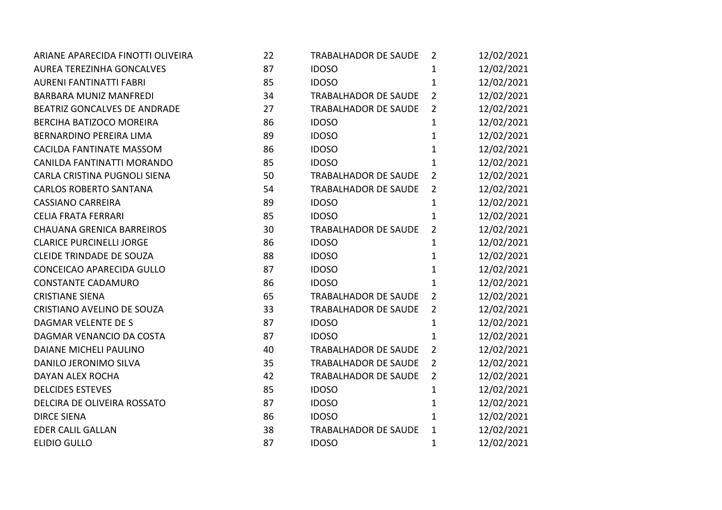| ARIANE APARECIDA FINOTTI OLIVEIRA | 22 | TRABALHADOR DE SAUDE        | 2              | 12/02/2021 |
|-----------------------------------|----|-----------------------------|----------------|------------|
| <b>AUREA TEREZINHA GONCALVES</b>  | 87 | <b>IDOSO</b>                | $\mathbf{1}$   | 12/02/2021 |
| <b>AURENI FANTINATTI FABRI</b>    | 85 | <b>IDOSO</b>                | $\mathbf{1}$   | 12/02/2021 |
| <b>BARBARA MUNIZ MANFREDI</b>     | 34 | <b>TRABALHADOR DE SAUDE</b> | $\overline{2}$ | 12/02/2021 |
| BEATRIZ GONCALVES DE ANDRADE      | 27 | <b>TRABALHADOR DE SAUDE</b> | $\overline{2}$ | 12/02/2021 |
| BERCIHA BATIZOCO MOREIRA          | 86 | <b>IDOSO</b>                | $\mathbf{1}$   | 12/02/2021 |
| BERNARDINO PEREIRA LIMA           | 89 | <b>IDOSO</b>                | $\mathbf{1}$   | 12/02/2021 |
| CACILDA FANTINATE MASSOM          | 86 | <b>IDOSO</b>                | 1              | 12/02/2021 |
| CANILDA FANTINATTI MORANDO        | 85 | <b>IDOSO</b>                | $\mathbf{1}$   | 12/02/2021 |
| CARLA CRISTINA PUGNOLI SIENA      | 50 | <b>TRABALHADOR DE SAUDE</b> | $\overline{2}$ | 12/02/2021 |
| <b>CARLOS ROBERTO SANTANA</b>     | 54 | <b>TRABALHADOR DE SAUDE</b> | $\overline{2}$ | 12/02/2021 |
| <b>CASSIANO CARREIRA</b>          | 89 | <b>IDOSO</b>                | $\mathbf{1}$   | 12/02/2021 |
| <b>CELIA FRATA FERRARI</b>        | 85 | <b>IDOSO</b>                | $\mathbf{1}$   | 12/02/2021 |
| <b>CHAUANA GRENICA BARREIROS</b>  | 30 | <b>TRABALHADOR DE SAUDE</b> | $2^{\circ}$    | 12/02/2021 |
| <b>CLARICE PURCINELLI JORGE</b>   | 86 | <b>IDOSO</b>                | $\mathbf{1}$   | 12/02/2021 |
| <b>CLEIDE TRINDADE DE SOUZA</b>   | 88 | <b>IDOSO</b>                | $\mathbf 1$    | 12/02/2021 |
| CONCEICAO APARECIDA GULLO         | 87 | <b>IDOSO</b>                | $\mathbf{1}$   | 12/02/2021 |
| <b>CONSTANTE CADAMURO</b>         | 86 | <b>IDOSO</b>                | 1              | 12/02/2021 |
| <b>CRISTIANE SIENA</b>            | 65 | <b>TRABALHADOR DE SAUDE</b> | $\overline{2}$ | 12/02/2021 |
| CRISTIANO AVELINO DE SOUZA        | 33 | <b>TRABALHADOR DE SAUDE</b> | $2^{\circ}$    | 12/02/2021 |
| <b>DAGMAR VELENTE DE S</b>        | 87 | <b>IDOSO</b>                | $\mathbf{1}$   | 12/02/2021 |
| DAGMAR VENANCIO DA COSTA          | 87 | <b>IDOSO</b>                | $\mathbf{1}$   | 12/02/2021 |
| <b>DAIANE MICHELI PAULINO</b>     | 40 | <b>TRABALHADOR DE SAUDE</b> | $\overline{2}$ | 12/02/2021 |
| DANILO JERONIMO SILVA             | 35 | <b>TRABALHADOR DE SAUDE</b> | $\overline{2}$ | 12/02/2021 |
| DAYAN ALEX ROCHA                  | 42 | <b>TRABALHADOR DE SAUDE</b> | $\overline{2}$ | 12/02/2021 |
| <b>DELCIDES ESTEVES</b>           | 85 | <b>IDOSO</b>                | $\mathbf{1}$   | 12/02/2021 |
| DELCIRA DE OLIVEIRA ROSSATO       | 87 | <b>IDOSO</b>                | $\mathbf{1}$   | 12/02/2021 |
| <b>DIRCE SIENA</b>                | 86 | <b>IDOSO</b>                | $\mathbf{1}$   | 12/02/2021 |
| <b>EDER CALIL GALLAN</b>          | 38 | TRABALHADOR DE SAUDE        | $\mathbf{1}$   | 12/02/2021 |
| <b>ELIDIO GULLO</b>               | 87 | <b>IDOSO</b>                | $\mathbf 1$    | 12/02/2021 |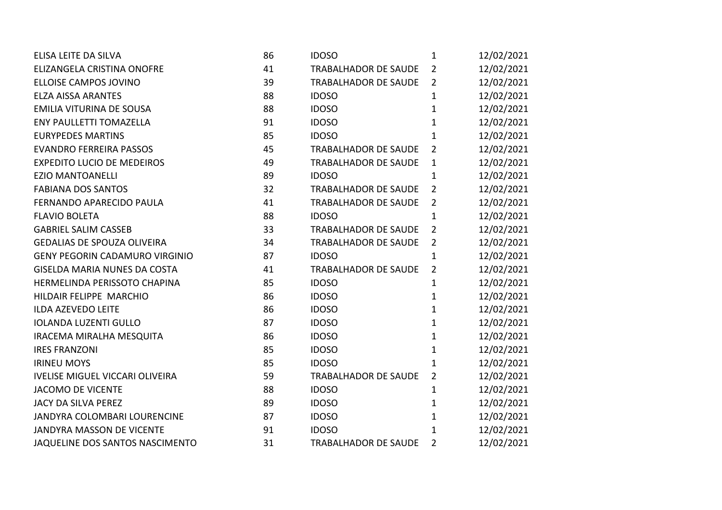| ELISA LEITE DA SILVA                   | 86 | <b>IDOSO</b>                | $\mathbf{1}$   | 12/02/2021 |
|----------------------------------------|----|-----------------------------|----------------|------------|
| ELIZANGELA CRISTINA ONOFRE             | 41 | TRABALHADOR DE SAUDE        | $\overline{2}$ | 12/02/2021 |
| ELLOISE CAMPOS JOVINO                  | 39 | TRABALHADOR DE SAUDE        | $\overline{2}$ | 12/02/2021 |
| <b>ELZA AISSA ARANTES</b>              | 88 | <b>IDOSO</b>                | $\mathbf{1}$   | 12/02/2021 |
| EMILIA VITURINA DE SOUSA               | 88 | <b>IDOSO</b>                | $\mathbf{1}$   | 12/02/2021 |
| <b>ENY PAULLETTI TOMAZELLA</b>         | 91 | <b>IDOSO</b>                | $\mathbf{1}$   | 12/02/2021 |
| <b>EURYPEDES MARTINS</b>               | 85 | <b>IDOSO</b>                | $\mathbf{1}$   | 12/02/2021 |
| <b>EVANDRO FERREIRA PASSOS</b>         | 45 | <b>TRABALHADOR DE SAUDE</b> | $\overline{2}$ | 12/02/2021 |
| <b>EXPEDITO LUCIO DE MEDEIROS</b>      | 49 | <b>TRABALHADOR DE SAUDE</b> | $\mathbf{1}$   | 12/02/2021 |
| <b>EZIO MANTOANELLI</b>                | 89 | <b>IDOSO</b>                | $\mathbf{1}$   | 12/02/2021 |
| <b>FABIANA DOS SANTOS</b>              | 32 | <b>TRABALHADOR DE SAUDE</b> | $\overline{2}$ | 12/02/2021 |
| FERNANDO APARECIDO PAULA               | 41 | TRABALHADOR DE SAUDE        | $\overline{2}$ | 12/02/2021 |
| <b>FLAVIO BOLETA</b>                   | 88 | <b>IDOSO</b>                | $\mathbf{1}$   | 12/02/2021 |
| <b>GABRIEL SALIM CASSEB</b>            | 33 | <b>TRABALHADOR DE SAUDE</b> | $\overline{2}$ | 12/02/2021 |
| <b>GEDALIAS DE SPOUZA OLIVEIRA</b>     | 34 | TRABALHADOR DE SAUDE        | $\overline{2}$ | 12/02/2021 |
| <b>GENY PEGORIN CADAMURO VIRGINIO</b>  | 87 | <b>IDOSO</b>                | $\mathbf{1}$   | 12/02/2021 |
| <b>GISELDA MARIA NUNES DA COSTA</b>    | 41 | <b>TRABALHADOR DE SAUDE</b> | $\overline{2}$ | 12/02/2021 |
| HERMELINDA PERISSOTO CHAPINA           | 85 | <b>IDOSO</b>                | $\mathbf{1}$   | 12/02/2021 |
| HILDAIR FELIPPE MARCHIO                | 86 | <b>IDOSO</b>                | 1              | 12/02/2021 |
| <b>ILDA AZEVEDO LEITE</b>              | 86 | <b>IDOSO</b>                | $\mathbf{1}$   | 12/02/2021 |
| <b>IOLANDA LUZENTI GULLO</b>           | 87 | <b>IDOSO</b>                | $\mathbf{1}$   | 12/02/2021 |
| IRACEMA MIRALHA MESQUITA               | 86 | <b>IDOSO</b>                | $\mathbf{1}$   | 12/02/2021 |
| <b>IRES FRANZONI</b>                   | 85 | <b>IDOSO</b>                | $\mathbf{1}$   | 12/02/2021 |
| <b>IRINEU MOYS</b>                     | 85 | <b>IDOSO</b>                | 1              | 12/02/2021 |
| <b>IVELISE MIGUEL VICCARI OLIVEIRA</b> | 59 | <b>TRABALHADOR DE SAUDE</b> | $\overline{2}$ | 12/02/2021 |
| <b>JACOMO DE VICENTE</b>               | 88 | <b>IDOSO</b>                | 1              | 12/02/2021 |
| JACY DA SILVA PEREZ                    | 89 | <b>IDOSO</b>                | $\mathbf{1}$   | 12/02/2021 |
| JANDYRA COLOMBARI LOURENCINE           | 87 | <b>IDOSO</b>                | 1              | 12/02/2021 |
| JANDYRA MASSON DE VICENTE              | 91 | <b>IDOSO</b>                | $\mathbf 1$    | 12/02/2021 |
| JAQUELINE DOS SANTOS NASCIMENTO        | 31 | <b>TRABALHADOR DE SAUDE</b> | $\overline{2}$ | 12/02/2021 |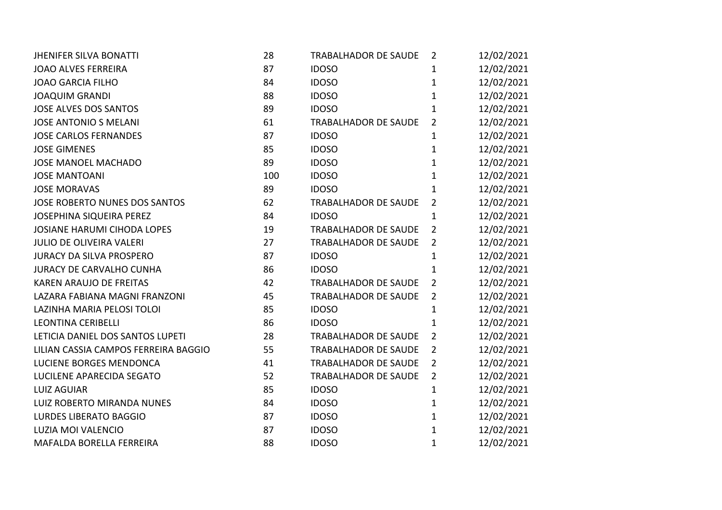| <b>JHENIFER SILVA BONATTI</b>        | 28  | TRABALHADOR DE SAUDE        | $\overline{2}$ | 12/02/2021 |
|--------------------------------------|-----|-----------------------------|----------------|------------|
| <b>JOAO ALVES FERREIRA</b>           | 87  | <b>IDOSO</b>                | 1              | 12/02/2021 |
| <b>JOAO GARCIA FILHO</b>             | 84  | <b>IDOSO</b>                | $\mathbf{1}$   | 12/02/2021 |
| <b>JOAQUIM GRANDI</b>                | 88  | <b>IDOSO</b>                | $\mathbf{1}$   | 12/02/2021 |
| <b>JOSE ALVES DOS SANTOS</b>         | 89  | <b>IDOSO</b>                | $\mathbf{1}$   | 12/02/2021 |
| <b>JOSE ANTONIO S MELANI</b>         | 61  | <b>TRABALHADOR DE SAUDE</b> | $\overline{2}$ | 12/02/2021 |
| <b>JOSE CARLOS FERNANDES</b>         | 87  | <b>IDOSO</b>                | $\mathbf{1}$   | 12/02/2021 |
| <b>JOSE GIMENES</b>                  | 85  | <b>IDOSO</b>                | $\mathbf{1}$   | 12/02/2021 |
| <b>JOSE MANOEL MACHADO</b>           | 89  | <b>IDOSO</b>                | $\mathbf{1}$   | 12/02/2021 |
| <b>JOSE MANTOANI</b>                 | 100 | <b>IDOSO</b>                | $\mathbf{1}$   | 12/02/2021 |
| <b>JOSE MORAVAS</b>                  | 89  | <b>IDOSO</b>                | $\mathbf{1}$   | 12/02/2021 |
| <b>JOSE ROBERTO NUNES DOS SANTOS</b> | 62  | TRABALHADOR DE SAUDE        | $\overline{2}$ | 12/02/2021 |
| JOSEPHINA SIQUEIRA PEREZ             | 84  | <b>IDOSO</b>                | $\mathbf{1}$   | 12/02/2021 |
| <b>JOSIANE HARUMI CIHODA LOPES</b>   | 19  | <b>TRABALHADOR DE SAUDE</b> | $\overline{2}$ | 12/02/2021 |
| <b>JULIO DE OLIVEIRA VALERI</b>      | 27  | <b>TRABALHADOR DE SAUDE</b> | $\overline{2}$ | 12/02/2021 |
| <b>JURACY DA SILVA PROSPERO</b>      | 87  | <b>IDOSO</b>                | $\mathbf{1}$   | 12/02/2021 |
| <b>JURACY DE CARVALHO CUNHA</b>      | 86  | <b>IDOSO</b>                | $\mathbf{1}$   | 12/02/2021 |
| <b>KAREN ARAUJO DE FREITAS</b>       | 42  | <b>TRABALHADOR DE SAUDE</b> | $\overline{2}$ | 12/02/2021 |
| LAZARA FABIANA MAGNI FRANZONI        | 45  | TRABALHADOR DE SAUDE        | $\overline{2}$ | 12/02/2021 |
| LAZINHA MARIA PELOSI TOLOI           | 85  | <b>IDOSO</b>                | $\mathbf{1}$   | 12/02/2021 |
| <b>LEONTINA CERIBELLI</b>            | 86  | <b>IDOSO</b>                | $\mathbf{1}$   | 12/02/2021 |
| LETICIA DANIEL DOS SANTOS LUPETI     | 28  | <b>TRABALHADOR DE SAUDE</b> | $\overline{2}$ | 12/02/2021 |
| LILIAN CASSIA CAMPOS FERREIRA BAGGIO | 55  | <b>TRABALHADOR DE SAUDE</b> | $\overline{2}$ | 12/02/2021 |
| LUCIENE BORGES MENDONCA              | 41  | TRABALHADOR DE SAUDE        | $\overline{2}$ | 12/02/2021 |
| LUCILENE APARECIDA SEGATO            | 52  | TRABALHADOR DE SAUDE        | $\overline{2}$ | 12/02/2021 |
| <b>LUIZ AGUIAR</b>                   | 85  | <b>IDOSO</b>                | $\mathbf{1}$   | 12/02/2021 |
| LUIZ ROBERTO MIRANDA NUNES           | 84  | <b>IDOSO</b>                | $\mathbf{1}$   | 12/02/2021 |
| <b>LURDES LIBERATO BAGGIO</b>        | 87  | <b>IDOSO</b>                | $\mathbf{1}$   | 12/02/2021 |
| LUZIA MOI VALENCIO                   | 87  | <b>IDOSO</b>                | $\mathbf{1}$   | 12/02/2021 |
| MAFALDA BORELLA FERREIRA             | 88  | <b>IDOSO</b>                | $\mathbf 1$    | 12/02/2021 |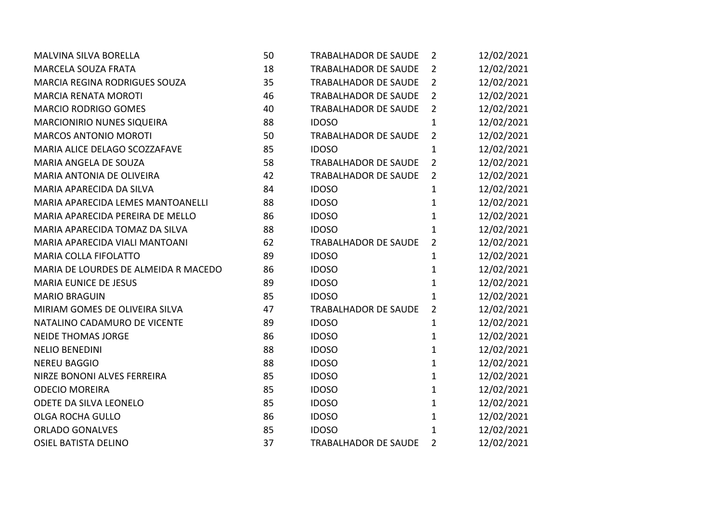| <b>MALVINA SILVA BORELLA</b>         | 50 | TRABALHADOR DE SAUDE        | $\overline{2}$ | 12/02/2021 |
|--------------------------------------|----|-----------------------------|----------------|------------|
| <b>MARCELA SOUZA FRATA</b>           | 18 | TRABALHADOR DE SAUDE        | $\overline{2}$ | 12/02/2021 |
| MARCIA REGINA RODRIGUES SOUZA        | 35 | <b>TRABALHADOR DE SAUDE</b> | $\overline{2}$ | 12/02/2021 |
| <b>MARCIA RENATA MOROTI</b>          | 46 | <b>TRABALHADOR DE SAUDE</b> | $\overline{2}$ | 12/02/2021 |
| <b>MARCIO RODRIGO GOMES</b>          | 40 | TRABALHADOR DE SAUDE        | $\overline{2}$ | 12/02/2021 |
| <b>MARCIONIRIO NUNES SIQUEIRA</b>    | 88 | <b>IDOSO</b>                | $\mathbf{1}$   | 12/02/2021 |
| <b>MARCOS ANTONIO MOROTI</b>         | 50 | <b>TRABALHADOR DE SAUDE</b> | $\overline{2}$ | 12/02/2021 |
| MARIA ALICE DELAGO SCOZZAFAVE        | 85 | <b>IDOSO</b>                | $\mathbf{1}$   | 12/02/2021 |
| MARIA ANGELA DE SOUZA                | 58 | TRABALHADOR DE SAUDE        | $\overline{2}$ | 12/02/2021 |
| MARIA ANTONIA DE OLIVEIRA            | 42 | TRABALHADOR DE SAUDE        | $\overline{2}$ | 12/02/2021 |
| MARIA APARECIDA DA SILVA             | 84 | <b>IDOSO</b>                | $\mathbf{1}$   | 12/02/2021 |
| MARIA APARECIDA LEMES MANTOANELLI    | 88 | <b>IDOSO</b>                | $\mathbf{1}$   | 12/02/2021 |
| MARIA APARECIDA PEREIRA DE MELLO     | 86 | <b>IDOSO</b>                | $\mathbf{1}$   | 12/02/2021 |
| MARIA APARECIDA TOMAZ DA SILVA       | 88 | <b>IDOSO</b>                | $\mathbf{1}$   | 12/02/2021 |
| MARIA APARECIDA VIALI MANTOANI       | 62 | <b>TRABALHADOR DE SAUDE</b> | $\overline{2}$ | 12/02/2021 |
| <b>MARIA COLLA FIFOLATTO</b>         | 89 | <b>IDOSO</b>                | $\mathbf 1$    | 12/02/2021 |
| MARIA DE LOURDES DE ALMEIDA R MACEDO | 86 | <b>IDOSO</b>                | $\mathbf{1}$   | 12/02/2021 |
| <b>MARIA EUNICE DE JESUS</b>         | 89 | <b>IDOSO</b>                | $\mathbf{1}$   | 12/02/2021 |
| <b>MARIO BRAGUIN</b>                 | 85 | <b>IDOSO</b>                | $\mathbf{1}$   | 12/02/2021 |
| MIRIAM GOMES DE OLIVEIRA SILVA       | 47 | TRABALHADOR DE SAUDE        | $\overline{2}$ | 12/02/2021 |
| NATALINO CADAMURO DE VICENTE         | 89 | <b>IDOSO</b>                | $\mathbf{1}$   | 12/02/2021 |
| <b>NEIDE THOMAS JORGE</b>            | 86 | <b>IDOSO</b>                | $\mathbf{1}$   | 12/02/2021 |
| <b>NELIO BENEDINI</b>                | 88 | <b>IDOSO</b>                | $\mathbf{1}$   | 12/02/2021 |
| <b>NEREU BAGGIO</b>                  | 88 | <b>IDOSO</b>                | $\mathbf{1}$   | 12/02/2021 |
| NIRZE BONONI ALVES FERREIRA          | 85 | <b>IDOSO</b>                | $\mathbf{1}$   | 12/02/2021 |
| <b>ODECIO MOREIRA</b>                | 85 | <b>IDOSO</b>                | $\mathbf{1}$   | 12/02/2021 |
| ODETE DA SILVA LEONELO               | 85 | <b>IDOSO</b>                | $\mathbf{1}$   | 12/02/2021 |
| <b>OLGA ROCHA GULLO</b>              | 86 | <b>IDOSO</b>                | $\mathbf{1}$   | 12/02/2021 |
| <b>ORLADO GONALVES</b>               | 85 | <b>IDOSO</b>                | $\mathbf{1}$   | 12/02/2021 |
| <b>OSIEL BATISTA DELINO</b>          | 37 | <b>TRABALHADOR DE SAUDE</b> | $\overline{2}$ | 12/02/2021 |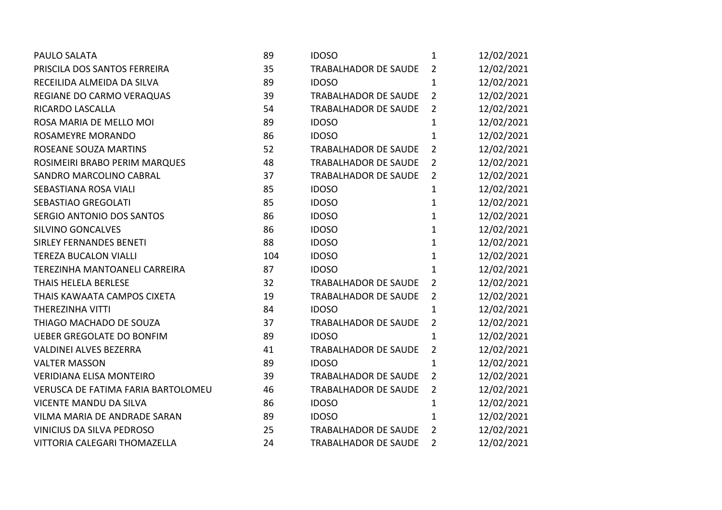| <b>PAULO SALATA</b>                | 89  | <b>IDOSO</b>                | $\mathbf 1$    | 12/02/2021 |
|------------------------------------|-----|-----------------------------|----------------|------------|
| PRISCILA DOS SANTOS FERREIRA       | 35  | <b>TRABALHADOR DE SAUDE</b> | $\overline{2}$ | 12/02/2021 |
| RECEILIDA ALMEIDA DA SILVA         | 89  | <b>IDOSO</b>                | $\mathbf{1}$   | 12/02/2021 |
| REGIANE DO CARMO VERAQUAS          | 39  | <b>TRABALHADOR DE SAUDE</b> | $\overline{2}$ | 12/02/2021 |
| RICARDO LASCALLA                   | 54  | TRABALHADOR DE SAUDE        | $\overline{2}$ | 12/02/2021 |
| ROSA MARIA DE MELLO MOI            | 89  | <b>IDOSO</b>                | $\mathbf{1}$   | 12/02/2021 |
| ROSAMEYRE MORANDO                  | 86  | <b>IDOSO</b>                | $\mathbf{1}$   | 12/02/2021 |
| ROSEANE SOUZA MARTINS              | 52  | <b>TRABALHADOR DE SAUDE</b> | $\overline{2}$ | 12/02/2021 |
| ROSIMEIRI BRABO PERIM MARQUES      | 48  | TRABALHADOR DE SAUDE        | $\overline{2}$ | 12/02/2021 |
| SANDRO MARCOLINO CABRAL            | 37  | TRABALHADOR DE SAUDE        | $\overline{2}$ | 12/02/2021 |
| SEBASTIANA ROSA VIALI              | 85  | <b>IDOSO</b>                | $\mathbf{1}$   | 12/02/2021 |
| SEBASTIAO GREGOLATI                | 85  | <b>IDOSO</b>                | $\mathbf{1}$   | 12/02/2021 |
| SERGIO ANTONIO DOS SANTOS          | 86  | <b>IDOSO</b>                | $\mathbf{1}$   | 12/02/2021 |
| SILVINO GONCALVES                  | 86  | <b>IDOSO</b>                | $\mathbf{1}$   | 12/02/2021 |
| <b>SIRLEY FERNANDES BENETI</b>     | 88  | <b>IDOSO</b>                | $\mathbf{1}$   | 12/02/2021 |
| <b>TEREZA BUCALON VIALLI</b>       | 104 | <b>IDOSO</b>                | $\mathbf{1}$   | 12/02/2021 |
| TEREZINHA MANTOANELI CARREIRA      | 87  | <b>IDOSO</b>                | $\mathbf{1}$   | 12/02/2021 |
| THAIS HELELA BERLESE               | 32  | TRABALHADOR DE SAUDE        | $\overline{2}$ | 12/02/2021 |
| THAIS KAWAATA CAMPOS CIXETA        | 19  | TRABALHADOR DE SAUDE        | $\overline{2}$ | 12/02/2021 |
| THEREZINHA VITTI                   | 84  | <b>IDOSO</b>                | $\mathbf{1}$   | 12/02/2021 |
| THIAGO MACHADO DE SOUZA            | 37  | <b>TRABALHADOR DE SAUDE</b> | $\overline{2}$ | 12/02/2021 |
| <b>UEBER GREGOLATE DO BONFIM</b>   | 89  | <b>IDOSO</b>                | $\mathbf{1}$   | 12/02/2021 |
| VALDINEI ALVES BEZERRA             | 41  | TRABALHADOR DE SAUDE        | $\overline{2}$ | 12/02/2021 |
| <b>VALTER MASSON</b>               | 89  | <b>IDOSO</b>                | $\mathbf{1}$   | 12/02/2021 |
| <b>VERIDIANA ELISA MONTEIRO</b>    | 39  | TRABALHADOR DE SAUDE        | $\overline{2}$ | 12/02/2021 |
| VERUSCA DE FATIMA FARIA BARTOLOMEU | 46  | TRABALHADOR DE SAUDE        | $\overline{2}$ | 12/02/2021 |
| <b>VICENTE MANDU DA SILVA</b>      | 86  | <b>IDOSO</b>                | $\mathbf{1}$   | 12/02/2021 |
| VILMA MARIA DE ANDRADE SARAN       | 89  | <b>IDOSO</b>                | 1              | 12/02/2021 |
| VINICIUS DA SILVA PEDROSO          | 25  | TRABALHADOR DE SAUDE        | $\overline{2}$ | 12/02/2021 |
| VITTORIA CALEGARI THOMAZELLA       | 24  | TRABALHADOR DE SAUDE        | $\overline{2}$ | 12/02/2021 |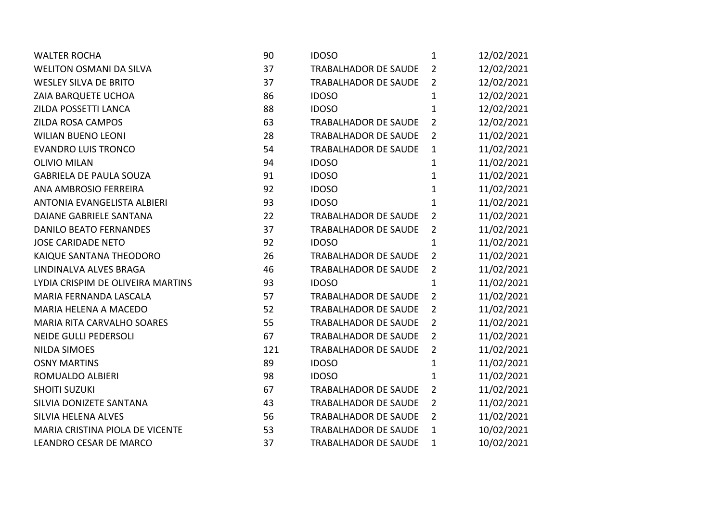| <b>WALTER ROCHA</b>               | 90  | <b>IDOSO</b>                | $\mathbf{1}$   | 12/02/2021 |
|-----------------------------------|-----|-----------------------------|----------------|------------|
| <b>WELITON OSMANI DA SILVA</b>    | 37  | <b>TRABALHADOR DE SAUDE</b> | $\overline{2}$ | 12/02/2021 |
| <b>WESLEY SILVA DE BRITO</b>      | 37  | <b>TRABALHADOR DE SAUDE</b> | $\overline{2}$ | 12/02/2021 |
| ZAIA BARQUETE UCHOA               | 86  | <b>IDOSO</b>                | $\mathbf{1}$   | 12/02/2021 |
| ZILDA POSSETTI LANCA              | 88  | <b>IDOSO</b>                | $\mathbf{1}$   | 12/02/2021 |
| <b>ZILDA ROSA CAMPOS</b>          | 63  | <b>TRABALHADOR DE SAUDE</b> | $\overline{2}$ | 12/02/2021 |
| <b>WILIAN BUENO LEONI</b>         | 28  | <b>TRABALHADOR DE SAUDE</b> | $\overline{2}$ | 11/02/2021 |
| <b>EVANDRO LUIS TRONCO</b>        | 54  | <b>TRABALHADOR DE SAUDE</b> | $\mathbf{1}$   | 11/02/2021 |
| <b>OLIVIO MILAN</b>               | 94  | <b>IDOSO</b>                | $\mathbf{1}$   | 11/02/2021 |
| <b>GABRIELA DE PAULA SOUZA</b>    | 91  | <b>IDOSO</b>                | 1              | 11/02/2021 |
| ANA AMBROSIO FERREIRA             | 92  | <b>IDOSO</b>                | $\mathbf{1}$   | 11/02/2021 |
| ANTONIA EVANGELISTA ALBIERI       | 93  | <b>IDOSO</b>                | $\mathbf 1$    | 11/02/2021 |
| DAIANE GABRIELE SANTANA           | 22  | <b>TRABALHADOR DE SAUDE</b> | $\overline{2}$ | 11/02/2021 |
| <b>DANILO BEATO FERNANDES</b>     | 37  | <b>TRABALHADOR DE SAUDE</b> | $\overline{2}$ | 11/02/2021 |
| <b>JOSE CARIDADE NETO</b>         | 92  | <b>IDOSO</b>                | $\mathbf{1}$   | 11/02/2021 |
| KAIQUE SANTANA THEODORO           | 26  | <b>TRABALHADOR DE SAUDE</b> | $\overline{2}$ | 11/02/2021 |
| LINDINALVA ALVES BRAGA            | 46  | <b>TRABALHADOR DE SAUDE</b> | $\overline{2}$ | 11/02/2021 |
| LYDIA CRISPIM DE OLIVEIRA MARTINS | 93  | <b>IDOSO</b>                | $\mathbf{1}$   | 11/02/2021 |
| MARIA FERNANDA LASCALA            | 57  | <b>TRABALHADOR DE SAUDE</b> | $\overline{2}$ | 11/02/2021 |
| <b>MARIA HELENA A MACEDO</b>      | 52  | <b>TRABALHADOR DE SAUDE</b> | $\overline{2}$ | 11/02/2021 |
| <b>MARIA RITA CARVALHO SOARES</b> | 55  | <b>TRABALHADOR DE SAUDE</b> | $\overline{2}$ | 11/02/2021 |
| <b>NEIDE GULLI PEDERSOLI</b>      | 67  | TRABALHADOR DE SAUDE        | $\overline{2}$ | 11/02/2021 |
| <b>NILDA SIMOES</b>               | 121 | TRABALHADOR DE SAUDE        | $\overline{2}$ | 11/02/2021 |
| <b>OSNY MARTINS</b>               | 89  | <b>IDOSO</b>                | $\mathbf{1}$   | 11/02/2021 |
| ROMUALDO ALBIERI                  | 98  | <b>IDOSO</b>                | $\mathbf{1}$   | 11/02/2021 |
| <b>SHOITI SUZUKI</b>              | 67  | <b>TRABALHADOR DE SAUDE</b> | $\overline{2}$ | 11/02/2021 |
| SILVIA DONIZETE SANTANA           | 43  | <b>TRABALHADOR DE SAUDE</b> | $\overline{2}$ | 11/02/2021 |
| SILVIA HELENA ALVES               | 56  | <b>TRABALHADOR DE SAUDE</b> | $\overline{2}$ | 11/02/2021 |
| MARIA CRISTINA PIOLA DE VICENTE   | 53  | <b>TRABALHADOR DE SAUDE</b> | $\mathbf{1}$   | 10/02/2021 |
| LEANDRO CESAR DE MARCO            | 37  | <b>TRABALHADOR DE SAUDE</b> | 1              | 10/02/2021 |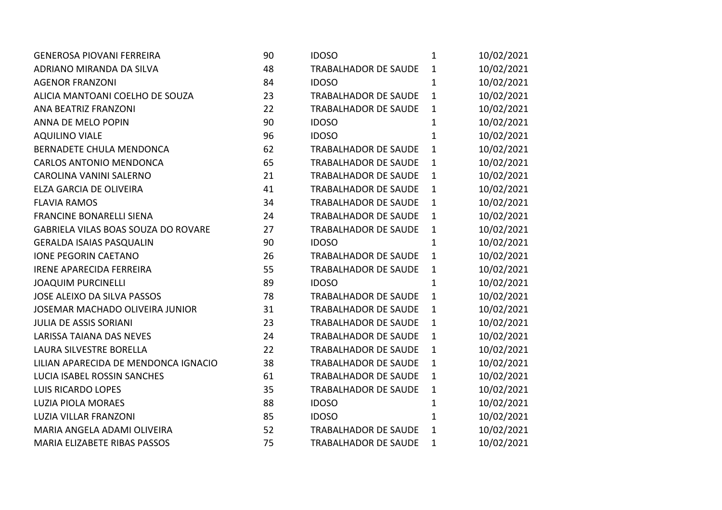| <b>GENEROSA PIOVANI FERREIRA</b>     | 90 | <b>IDOSO</b>                | 1            | 10/02/2021 |  |
|--------------------------------------|----|-----------------------------|--------------|------------|--|
| ADRIANO MIRANDA DA SILVA             | 48 | TRABALHADOR DE SAUDE        | $\mathbf{1}$ | 10/02/2021 |  |
| <b>AGENOR FRANZONI</b>               | 84 | <b>IDOSO</b>                | $\mathbf{1}$ | 10/02/2021 |  |
| ALICIA MANTOANI COELHO DE SOUZA      | 23 | TRABALHADOR DE SAUDE        | $\mathbf{1}$ | 10/02/2021 |  |
| ANA BEATRIZ FRANZONI                 | 22 | TRABALHADOR DE SAUDE        | $\mathbf{1}$ | 10/02/2021 |  |
| ANNA DE MELO POPIN                   | 90 | <b>IDOSO</b>                | $\mathbf{1}$ | 10/02/2021 |  |
| <b>AQUILINO VIALE</b>                | 96 | <b>IDOSO</b>                | $\mathbf{1}$ | 10/02/2021 |  |
| BERNADETE CHULA MENDONCA             | 62 | TRABALHADOR DE SAUDE        | $\mathbf{1}$ | 10/02/2021 |  |
| <b>CARLOS ANTONIO MENDONCA</b>       | 65 | TRABALHADOR DE SAUDE        | $\mathbf{1}$ | 10/02/2021 |  |
| CAROLINA VANINI SALERNO              | 21 | TRABALHADOR DE SAUDE        | $\mathbf{1}$ | 10/02/2021 |  |
| ELZA GARCIA DE OLIVEIRA              | 41 | TRABALHADOR DE SAUDE        | $\mathbf{1}$ | 10/02/2021 |  |
| <b>FLAVIA RAMOS</b>                  | 34 | TRABALHADOR DE SAUDE        | $\mathbf{1}$ | 10/02/2021 |  |
| FRANCINE BONARELLI SIENA             | 24 | TRABALHADOR DE SAUDE        | $\mathbf{1}$ | 10/02/2021 |  |
| GABRIELA VILAS BOAS SOUZA DO ROVARE  | 27 | TRABALHADOR DE SAUDE        | $\mathbf{1}$ | 10/02/2021 |  |
| <b>GERALDA ISAIAS PASQUALIN</b>      | 90 | <b>IDOSO</b>                | $\mathbf{1}$ | 10/02/2021 |  |
| <b>IONE PEGORIN CAETANO</b>          | 26 | TRABALHADOR DE SAUDE        | $\mathbf{1}$ | 10/02/2021 |  |
| <b>IRENE APARECIDA FERREIRA</b>      | 55 | TRABALHADOR DE SAUDE        | $\mathbf{1}$ | 10/02/2021 |  |
| <b>JOAQUIM PURCINELLI</b>            | 89 | <b>IDOSO</b>                | $\mathbf{1}$ | 10/02/2021 |  |
| JOSE ALEIXO DA SILVA PASSOS          | 78 | TRABALHADOR DE SAUDE        | $\mathbf{1}$ | 10/02/2021 |  |
| JOSEMAR MACHADO OLIVEIRA JUNIOR      | 31 | TRABALHADOR DE SAUDE        | $\mathbf{1}$ | 10/02/2021 |  |
| <b>JULIA DE ASSIS SORIANI</b>        | 23 | TRABALHADOR DE SAUDE        | $\mathbf{1}$ | 10/02/2021 |  |
| LARISSA TAIANA DAS NEVES             | 24 | TRABALHADOR DE SAUDE        | $\mathbf{1}$ | 10/02/2021 |  |
| LAURA SILVESTRE BORELLA              | 22 | <b>TRABALHADOR DE SAUDE</b> | $\mathbf{1}$ | 10/02/2021 |  |
| LILIAN APARECIDA DE MENDONCA IGNACIO | 38 | <b>TRABALHADOR DE SAUDE</b> | $\mathbf{1}$ | 10/02/2021 |  |
| LUCIA ISABEL ROSSIN SANCHES          | 61 | TRABALHADOR DE SAUDE        | $\mathbf{1}$ | 10/02/2021 |  |
| <b>LUIS RICARDO LOPES</b>            | 35 | TRABALHADOR DE SAUDE        | $\mathbf{1}$ | 10/02/2021 |  |
| <b>LUZIA PIOLA MORAES</b>            | 88 | <b>IDOSO</b>                | $\mathbf{1}$ | 10/02/2021 |  |
| <b>LUZIA VILLAR FRANZONI</b>         | 85 | <b>IDOSO</b>                | $\mathbf{1}$ | 10/02/2021 |  |
| MARIA ANGELA ADAMI OLIVEIRA          | 52 | TRABALHADOR DE SAUDE        | $\mathbf{1}$ | 10/02/2021 |  |
| MARIA ELIZABETE RIBAS PASSOS         | 75 | TRABALHADOR DE SAUDE        | $\mathbf{1}$ | 10/02/2021 |  |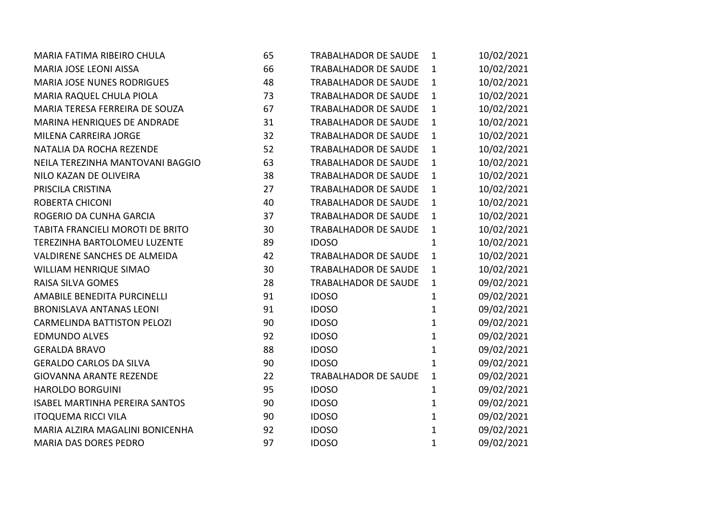| MARIA FATIMA RIBEIRO CHULA            | 65 | <b>TRABALHADOR DE SAUDE</b> | $\mathbf{1}$ | 10/02/2021 |
|---------------------------------------|----|-----------------------------|--------------|------------|
| MARIA JOSE LEONI AISSA                | 66 | <b>TRABALHADOR DE SAUDE</b> | $\mathbf{1}$ | 10/02/2021 |
| <b>MARIA JOSE NUNES RODRIGUES</b>     | 48 | <b>TRABALHADOR DE SAUDE</b> | $\mathbf{1}$ | 10/02/2021 |
| MARIA RAQUEL CHULA PIOLA              | 73 | <b>TRABALHADOR DE SAUDE</b> | $\mathbf{1}$ | 10/02/2021 |
| MARIA TERESA FERREIRA DE SOUZA        | 67 | <b>TRABALHADOR DE SAUDE</b> | $\mathbf{1}$ | 10/02/2021 |
| MARINA HENRIQUES DE ANDRADE           | 31 | TRABALHADOR DE SAUDE        | $\mathbf{1}$ | 10/02/2021 |
| MILENA CARREIRA JORGE                 | 32 | <b>TRABALHADOR DE SAUDE</b> | $\mathbf{1}$ | 10/02/2021 |
| NATALIA DA ROCHA REZENDE              | 52 | <b>TRABALHADOR DE SAUDE</b> | $\mathbf{1}$ | 10/02/2021 |
| NEILA TEREZINHA MANTOVANI BAGGIO      | 63 | <b>TRABALHADOR DE SAUDE</b> | $\mathbf{1}$ | 10/02/2021 |
| NILO KAZAN DE OLIVEIRA                | 38 | TRABALHADOR DE SAUDE        | $\mathbf{1}$ | 10/02/2021 |
| PRISCILA CRISTINA                     | 27 | <b>TRABALHADOR DE SAUDE</b> | $\mathbf{1}$ | 10/02/2021 |
| ROBERTA CHICONI                       | 40 | <b>TRABALHADOR DE SAUDE</b> | $\mathbf{1}$ | 10/02/2021 |
| ROGERIO DA CUNHA GARCIA               | 37 | <b>TRABALHADOR DE SAUDE</b> | $\mathbf{1}$ | 10/02/2021 |
| TABITA FRANCIELI MOROTI DE BRITO      | 30 | <b>TRABALHADOR DE SAUDE</b> | $\mathbf{1}$ | 10/02/2021 |
| TEREZINHA BARTOLOMEU LUZENTE          | 89 | <b>IDOSO</b>                | $\mathbf{1}$ | 10/02/2021 |
| <b>VALDIRENE SANCHES DE ALMEIDA</b>   | 42 | <b>TRABALHADOR DE SAUDE</b> | $\mathbf{1}$ | 10/02/2021 |
| WILLIAM HENRIQUE SIMAO                | 30 | <b>TRABALHADOR DE SAUDE</b> | $\mathbf{1}$ | 10/02/2021 |
| <b>RAISA SILVA GOMES</b>              | 28 | <b>TRABALHADOR DE SAUDE</b> | $\mathbf{1}$ | 09/02/2021 |
| AMABILE BENEDITA PURCINELLI           | 91 | <b>IDOSO</b>                | $\mathbf{1}$ | 09/02/2021 |
| <b>BRONISLAVA ANTANAS LEONI</b>       | 91 | <b>IDOSO</b>                | 1            | 09/02/2021 |
| <b>CARMELINDA BATTISTON PELOZI</b>    | 90 | <b>IDOSO</b>                | $\mathbf{1}$ | 09/02/2021 |
| <b>EDMUNDO ALVES</b>                  | 92 | <b>IDOSO</b>                | $\mathbf 1$  | 09/02/2021 |
| <b>GERALDA BRAVO</b>                  | 88 | <b>IDOSO</b>                | $\mathbf{1}$ | 09/02/2021 |
| <b>GERALDO CARLOS DA SILVA</b>        | 90 | <b>IDOSO</b>                | 1            | 09/02/2021 |
| <b>GIOVANNA ARANTE REZENDE</b>        | 22 | <b>TRABALHADOR DE SAUDE</b> | $\mathbf{1}$ | 09/02/2021 |
| <b>HAROLDO BORGUINI</b>               | 95 | <b>IDOSO</b>                | 1            | 09/02/2021 |
| <b>ISABEL MARTINHA PEREIRA SANTOS</b> | 90 | <b>IDOSO</b>                | $\mathbf 1$  | 09/02/2021 |
| <b>ITOQUEMA RICCI VILA</b>            | 90 | <b>IDOSO</b>                | 1            | 09/02/2021 |
| MARIA ALZIRA MAGALINI BONICENHA       | 92 | <b>IDOSO</b>                | $\mathbf{1}$ | 09/02/2021 |
| <b>MARIA DAS DORES PEDRO</b>          | 97 | <b>IDOSO</b>                | $\mathbf{1}$ | 09/02/2021 |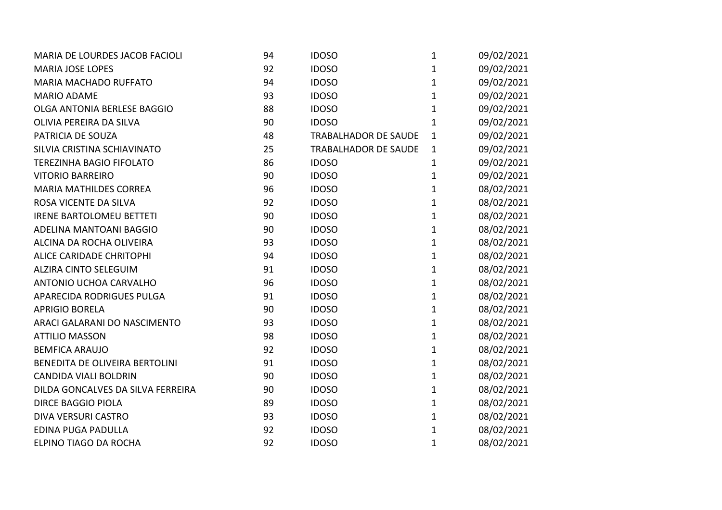| MARIA DE LOURDES JACOB FACIOLI    | 94 | <b>IDOSO</b>                | $\mathbf{1}$ | 09/02/2021 |
|-----------------------------------|----|-----------------------------|--------------|------------|
| <b>MARIA JOSE LOPES</b>           | 92 | <b>IDOSO</b>                | 1            | 09/02/2021 |
| <b>MARIA MACHADO RUFFATO</b>      | 94 | <b>IDOSO</b>                | $\mathbf{1}$ | 09/02/2021 |
| <b>MARIO ADAME</b>                | 93 | <b>IDOSO</b>                | $\mathbf{1}$ | 09/02/2021 |
| OLGA ANTONIA BERLESE BAGGIO       | 88 | <b>IDOSO</b>                | 1            | 09/02/2021 |
| OLIVIA PEREIRA DA SILVA           | 90 | <b>IDOSO</b>                | $\mathbf{1}$ | 09/02/2021 |
| PATRICIA DE SOUZA                 | 48 | <b>TRABALHADOR DE SAUDE</b> | $\mathbf{1}$ | 09/02/2021 |
| SILVIA CRISTINA SCHIAVINATO       | 25 | <b>TRABALHADOR DE SAUDE</b> | 1            | 09/02/2021 |
| <b>TEREZINHA BAGIO FIFOLATO</b>   | 86 | <b>IDOSO</b>                | $\mathbf{1}$ | 09/02/2021 |
| <b>VITORIO BARREIRO</b>           | 90 | <b>IDOSO</b>                | 1            | 09/02/2021 |
| <b>MARIA MATHILDES CORREA</b>     | 96 | <b>IDOSO</b>                | $\mathbf 1$  | 08/02/2021 |
| ROSA VICENTE DA SILVA             | 92 | <b>IDOSO</b>                | $\mathbf{1}$ | 08/02/2021 |
| <b>IRENE BARTOLOMEU BETTETI</b>   | 90 | <b>IDOSO</b>                | $\mathbf{1}$ | 08/02/2021 |
| ADELINA MANTOANI BAGGIO           | 90 | <b>IDOSO</b>                | 1            | 08/02/2021 |
| ALCINA DA ROCHA OLIVEIRA          | 93 | <b>IDOSO</b>                | $\mathbf{1}$ | 08/02/2021 |
| ALICE CARIDADE CHRITOPHI          | 94 | <b>IDOSO</b>                | $\mathbf{1}$ | 08/02/2021 |
| <b>ALZIRA CINTO SELEGUIM</b>      | 91 | <b>IDOSO</b>                | $\mathbf{1}$ | 08/02/2021 |
| ANTONIO UCHOA CARVALHO            | 96 | <b>IDOSO</b>                | $\mathbf{1}$ | 08/02/2021 |
| APARECIDA RODRIGUES PULGA         | 91 | <b>IDOSO</b>                | $\mathbf 1$  | 08/02/2021 |
| <b>APRIGIO BORELA</b>             | 90 | <b>IDOSO</b>                | $\mathbf 1$  | 08/02/2021 |
| ARACI GALARANI DO NASCIMENTO      | 93 | <b>IDOSO</b>                | $\mathbf{1}$ | 08/02/2021 |
| <b>ATTILIO MASSON</b>             | 98 | <b>IDOSO</b>                | 1            | 08/02/2021 |
| <b>BEMFICA ARAUJO</b>             | 92 | <b>IDOSO</b>                | $\mathbf{1}$ | 08/02/2021 |
| BENEDITA DE OLIVEIRA BERTOLINI    | 91 | <b>IDOSO</b>                | $\mathbf{1}$ | 08/02/2021 |
| <b>CANDIDA VIALI BOLDRIN</b>      | 90 | <b>IDOSO</b>                | $\mathbf{1}$ | 08/02/2021 |
| DILDA GONCALVES DA SILVA FERREIRA | 90 | <b>IDOSO</b>                | 1            | 08/02/2021 |
| <b>DIRCE BAGGIO PIOLA</b>         | 89 | <b>IDOSO</b>                | $\mathbf{1}$ | 08/02/2021 |
| DIVA VERSURI CASTRO               | 93 | <b>IDOSO</b>                | $\mathbf{1}$ | 08/02/2021 |
| EDINA PUGA PADULLA                | 92 | <b>IDOSO</b>                | $\mathbf{1}$ | 08/02/2021 |
| ELPINO TIAGO DA ROCHA             | 92 | <b>IDOSO</b>                | $\mathbf{1}$ | 08/02/2021 |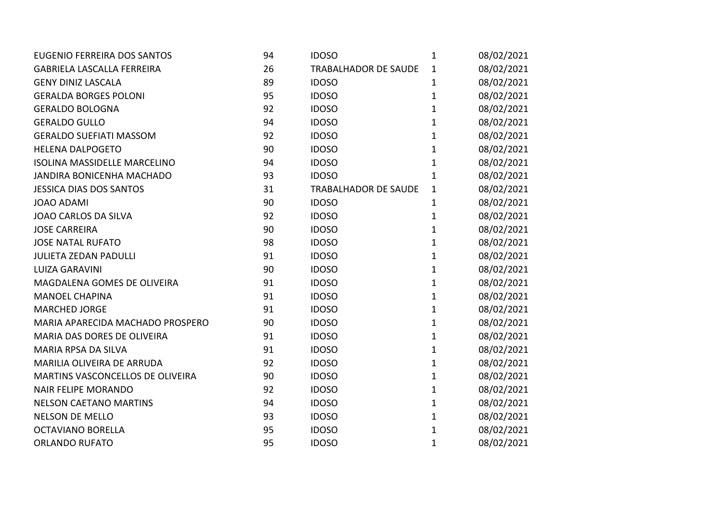| EUGENIO FERREIRA DOS SANTOS         | 94 | <b>IDOSO</b>                | $\mathbf{1}$ | 08/02/2021 |
|-------------------------------------|----|-----------------------------|--------------|------------|
| <b>GABRIELA LASCALLA FERREIRA</b>   | 26 | <b>TRABALHADOR DE SAUDE</b> | 1            | 08/02/2021 |
| <b>GENY DINIZ LASCALA</b>           | 89 | <b>IDOSO</b>                | 1            | 08/02/2021 |
| <b>GERALDA BORGES POLONI</b>        | 95 | <b>IDOSO</b>                | 1            | 08/02/2021 |
| <b>GERALDO BOLOGNA</b>              | 92 | <b>IDOSO</b>                | 1            | 08/02/2021 |
| <b>GERALDO GULLO</b>                | 94 | <b>IDOSO</b>                | 1            | 08/02/2021 |
| <b>GERALDO SUEFIATI MASSOM</b>      | 92 | <b>IDOSO</b>                | 1            | 08/02/2021 |
| <b>HELENA DALPOGETO</b>             | 90 | <b>IDOSO</b>                | 1            | 08/02/2021 |
| <b>ISOLINA MASSIDELLE MARCELINO</b> | 94 | <b>IDOSO</b>                | $\mathbf{1}$ | 08/02/2021 |
| JANDIRA BONICENHA MACHADO           | 93 | <b>IDOSO</b>                | 1            | 08/02/2021 |
| <b>JESSICA DIAS DOS SANTOS</b>      | 31 | <b>TRABALHADOR DE SAUDE</b> | $\mathbf{1}$ | 08/02/2021 |
| <b>JOAO ADAMI</b>                   | 90 | <b>IDOSO</b>                | $\mathbf{1}$ | 08/02/2021 |
| JOAO CARLOS DA SILVA                | 92 | <b>IDOSO</b>                | $\mathbf 1$  | 08/02/2021 |
| <b>JOSE CARREIRA</b>                | 90 | <b>IDOSO</b>                | 1            | 08/02/2021 |
| <b>JOSE NATAL RUFATO</b>            | 98 | <b>IDOSO</b>                | $\mathbf 1$  | 08/02/2021 |
| <b>JULIETA ZEDAN PADULLI</b>        | 91 | <b>IDOSO</b>                | $\mathbf 1$  | 08/02/2021 |
| <b>LUIZA GARAVINI</b>               | 90 | <b>IDOSO</b>                | $\mathbf{1}$ | 08/02/2021 |
| MAGDALENA GOMES DE OLIVEIRA         | 91 | <b>IDOSO</b>                | 1            | 08/02/2021 |
| <b>MANOEL CHAPINA</b>               | 91 | <b>IDOSO</b>                | $\mathbf 1$  | 08/02/2021 |
| <b>MARCHED JORGE</b>                | 91 | <b>IDOSO</b>                | $\mathbf 1$  | 08/02/2021 |
| MARIA APARECIDA MACHADO PROSPERO    | 90 | <b>IDOSO</b>                | 1            | 08/02/2021 |
| MARIA DAS DORES DE OLIVEIRA         | 91 | <b>IDOSO</b>                | 1            | 08/02/2021 |
| MARIA RPSA DA SILVA                 | 91 | <b>IDOSO</b>                | $\mathbf 1$  | 08/02/2021 |
| MARILIA OLIVEIRA DE ARRUDA          | 92 | <b>IDOSO</b>                | $\mathbf{1}$ | 08/02/2021 |
| MARTINS VASCONCELLOS DE OLIVEIRA    | 90 | <b>IDOSO</b>                | 1            | 08/02/2021 |
| <b>NAIR FELIPE MORANDO</b>          | 92 | <b>IDOSO</b>                | $\mathbf{1}$ | 08/02/2021 |
| <b>NELSON CAETANO MARTINS</b>       | 94 | <b>IDOSO</b>                | $\mathbf{1}$ | 08/02/2021 |
| <b>NELSON DE MELLO</b>              | 93 | <b>IDOSO</b>                | $\mathbf{1}$ | 08/02/2021 |
| <b>OCTAVIANO BORELLA</b>            | 95 | <b>IDOSO</b>                | $\mathbf{1}$ | 08/02/2021 |
| <b>ORLANDO RUFATO</b>               | 95 | <b>IDOSO</b>                | 1            | 08/02/2021 |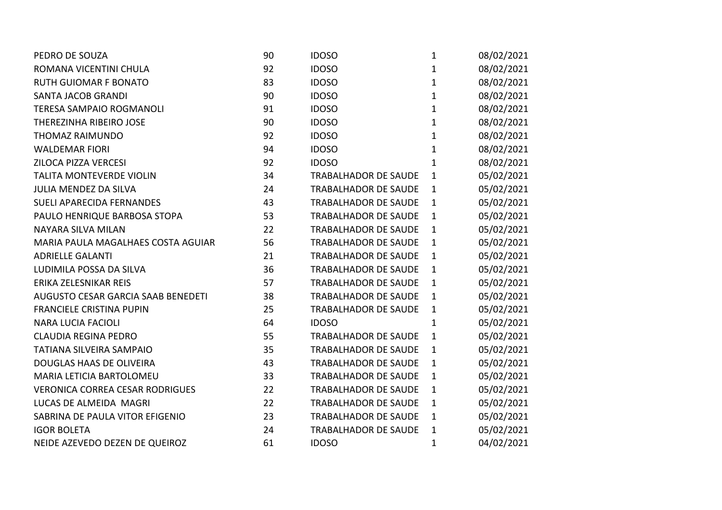| PEDRO DE SOUZA                         | 90 | <b>IDOSO</b>                | $\mathbf{1}$ | 08/02/2021 |
|----------------------------------------|----|-----------------------------|--------------|------------|
| ROMANA VICENTINI CHULA                 | 92 | <b>IDOSO</b>                | $\mathbf{1}$ | 08/02/2021 |
| <b>RUTH GUIOMAR F BONATO</b>           | 83 | <b>IDOSO</b>                | $\mathbf{1}$ | 08/02/2021 |
| <b>SANTA JACOB GRANDI</b>              | 90 | <b>IDOSO</b>                | $\mathbf{1}$ | 08/02/2021 |
| <b>TERESA SAMPAIO ROGMANOLI</b>        | 91 | <b>IDOSO</b>                | $\mathbf{1}$ | 08/02/2021 |
| THEREZINHA RIBEIRO JOSE                | 90 | <b>IDOSO</b>                | $\mathbf{1}$ | 08/02/2021 |
| THOMAZ RAIMUNDO                        | 92 | <b>IDOSO</b>                | $\mathbf{1}$ | 08/02/2021 |
| <b>WALDEMAR FIORI</b>                  | 94 | <b>IDOSO</b>                | $\mathbf{1}$ | 08/02/2021 |
| ZILOCA PIZZA VERCESI                   | 92 | <b>IDOSO</b>                | $\mathbf{1}$ | 08/02/2021 |
| <b>TALITA MONTEVERDE VIOLIN</b>        | 34 | <b>TRABALHADOR DE SAUDE</b> | $\mathbf{1}$ | 05/02/2021 |
| <b>JULIA MENDEZ DA SILVA</b>           | 24 | <b>TRABALHADOR DE SAUDE</b> | $\mathbf{1}$ | 05/02/2021 |
| <b>SUELI APARECIDA FERNANDES</b>       | 43 | <b>TRABALHADOR DE SAUDE</b> | $\mathbf{1}$ | 05/02/2021 |
| PAULO HENRIQUE BARBOSA STOPA           | 53 | <b>TRABALHADOR DE SAUDE</b> | $\mathbf{1}$ | 05/02/2021 |
| NAYARA SILVA MILAN                     | 22 | <b>TRABALHADOR DE SAUDE</b> | $\mathbf{1}$ | 05/02/2021 |
| MARIA PAULA MAGALHAES COSTA AGUIAR     | 56 | <b>TRABALHADOR DE SAUDE</b> | $\mathbf{1}$ | 05/02/2021 |
| <b>ADRIELLE GALANTI</b>                | 21 | <b>TRABALHADOR DE SAUDE</b> | $\mathbf{1}$ | 05/02/2021 |
| LUDIMILA POSSA DA SILVA                | 36 | <b>TRABALHADOR DE SAUDE</b> | $\mathbf{1}$ | 05/02/2021 |
| ERIKA ZELESNIKAR REIS                  | 57 | <b>TRABALHADOR DE SAUDE</b> | $\mathbf{1}$ | 05/02/2021 |
| AUGUSTO CESAR GARCIA SAAB BENEDETI     | 38 | TRABALHADOR DE SAUDE        | $\mathbf{1}$ | 05/02/2021 |
| <b>FRANCIELE CRISTINA PUPIN</b>        | 25 | <b>TRABALHADOR DE SAUDE</b> | $\mathbf{1}$ | 05/02/2021 |
| <b>NARA LUCIA FACIOLI</b>              | 64 | <b>IDOSO</b>                | $\mathbf{1}$ | 05/02/2021 |
| <b>CLAUDIA REGINA PEDRO</b>            | 55 | <b>TRABALHADOR DE SAUDE</b> | $\mathbf{1}$ | 05/02/2021 |
| <b>TATIANA SILVEIRA SAMPAIO</b>        | 35 | <b>TRABALHADOR DE SAUDE</b> | $\mathbf{1}$ | 05/02/2021 |
| DOUGLAS HAAS DE OLIVEIRA               | 43 | <b>TRABALHADOR DE SAUDE</b> | $\mathbf{1}$ | 05/02/2021 |
| MARIA LETICIA BARTOLOMEU               | 33 | <b>TRABALHADOR DE SAUDE</b> | $\mathbf{1}$ | 05/02/2021 |
| <b>VERONICA CORREA CESAR RODRIGUES</b> | 22 | <b>TRABALHADOR DE SAUDE</b> | $\mathbf{1}$ | 05/02/2021 |
| LUCAS DE ALMEIDA MAGRI                 | 22 | <b>TRABALHADOR DE SAUDE</b> | $\mathbf{1}$ | 05/02/2021 |
| SABRINA DE PAULA VITOR EFIGENIO        | 23 | <b>TRABALHADOR DE SAUDE</b> | $\mathbf{1}$ | 05/02/2021 |
| <b>IGOR BOLETA</b>                     | 24 | <b>TRABALHADOR DE SAUDE</b> | $\mathbf{1}$ | 05/02/2021 |
| NEIDE AZEVEDO DEZEN DE QUEIROZ         | 61 | <b>IDOSO</b>                | $\mathbf 1$  | 04/02/2021 |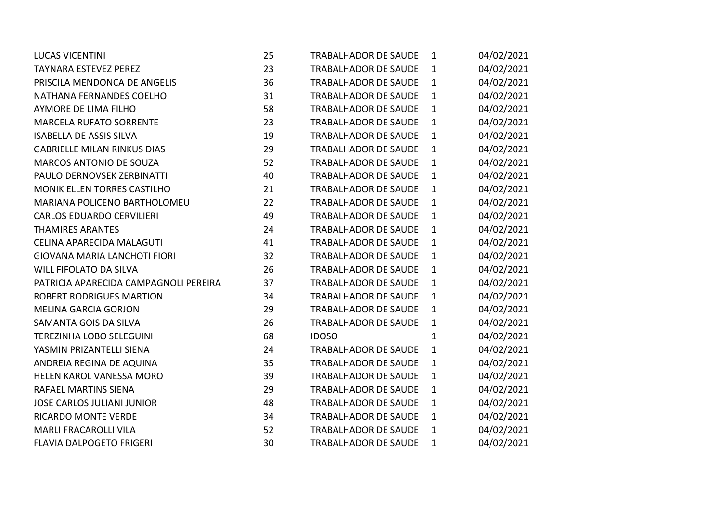| <b>LUCAS VICENTINI</b>                | 25 | <b>TRABALHADOR DE SAUDE</b> | 1            | 04/02/2021 |
|---------------------------------------|----|-----------------------------|--------------|------------|
| <b>TAYNARA ESTEVEZ PEREZ</b>          | 23 | <b>TRABALHADOR DE SAUDE</b> | 1            | 04/02/2021 |
| PRISCILA MENDONCA DE ANGELIS          | 36 | <b>TRABALHADOR DE SAUDE</b> | $\mathbf{1}$ | 04/02/2021 |
| NATHANA FERNANDES COELHO              | 31 | <b>TRABALHADOR DE SAUDE</b> | 1            | 04/02/2021 |
| AYMORE DE LIMA FILHO                  | 58 | <b>TRABALHADOR DE SAUDE</b> | $\mathbf{1}$ | 04/02/2021 |
| <b>MARCELA RUFATO SORRENTE</b>        | 23 | <b>TRABALHADOR DE SAUDE</b> | $\mathbf{1}$ | 04/02/2021 |
| <b>ISABELLA DE ASSIS SILVA</b>        | 19 | <b>TRABALHADOR DE SAUDE</b> | $\mathbf{1}$ | 04/02/2021 |
| <b>GABRIELLE MILAN RINKUS DIAS</b>    | 29 | <b>TRABALHADOR DE SAUDE</b> | 1            | 04/02/2021 |
| <b>MARCOS ANTONIO DE SOUZA</b>        | 52 | <b>TRABALHADOR DE SAUDE</b> | $\mathbf{1}$ | 04/02/2021 |
| PAULO DERNOVSEK ZERBINATTI            | 40 | <b>TRABALHADOR DE SAUDE</b> | $\mathbf{1}$ | 04/02/2021 |
| MONIK ELLEN TORRES CASTILHO           | 21 | <b>TRABALHADOR DE SAUDE</b> | 1            | 04/02/2021 |
| MARIANA POLICENO BARTHOLOMEU          | 22 | <b>TRABALHADOR DE SAUDE</b> | $\mathbf 1$  | 04/02/2021 |
| <b>CARLOS EDUARDO CERVILIERI</b>      | 49 | <b>TRABALHADOR DE SAUDE</b> | 1            | 04/02/2021 |
| <b>THAMIRES ARANTES</b>               | 24 | <b>TRABALHADOR DE SAUDE</b> | $\mathbf 1$  | 04/02/2021 |
| CELINA APARECIDA MALAGUTI             | 41 | <b>TRABALHADOR DE SAUDE</b> | 1            | 04/02/2021 |
| <b>GIOVANA MARIA LANCHOTI FIORI</b>   | 32 | <b>TRABALHADOR DE SAUDE</b> | $\mathbf 1$  | 04/02/2021 |
| <b>WILL FIFOLATO DA SILVA</b>         | 26 | <b>TRABALHADOR DE SAUDE</b> | $\mathbf{1}$ | 04/02/2021 |
| PATRICIA APARECIDA CAMPAGNOLI PEREIRA | 37 | <b>TRABALHADOR DE SAUDE</b> | 1            | 04/02/2021 |
| <b>ROBERT RODRIGUES MARTION</b>       | 34 | <b>TRABALHADOR DE SAUDE</b> | $\mathbf{1}$ | 04/02/2021 |
| <b>MELINA GARCIA GORJON</b>           | 29 | <b>TRABALHADOR DE SAUDE</b> | 1            | 04/02/2021 |
| SAMANTA GOIS DA SILVA                 | 26 | TRABALHADOR DE SAUDE        | $\mathbf{1}$ | 04/02/2021 |
| TEREZINHA LOBO SELEGUINI              | 68 | <b>IDOSO</b>                | $\mathbf{1}$ | 04/02/2021 |
| YASMIN PRIZANTELLI SIENA              | 24 | TRABALHADOR DE SAUDE        | $\mathbf{1}$ | 04/02/2021 |
| ANDREIA REGINA DE AQUINA              | 35 | <b>TRABALHADOR DE SAUDE</b> | $\mathbf 1$  | 04/02/2021 |
| HELEN KAROL VANESSA MORO              | 39 | <b>TRABALHADOR DE SAUDE</b> | $\mathbf{1}$ | 04/02/2021 |
| RAFAEL MARTINS SIENA                  | 29 | <b>TRABALHADOR DE SAUDE</b> | $\mathbf{1}$ | 04/02/2021 |
| <b>JOSE CARLOS JULIANI JUNIOR</b>     | 48 | <b>TRABALHADOR DE SAUDE</b> | 1            | 04/02/2021 |
| <b>RICARDO MONTE VERDE</b>            | 34 | <b>TRABALHADOR DE SAUDE</b> | $\mathbf{1}$ | 04/02/2021 |
| <b>MARLI FRACAROLLI VILA</b>          | 52 | <b>TRABALHADOR DE SAUDE</b> | 1            | 04/02/2021 |
| <b>FLAVIA DALPOGETO FRIGERI</b>       | 30 | <b>TRABALHADOR DE SAUDE</b> | $\mathbf{1}$ | 04/02/2021 |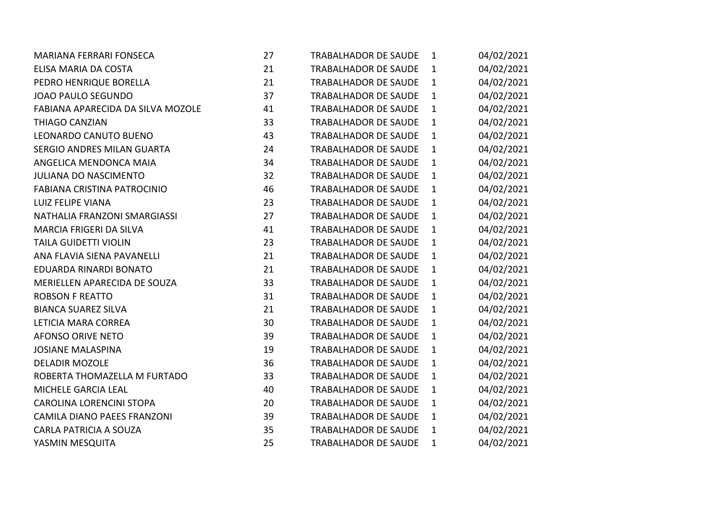| <b>MARIANA FERRARI FONSECA</b>     | 27 | <b>TRABALHADOR DE SAUDE</b> | $\mathbf{1}$ | 04/02/2021 |
|------------------------------------|----|-----------------------------|--------------|------------|
| ELISA MARIA DA COSTA               | 21 | <b>TRABALHADOR DE SAUDE</b> | $\mathbf{1}$ | 04/02/2021 |
| PEDRO HENRIQUE BORELLA             | 21 | <b>TRABALHADOR DE SAUDE</b> | $\mathbf{1}$ | 04/02/2021 |
| JOAO PAULO SEGUNDO                 | 37 | <b>TRABALHADOR DE SAUDE</b> | 1            | 04/02/2021 |
| FABIANA APARECIDA DA SILVA MOZOLE  | 41 | <b>TRABALHADOR DE SAUDE</b> | $\mathbf{1}$ | 04/02/2021 |
| <b>THIAGO CANZIAN</b>              | 33 | <b>TRABALHADOR DE SAUDE</b> | $\mathbf{1}$ | 04/02/2021 |
| LEONARDO CANUTO BUENO              | 43 | <b>TRABALHADOR DE SAUDE</b> | $\mathbf{1}$ | 04/02/2021 |
| SERGIO ANDRES MILAN GUARTA         | 24 | <b>TRABALHADOR DE SAUDE</b> | 1            | 04/02/2021 |
| ANGELICA MENDONCA MAIA             | 34 | <b>TRABALHADOR DE SAUDE</b> | $\mathbf{1}$ | 04/02/2021 |
| <b>JULIANA DO NASCIMENTO</b>       | 32 | <b>TRABALHADOR DE SAUDE</b> | $\mathbf{1}$ | 04/02/2021 |
| FABIANA CRISTINA PATROCINIO        | 46 | <b>TRABALHADOR DE SAUDE</b> | 1            | 04/02/2021 |
| <b>LUIZ FELIPE VIANA</b>           | 23 | <b>TRABALHADOR DE SAUDE</b> | $\mathbf{1}$ | 04/02/2021 |
| NATHALIA FRANZONI SMARGIASSI       | 27 | <b>TRABALHADOR DE SAUDE</b> | $\mathbf{1}$ | 04/02/2021 |
| MARCIA FRIGERI DA SILVA            | 41 | <b>TRABALHADOR DE SAUDE</b> | $\mathbf{1}$ | 04/02/2021 |
| <b>TAILA GUIDETTI VIOLIN</b>       | 23 | <b>TRABALHADOR DE SAUDE</b> | 1            | 04/02/2021 |
| ANA FLAVIA SIENA PAVANELLI         | 21 | <b>TRABALHADOR DE SAUDE</b> | 1            | 04/02/2021 |
| EDUARDA RINARDI BONATO             | 21 | <b>TRABALHADOR DE SAUDE</b> | $\mathbf{1}$ | 04/02/2021 |
| MERIELLEN APARECIDA DE SOUZA       | 33 | <b>TRABALHADOR DE SAUDE</b> | $\mathbf{1}$ | 04/02/2021 |
| <b>ROBSON F REATTO</b>             | 31 | <b>TRABALHADOR DE SAUDE</b> | 1            | 04/02/2021 |
| <b>BIANCA SUAREZ SILVA</b>         | 21 | <b>TRABALHADOR DE SAUDE</b> | $\mathbf{1}$ | 04/02/2021 |
| LETICIA MARA CORREA                | 30 | <b>TRABALHADOR DE SAUDE</b> | $\mathbf{1}$ | 04/02/2021 |
| <b>AFONSO ORIVE NETO</b>           | 39 | <b>TRABALHADOR DE SAUDE</b> | $\mathbf{1}$ | 04/02/2021 |
| <b>JOSIANE MALASPINA</b>           | 19 | <b>TRABALHADOR DE SAUDE</b> | 1            | 04/02/2021 |
| <b>DELADIR MOZOLE</b>              | 36 | <b>TRABALHADOR DE SAUDE</b> | $\mathbf 1$  | 04/02/2021 |
| ROBERTA THOMAZELLA M FURTADO       | 33 | <b>TRABALHADOR DE SAUDE</b> | $\mathbf{1}$ | 04/02/2021 |
| MICHELE GARCIA LEAL                | 40 | <b>TRABALHADOR DE SAUDE</b> | $\mathbf{1}$ | 04/02/2021 |
| CAROLINA LORENCINI STOPA           | 20 | <b>TRABALHADOR DE SAUDE</b> | 1            | 04/02/2021 |
| <b>CAMILA DIANO PAEES FRANZONI</b> | 39 | <b>TRABALHADOR DE SAUDE</b> | $\mathbf{1}$ | 04/02/2021 |
| CARLA PATRICIA A SOUZA             | 35 | <b>TRABALHADOR DE SAUDE</b> | $\mathbf{1}$ | 04/02/2021 |
| YASMIN MESQUITA                    | 25 | <b>TRABALHADOR DE SAUDE</b> | $\mathbf{1}$ | 04/02/2021 |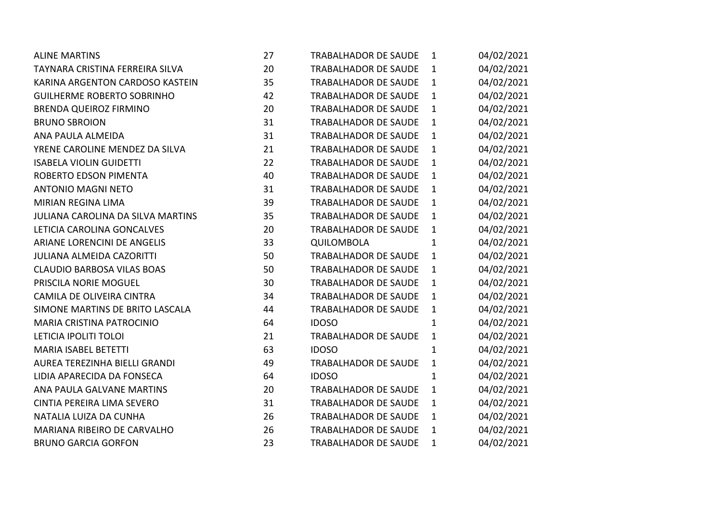| <b>ALINE MARTINS</b>                     | 27 | <b>TRABALHADOR DE SAUDE</b> | $\mathbf{1}$ | 04/02/2021 |
|------------------------------------------|----|-----------------------------|--------------|------------|
| TAYNARA CRISTINA FERREIRA SILVA          | 20 | <b>TRABALHADOR DE SAUDE</b> | $\mathbf{1}$ | 04/02/2021 |
| KARINA ARGENTON CARDOSO KASTEIN          | 35 | <b>TRABALHADOR DE SAUDE</b> | $\mathbf{1}$ | 04/02/2021 |
| <b>GUILHERME ROBERTO SOBRINHO</b>        | 42 | <b>TRABALHADOR DE SAUDE</b> | $\mathbf{1}$ | 04/02/2021 |
| <b>BRENDA QUEIROZ FIRMINO</b>            | 20 | <b>TRABALHADOR DE SAUDE</b> | $\mathbf{1}$ | 04/02/2021 |
| <b>BRUNO SBROION</b>                     | 31 | <b>TRABALHADOR DE SAUDE</b> | $\mathbf{1}$ | 04/02/2021 |
| ANA PAULA ALMEIDA                        | 31 | <b>TRABALHADOR DE SAUDE</b> | $\mathbf{1}$ | 04/02/2021 |
| YRENE CAROLINE MENDEZ DA SILVA           | 21 | <b>TRABALHADOR DE SAUDE</b> | $\mathbf{1}$ | 04/02/2021 |
| <b>ISABELA VIOLIN GUIDETTI</b>           | 22 | <b>TRABALHADOR DE SAUDE</b> | $\mathbf{1}$ | 04/02/2021 |
| ROBERTO EDSON PIMENTA                    | 40 | <b>TRABALHADOR DE SAUDE</b> | $\mathbf{1}$ | 04/02/2021 |
| <b>ANTONIO MAGNI NETO</b>                | 31 | <b>TRABALHADOR DE SAUDE</b> | $\mathbf{1}$ | 04/02/2021 |
| <b>MIRIAN REGINA LIMA</b>                | 39 | <b>TRABALHADOR DE SAUDE</b> | $\mathbf{1}$ | 04/02/2021 |
| <b>JULIANA CAROLINA DA SILVA MARTINS</b> | 35 | <b>TRABALHADOR DE SAUDE</b> | $\mathbf{1}$ | 04/02/2021 |
| LETICIA CAROLINA GONCALVES               | 20 | <b>TRABALHADOR DE SAUDE</b> | $\mathbf{1}$ | 04/02/2021 |
| ARIANE LORENCINI DE ANGELIS              | 33 | QUILOMBOLA                  | $\mathbf{1}$ | 04/02/2021 |
| <b>JULIANA ALMEIDA CAZORITTI</b>         | 50 | <b>TRABALHADOR DE SAUDE</b> | $\mathbf{1}$ | 04/02/2021 |
| <b>CLAUDIO BARBOSA VILAS BOAS</b>        | 50 | <b>TRABALHADOR DE SAUDE</b> | $\mathbf{1}$ | 04/02/2021 |
| PRISCILA NORIE MOGUEL                    | 30 | <b>TRABALHADOR DE SAUDE</b> | $\mathbf{1}$ | 04/02/2021 |
| CAMILA DE OLIVEIRA CINTRA                | 34 | <b>TRABALHADOR DE SAUDE</b> | $\mathbf{1}$ | 04/02/2021 |
| SIMONE MARTINS DE BRITO LASCALA          | 44 | <b>TRABALHADOR DE SAUDE</b> | $\mathbf{1}$ | 04/02/2021 |
| <b>MARIA CRISTINA PATROCINIO</b>         | 64 | <b>IDOSO</b>                | $\mathbf{1}$ | 04/02/2021 |
| LETICIA IPOLITI TOLOI                    | 21 | <b>TRABALHADOR DE SAUDE</b> | $\mathbf{1}$ | 04/02/2021 |
| <b>MARIA ISABEL BETETTI</b>              | 63 | <b>IDOSO</b>                | $\mathbf{1}$ | 04/02/2021 |
| AUREA TEREZINHA BIELLI GRANDI            | 49 | <b>TRABALHADOR DE SAUDE</b> | $\mathbf{1}$ | 04/02/2021 |
| LIDIA APARECIDA DA FONSECA               | 64 | <b>IDOSO</b>                | $\mathbf{1}$ | 04/02/2021 |
| ANA PAULA GALVANE MARTINS                | 20 | <b>TRABALHADOR DE SAUDE</b> | $\mathbf{1}$ | 04/02/2021 |
| CINTIA PEREIRA LIMA SEVERO               | 31 | <b>TRABALHADOR DE SAUDE</b> | $\mathbf{1}$ | 04/02/2021 |
| NATALIA LUIZA DA CUNHA                   | 26 | <b>TRABALHADOR DE SAUDE</b> | $\mathbf{1}$ | 04/02/2021 |
| MARIANA RIBEIRO DE CARVALHO              | 26 | <b>TRABALHADOR DE SAUDE</b> | $\mathbf{1}$ | 04/02/2021 |
| <b>BRUNO GARCIA GORFON</b>               | 23 | <b>TRABALHADOR DE SAUDE</b> | $\mathbf{1}$ | 04/02/2021 |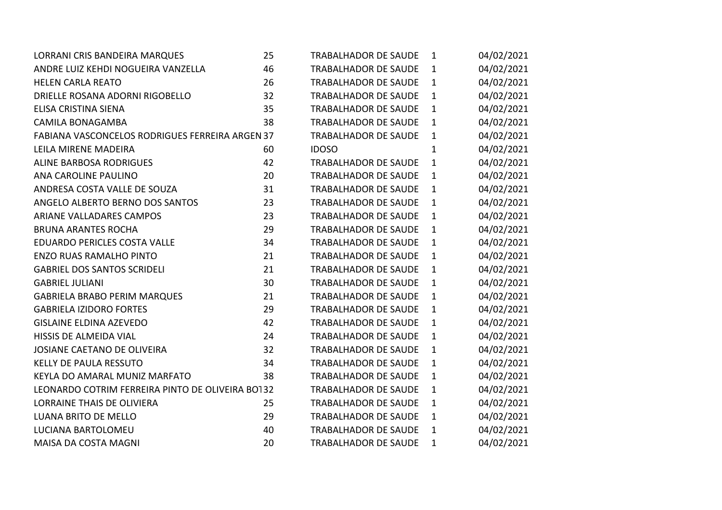| LORRANI CRIS BANDEIRA MARQUES                    | 25 | <b>TRABALHADOR DE SAUDE</b> | $\mathbf{1}$ | 04/02/2021 |
|--------------------------------------------------|----|-----------------------------|--------------|------------|
| ANDRE LUIZ KEHDI NOGUEIRA VANZELLA               | 46 | <b>TRABALHADOR DE SAUDE</b> | $\mathbf{1}$ | 04/02/2021 |
| <b>HELEN CARLA REATO</b>                         | 26 | <b>TRABALHADOR DE SAUDE</b> | $\mathbf{1}$ | 04/02/2021 |
| DRIELLE ROSANA ADORNI RIGOBELLO                  | 32 | <b>TRABALHADOR DE SAUDE</b> | 1            | 04/02/2021 |
| ELISA CRISTINA SIENA                             | 35 | <b>TRABALHADOR DE SAUDE</b> | $\mathbf{1}$ | 04/02/2021 |
| <b>CAMILA BONAGAMBA</b>                          | 38 | TRABALHADOR DE SAUDE        | $\mathbf{1}$ | 04/02/2021 |
| FABIANA VASCONCELOS RODRIGUES FERREIRA ARGEN 37  |    | <b>TRABALHADOR DE SAUDE</b> | $\mathbf{1}$ | 04/02/2021 |
| LEILA MIRENE MADEIRA                             | 60 | <b>IDOSO</b>                | $\mathbf{1}$ | 04/02/2021 |
| ALINE BARBOSA RODRIGUES                          | 42 | <b>TRABALHADOR DE SAUDE</b> | $\mathbf{1}$ | 04/02/2021 |
| ANA CAROLINE PAULINO                             | 20 | <b>TRABALHADOR DE SAUDE</b> | $\mathbf{1}$ | 04/02/2021 |
| ANDRESA COSTA VALLE DE SOUZA                     | 31 | <b>TRABALHADOR DE SAUDE</b> | $\mathbf{1}$ | 04/02/2021 |
| ANGELO ALBERTO BERNO DOS SANTOS                  | 23 | <b>TRABALHADOR DE SAUDE</b> | $\mathbf{1}$ | 04/02/2021 |
| <b>ARIANE VALLADARES CAMPOS</b>                  | 23 | <b>TRABALHADOR DE SAUDE</b> | $\mathbf{1}$ | 04/02/2021 |
| <b>BRUNA ARANTES ROCHA</b>                       | 29 | <b>TRABALHADOR DE SAUDE</b> | $\mathbf{1}$ | 04/02/2021 |
| EDUARDO PERICLES COSTA VALLE                     | 34 | <b>TRABALHADOR DE SAUDE</b> | $\mathbf{1}$ | 04/02/2021 |
| <b>ENZO RUAS RAMALHO PINTO</b>                   | 21 | <b>TRABALHADOR DE SAUDE</b> | $\mathbf{1}$ | 04/02/2021 |
| <b>GABRIEL DOS SANTOS SCRIDELI</b>               | 21 | <b>TRABALHADOR DE SAUDE</b> | $\mathbf{1}$ | 04/02/2021 |
| <b>GABRIEL JULIANI</b>                           | 30 | <b>TRABALHADOR DE SAUDE</b> | $\mathbf{1}$ | 04/02/2021 |
| <b>GABRIELA BRABO PERIM MARQUES</b>              | 21 | <b>TRABALHADOR DE SAUDE</b> | $\mathbf{1}$ | 04/02/2021 |
| <b>GABRIELA IZIDORO FORTES</b>                   | 29 | <b>TRABALHADOR DE SAUDE</b> | $\mathbf{1}$ | 04/02/2021 |
| <b>GISLAINE ELDINA AZEVEDO</b>                   | 42 | <b>TRABALHADOR DE SAUDE</b> | $\mathbf{1}$ | 04/02/2021 |
| HISSIS DE ALMEIDA VIAL                           | 24 | <b>TRABALHADOR DE SAUDE</b> | $\mathbf{1}$ | 04/02/2021 |
| JOSIANE CAETANO DE OLIVEIRA                      | 32 | <b>TRABALHADOR DE SAUDE</b> | $\mathbf{1}$ | 04/02/2021 |
| KELLY DE PAULA RESSUTO                           | 34 | <b>TRABALHADOR DE SAUDE</b> | $\mathbf{1}$ | 04/02/2021 |
| KEYLA DO AMARAL MUNIZ MARFATO                    | 38 | <b>TRABALHADOR DE SAUDE</b> | $\mathbf{1}$ | 04/02/2021 |
| LEONARDO COTRIM FERREIRA PINTO DE OLIVEIRA BO132 |    | <b>TRABALHADOR DE SAUDE</b> | $\mathbf{1}$ | 04/02/2021 |
| <b>LORRAINE THAIS DE OLIVIERA</b>                | 25 | <b>TRABALHADOR DE SAUDE</b> | $\mathbf{1}$ | 04/02/2021 |
| <b>LUANA BRITO DE MELLO</b>                      | 29 | <b>TRABALHADOR DE SAUDE</b> | $\mathbf{1}$ | 04/02/2021 |
| LUCIANA BARTOLOMEU                               | 40 | <b>TRABALHADOR DE SAUDE</b> | $\mathbf{1}$ | 04/02/2021 |
| MAISA DA COSTA MAGNI                             | 20 | <b>TRABALHADOR DE SAUDE</b> | $\mathbf{1}$ | 04/02/2021 |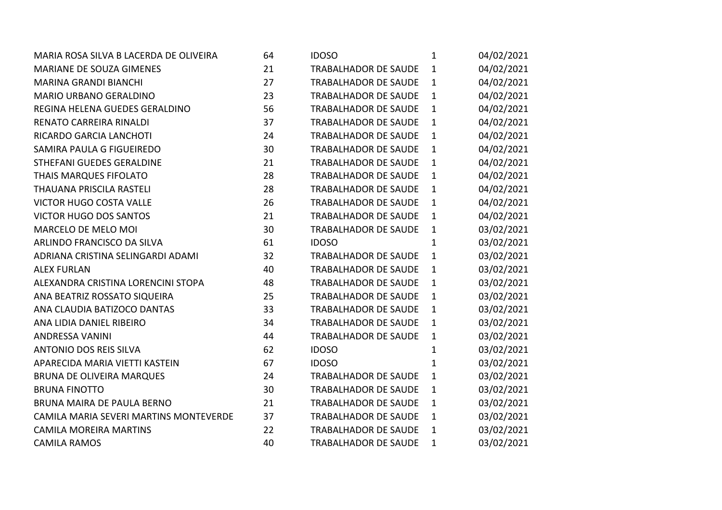| MARIA ROSA SILVA B LACERDA DE OLIVEIRA | 64 | <b>IDOSO</b>                | $\mathbf{1}$ | 04/02/2021 |
|----------------------------------------|----|-----------------------------|--------------|------------|
| MARIANE DE SOUZA GIMENES               | 21 | <b>TRABALHADOR DE SAUDE</b> | $\mathbf{1}$ | 04/02/2021 |
| <b>MARINA GRANDI BIANCHI</b>           | 27 | <b>TRABALHADOR DE SAUDE</b> | $\mathbf{1}$ | 04/02/2021 |
| <b>MARIO URBANO GERALDINO</b>          | 23 | <b>TRABALHADOR DE SAUDE</b> | $\mathbf{1}$ | 04/02/2021 |
| REGINA HELENA GUEDES GERALDINO         | 56 | <b>TRABALHADOR DE SAUDE</b> | $\mathbf{1}$ | 04/02/2021 |
| RENATO CARREIRA RINALDI                | 37 | <b>TRABALHADOR DE SAUDE</b> | $\mathbf{1}$ | 04/02/2021 |
| RICARDO GARCIA LANCHOTI                | 24 | <b>TRABALHADOR DE SAUDE</b> | $\mathbf{1}$ | 04/02/2021 |
| SAMIRA PAULA G FIGUEIREDO              | 30 | <b>TRABALHADOR DE SAUDE</b> | $\mathbf{1}$ | 04/02/2021 |
| STHEFANI GUEDES GERALDINE              | 21 | <b>TRABALHADOR DE SAUDE</b> | $\mathbf{1}$ | 04/02/2021 |
| THAIS MARQUES FIFOLATO                 | 28 | <b>TRABALHADOR DE SAUDE</b> | $\mathbf{1}$ | 04/02/2021 |
| <b>THAUANA PRISCILA RASTELI</b>        | 28 | <b>TRABALHADOR DE SAUDE</b> | $\mathbf{1}$ | 04/02/2021 |
| <b>VICTOR HUGO COSTA VALLE</b>         | 26 | <b>TRABALHADOR DE SAUDE</b> | $\mathbf{1}$ | 04/02/2021 |
| <b>VICTOR HUGO DOS SANTOS</b>          | 21 | <b>TRABALHADOR DE SAUDE</b> | $\mathbf{1}$ | 04/02/2021 |
| MARCELO DE MELO MOI                    | 30 | TRABALHADOR DE SAUDE        | $\mathbf{1}$ | 03/02/2021 |
| ARLINDO FRANCISCO DA SILVA             | 61 | <b>IDOSO</b>                | $\mathbf{1}$ | 03/02/2021 |
| ADRIANA CRISTINA SELINGARDI ADAMI      | 32 | <b>TRABALHADOR DE SAUDE</b> | $\mathbf{1}$ | 03/02/2021 |
| <b>ALEX FURLAN</b>                     | 40 | <b>TRABALHADOR DE SAUDE</b> | $\mathbf{1}$ | 03/02/2021 |
| ALEXANDRA CRISTINA LORENCINI STOPA     | 48 | <b>TRABALHADOR DE SAUDE</b> | $\mathbf{1}$ | 03/02/2021 |
| ANA BEATRIZ ROSSATO SIQUEIRA           | 25 | <b>TRABALHADOR DE SAUDE</b> | $\mathbf{1}$ | 03/02/2021 |
| ANA CLAUDIA BATIZOCO DANTAS            | 33 | <b>TRABALHADOR DE SAUDE</b> | $\mathbf{1}$ | 03/02/2021 |
| ANA LIDIA DANIEL RIBEIRO               | 34 | <b>TRABALHADOR DE SAUDE</b> | $\mathbf{1}$ | 03/02/2021 |
| <b>ANDRESSA VANINI</b>                 | 44 | TRABALHADOR DE SAUDE        | $\mathbf{1}$ | 03/02/2021 |
| <b>ANTONIO DOS REIS SILVA</b>          | 62 | <b>IDOSO</b>                | $\mathbf{1}$ | 03/02/2021 |
| APARECIDA MARIA VIETTI KASTEIN         | 67 | <b>IDOSO</b>                | $\mathbf{1}$ | 03/02/2021 |
| <b>BRUNA DE OLIVEIRA MARQUES</b>       | 24 | <b>TRABALHADOR DE SAUDE</b> | $\mathbf{1}$ | 03/02/2021 |
| <b>BRUNA FINOTTO</b>                   | 30 | TRABALHADOR DE SAUDE        | $\mathbf{1}$ | 03/02/2021 |
| BRUNA MAIRA DE PAULA BERNO             | 21 | <b>TRABALHADOR DE SAUDE</b> | $\mathbf{1}$ | 03/02/2021 |
| CAMILA MARIA SEVERI MARTINS MONTEVERDE | 37 | <b>TRABALHADOR DE SAUDE</b> | $\mathbf{1}$ | 03/02/2021 |
| <b>CAMILA MOREIRA MARTINS</b>          | 22 | <b>TRABALHADOR DE SAUDE</b> | $\mathbf{1}$ | 03/02/2021 |
| <b>CAMILA RAMOS</b>                    | 40 | <b>TRABALHADOR DE SAUDE</b> | 1            | 03/02/2021 |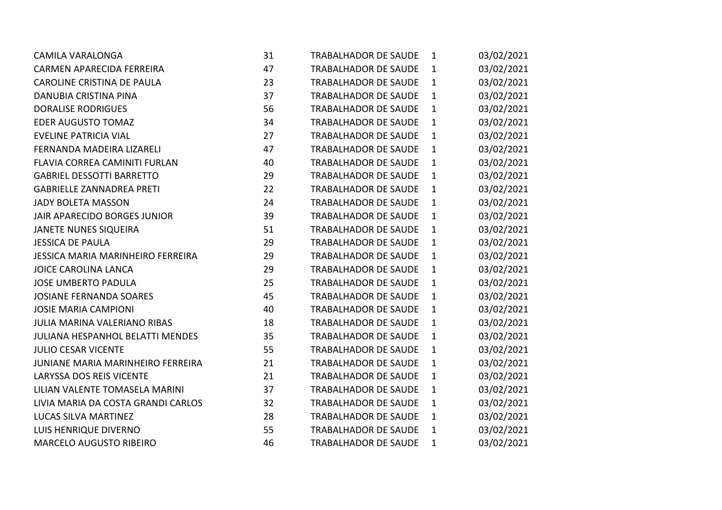| <b>CAMILA VARALONGA</b>                  | 31 | <b>TRABALHADOR DE SAUDE</b> | $\mathbf{1}$ | 03/02/2021 |
|------------------------------------------|----|-----------------------------|--------------|------------|
| <b>CARMEN APARECIDA FERREIRA</b>         | 47 | <b>TRABALHADOR DE SAUDE</b> | $\mathbf{1}$ | 03/02/2021 |
| CAROLINE CRISTINA DE PAULA               | 23 | TRABALHADOR DE SAUDE        | $\mathbf{1}$ | 03/02/2021 |
| DANUBIA CRISTINA PINA                    | 37 | <b>TRABALHADOR DE SAUDE</b> | $\mathbf{1}$ | 03/02/2021 |
| <b>DORALISE RODRIGUES</b>                | 56 | TRABALHADOR DE SAUDE        | $\mathbf{1}$ | 03/02/2021 |
| <b>EDER AUGUSTO TOMAZ</b>                | 34 | <b>TRABALHADOR DE SAUDE</b> | $\mathbf{1}$ | 03/02/2021 |
| <b>EVELINE PATRICIA VIAL</b>             | 27 | <b>TRABALHADOR DE SAUDE</b> | $\mathbf{1}$ | 03/02/2021 |
| FERNANDA MADEIRA LIZARELI                | 47 | <b>TRABALHADOR DE SAUDE</b> | $\mathbf{1}$ | 03/02/2021 |
| FLAVIA CORREA CAMINITI FURLAN            | 40 | <b>TRABALHADOR DE SAUDE</b> | $\mathbf{1}$ | 03/02/2021 |
| <b>GABRIEL DESSOTTI BARRETTO</b>         | 29 | <b>TRABALHADOR DE SAUDE</b> | $\mathbf{1}$ | 03/02/2021 |
| <b>GABRIELLE ZANNADREA PRETI</b>         | 22 | <b>TRABALHADOR DE SAUDE</b> | $\mathbf{1}$ | 03/02/2021 |
| <b>JADY BOLETA MASSON</b>                | 24 | <b>TRABALHADOR DE SAUDE</b> | $\mathbf{1}$ | 03/02/2021 |
| JAIR APARECIDO BORGES JUNIOR             | 39 | <b>TRABALHADOR DE SAUDE</b> | $\mathbf{1}$ | 03/02/2021 |
| <b>JANETE NUNES SIQUEIRA</b>             | 51 | <b>TRABALHADOR DE SAUDE</b> | $\mathbf{1}$ | 03/02/2021 |
| <b>JESSICA DE PAULA</b>                  | 29 | <b>TRABALHADOR DE SAUDE</b> | $\mathbf{1}$ | 03/02/2021 |
| <b>JESSICA MARIA MARINHEIRO FERREIRA</b> | 29 | <b>TRABALHADOR DE SAUDE</b> | $\mathbf{1}$ | 03/02/2021 |
| <b>JOICE CAROLINA LANCA</b>              | 29 | <b>TRABALHADOR DE SAUDE</b> | $\mathbf{1}$ | 03/02/2021 |
| <b>JOSE UMBERTO PADULA</b>               | 25 | <b>TRABALHADOR DE SAUDE</b> | $\mathbf{1}$ | 03/02/2021 |
| <b>JOSIANE FERNANDA SOARES</b>           | 45 | <b>TRABALHADOR DE SAUDE</b> | $\mathbf{1}$ | 03/02/2021 |
| <b>JOSIE MARIA CAMPIONI</b>              | 40 | <b>TRABALHADOR DE SAUDE</b> | $\mathbf{1}$ | 03/02/2021 |
| <b>JULIA MARINA VALERIANO RIBAS</b>      | 18 | <b>TRABALHADOR DE SAUDE</b> | $\mathbf{1}$ | 03/02/2021 |
| JULIANA HESPANHOL BELATTI MENDES         | 35 | <b>TRABALHADOR DE SAUDE</b> | $\mathbf{1}$ | 03/02/2021 |
| <b>JULIO CESAR VICENTE</b>               | 55 | <b>TRABALHADOR DE SAUDE</b> | $\mathbf{1}$ | 03/02/2021 |
| JUNIANE MARIA MARINHEIRO FERREIRA        | 21 | <b>TRABALHADOR DE SAUDE</b> | $\mathbf{1}$ | 03/02/2021 |
| <b>LARYSSA DOS REIS VICENTE</b>          | 21 | <b>TRABALHADOR DE SAUDE</b> | $\mathbf{1}$ | 03/02/2021 |
| LILIAN VALENTE TOMASELA MARINI           | 37 | <b>TRABALHADOR DE SAUDE</b> | 1            | 03/02/2021 |
| LIVIA MARIA DA COSTA GRANDI CARLOS       | 32 | <b>TRABALHADOR DE SAUDE</b> | $\mathbf{1}$ | 03/02/2021 |
| LUCAS SILVA MARTINEZ                     | 28 | <b>TRABALHADOR DE SAUDE</b> | $\mathbf{1}$ | 03/02/2021 |
| LUIS HENRIQUE DIVERNO                    | 55 | <b>TRABALHADOR DE SAUDE</b> | $\mathbf{1}$ | 03/02/2021 |
| <b>MARCELO AUGUSTO RIBEIRO</b>           | 46 | <b>TRABALHADOR DE SAUDE</b> | 1            | 03/02/2021 |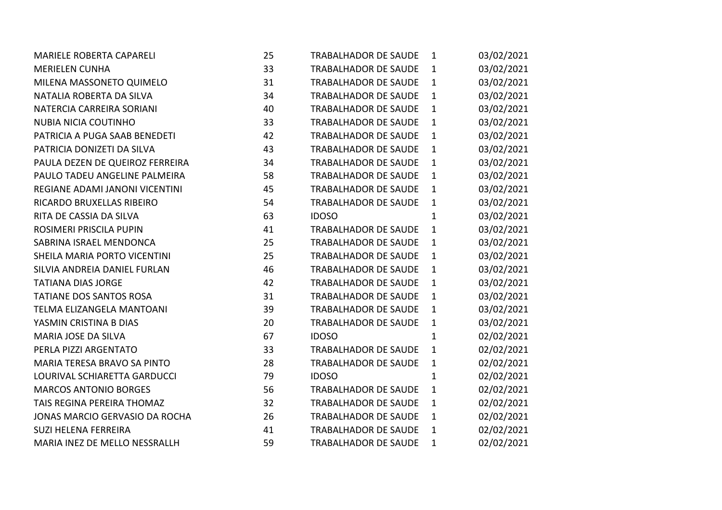| MARIELE ROBERTA CAPARELI        | 25 | TRABALHADOR DE SAUDE        | $\mathbf{1}$ | 03/02/2021 |
|---------------------------------|----|-----------------------------|--------------|------------|
| <b>MERIELEN CUNHA</b>           | 33 | TRABALHADOR DE SAUDE        | $\mathbf{1}$ | 03/02/2021 |
| MILENA MASSONETO QUIMELO        | 31 | <b>TRABALHADOR DE SAUDE</b> | $\mathbf{1}$ | 03/02/2021 |
| NATALIA ROBERTA DA SILVA        | 34 | <b>TRABALHADOR DE SAUDE</b> | $\mathbf{1}$ | 03/02/2021 |
| NATERCIA CARREIRA SORIANI       | 40 | TRABALHADOR DE SAUDE        | $\mathbf{1}$ | 03/02/2021 |
| <b>NUBIA NICIA COUTINHO</b>     | 33 | <b>TRABALHADOR DE SAUDE</b> | $\mathbf{1}$ | 03/02/2021 |
| PATRICIA A PUGA SAAB BENEDETI   | 42 | <b>TRABALHADOR DE SAUDE</b> | $\mathbf{1}$ | 03/02/2021 |
| PATRICIA DONIZETI DA SILVA      | 43 | <b>TRABALHADOR DE SAUDE</b> | $\mathbf{1}$ | 03/02/2021 |
| PAULA DEZEN DE QUEIROZ FERREIRA | 34 | <b>TRABALHADOR DE SAUDE</b> | $\mathbf{1}$ | 03/02/2021 |
| PAULO TADEU ANGELINE PALMEIRA   | 58 | TRABALHADOR DE SAUDE        | $\mathbf{1}$ | 03/02/2021 |
| REGIANE ADAMI JANONI VICENTINI  | 45 | TRABALHADOR DE SAUDE        | $\mathbf{1}$ | 03/02/2021 |
| RICARDO BRUXELLAS RIBEIRO       | 54 | <b>TRABALHADOR DE SAUDE</b> | $\mathbf{1}$ | 03/02/2021 |
| RITA DE CASSIA DA SILVA         | 63 | <b>IDOSO</b>                | $\mathbf{1}$ | 03/02/2021 |
| ROSIMERI PRISCILA PUPIN         | 41 | <b>TRABALHADOR DE SAUDE</b> | $\mathbf{1}$ | 03/02/2021 |
| SABRINA ISRAEL MENDONCA         | 25 | <b>TRABALHADOR DE SAUDE</b> | $\mathbf{1}$ | 03/02/2021 |
| SHEILA MARIA PORTO VICENTINI    | 25 | <b>TRABALHADOR DE SAUDE</b> | $\mathbf{1}$ | 03/02/2021 |
| SILVIA ANDREIA DANIEL FURLAN    | 46 | <b>TRABALHADOR DE SAUDE</b> | $\mathbf{1}$ | 03/02/2021 |
| <b>TATIANA DIAS JORGE</b>       | 42 | TRABALHADOR DE SAUDE        | $\mathbf{1}$ | 03/02/2021 |
| TATIANE DOS SANTOS ROSA         | 31 | <b>TRABALHADOR DE SAUDE</b> | $\mathbf{1}$ | 03/02/2021 |
| TELMA ELIZANGELA MANTOANI       | 39 | <b>TRABALHADOR DE SAUDE</b> | $\mathbf{1}$ | 03/02/2021 |
| YASMIN CRISTINA B DIAS          | 20 | <b>TRABALHADOR DE SAUDE</b> | $\mathbf{1}$ | 03/02/2021 |
| MARIA JOSE DA SILVA             | 67 | <b>IDOSO</b>                | $\mathbf{1}$ | 02/02/2021 |
| PERLA PIZZI ARGENTATO           | 33 | <b>TRABALHADOR DE SAUDE</b> | $\mathbf{1}$ | 02/02/2021 |
| MARIA TERESA BRAVO SA PINTO     | 28 | <b>TRABALHADOR DE SAUDE</b> | $\mathbf{1}$ | 02/02/2021 |
| LOURIVAL SCHIARETTA GARDUCCI    | 79 | <b>IDOSO</b>                | $\mathbf{1}$ | 02/02/2021 |
| <b>MARCOS ANTONIO BORGES</b>    | 56 | TRABALHADOR DE SAUDE        | $\mathbf{1}$ | 02/02/2021 |
| TAIS REGINA PEREIRA THOMAZ      | 32 | TRABALHADOR DE SAUDE        | $\mathbf{1}$ | 02/02/2021 |
| JONAS MARCIO GERVASIO DA ROCHA  | 26 | <b>TRABALHADOR DE SAUDE</b> | $\mathbf{1}$ | 02/02/2021 |
| <b>SUZI HELENA FERREIRA</b>     | 41 | <b>TRABALHADOR DE SAUDE</b> | $\mathbf{1}$ | 02/02/2021 |
| MARIA INEZ DE MELLO NESSRALLH   | 59 | <b>TRABALHADOR DE SAUDE</b> | $\mathbf{1}$ | 02/02/2021 |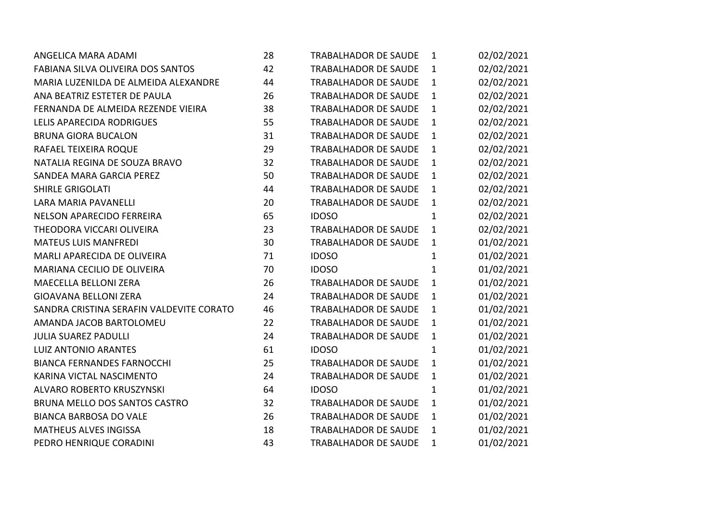| ANGELICA MARA ADAMI                      | 28 | <b>TRABALHADOR DE SAUDE</b> | $\mathbf{1}$ | 02/02/2021 |
|------------------------------------------|----|-----------------------------|--------------|------------|
| FABIANA SILVA OLIVEIRA DOS SANTOS        | 42 | TRABALHADOR DE SAUDE        | $\mathbf{1}$ | 02/02/2021 |
| MARIA LUZENILDA DE ALMEIDA ALEXANDRE     | 44 | <b>TRABALHADOR DE SAUDE</b> | $\mathbf{1}$ | 02/02/2021 |
| ANA BEATRIZ ESTETER DE PAULA             | 26 | <b>TRABALHADOR DE SAUDE</b> | $\mathbf{1}$ | 02/02/2021 |
| FERNANDA DE ALMEIDA REZENDE VIEIRA       | 38 | TRABALHADOR DE SAUDE        | $\mathbf{1}$ | 02/02/2021 |
| LELIS APARECIDA RODRIGUES                | 55 | <b>TRABALHADOR DE SAUDE</b> | $\mathbf{1}$ | 02/02/2021 |
| <b>BRUNA GIORA BUCALON</b>               | 31 | <b>TRABALHADOR DE SAUDE</b> | $\mathbf{1}$ | 02/02/2021 |
| RAFAEL TEIXEIRA ROQUE                    | 29 | <b>TRABALHADOR DE SAUDE</b> | $\mathbf{1}$ | 02/02/2021 |
| NATALIA REGINA DE SOUZA BRAVO            | 32 | <b>TRABALHADOR DE SAUDE</b> | $\mathbf{1}$ | 02/02/2021 |
| SANDEA MARA GARCIA PEREZ                 | 50 | <b>TRABALHADOR DE SAUDE</b> | $\mathbf{1}$ | 02/02/2021 |
| <b>SHIRLE GRIGOLATI</b>                  | 44 | <b>TRABALHADOR DE SAUDE</b> | $\mathbf{1}$ | 02/02/2021 |
| LARA MARIA PAVANELLI                     | 20 | TRABALHADOR DE SAUDE        | $\mathbf{1}$ | 02/02/2021 |
| NELSON APARECIDO FERREIRA                | 65 | <b>IDOSO</b>                | $\mathbf{1}$ | 02/02/2021 |
| THEODORA VICCARI OLIVEIRA                | 23 | <b>TRABALHADOR DE SAUDE</b> | $\mathbf{1}$ | 02/02/2021 |
| <b>MATEUS LUIS MANFREDI</b>              | 30 | <b>TRABALHADOR DE SAUDE</b> | $\mathbf{1}$ | 01/02/2021 |
| MARLI APARECIDA DE OLIVEIRA              | 71 | <b>IDOSO</b>                | $\mathbf{1}$ | 01/02/2021 |
| MARIANA CECILIO DE OLIVEIRA              | 70 | <b>IDOSO</b>                | $\mathbf{1}$ | 01/02/2021 |
| MAECELLA BELLONI ZERA                    | 26 | <b>TRABALHADOR DE SAUDE</b> | $\mathbf{1}$ | 01/02/2021 |
| <b>GIOAVANA BELLONI ZERA</b>             | 24 | <b>TRABALHADOR DE SAUDE</b> | 1            | 01/02/2021 |
| SANDRA CRISTINA SERAFIN VALDEVITE CORATO | 46 | <b>TRABALHADOR DE SAUDE</b> | $\mathbf{1}$ | 01/02/2021 |
| AMANDA JACOB BARTOLOMEU                  | 22 | <b>TRABALHADOR DE SAUDE</b> | 1            | 01/02/2021 |
| <b>JULIA SUAREZ PADULLI</b>              | 24 | <b>TRABALHADOR DE SAUDE</b> | $\mathbf{1}$ | 01/02/2021 |
| <b>LUIZ ANTONIO ARANTES</b>              | 61 | <b>IDOSO</b>                | $\mathbf{1}$ | 01/02/2021 |
| <b>BIANCA FERNANDES FARNOCCHI</b>        | 25 | <b>TRABALHADOR DE SAUDE</b> | $\mathbf{1}$ | 01/02/2021 |
| KARINA VICTAL NASCIMENTO                 | 24 | <b>TRABALHADOR DE SAUDE</b> | $\mathbf{1}$ | 01/02/2021 |
| ALVARO ROBERTO KRUSZYNSKI                | 64 | <b>IDOSO</b>                | $\mathbf{1}$ | 01/02/2021 |
| BRUNA MELLO DOS SANTOS CASTRO            | 32 | <b>TRABALHADOR DE SAUDE</b> | $\mathbf{1}$ | 01/02/2021 |
| <b>BIANCA BARBOSA DO VALE</b>            | 26 | <b>TRABALHADOR DE SAUDE</b> | $\mathbf{1}$ | 01/02/2021 |
| <b>MATHEUS ALVES INGISSA</b>             | 18 | <b>TRABALHADOR DE SAUDE</b> | $\mathbf{1}$ | 01/02/2021 |
| PEDRO HENRIQUE CORADINI                  | 43 | <b>TRABALHADOR DE SAUDE</b> | 1            | 01/02/2021 |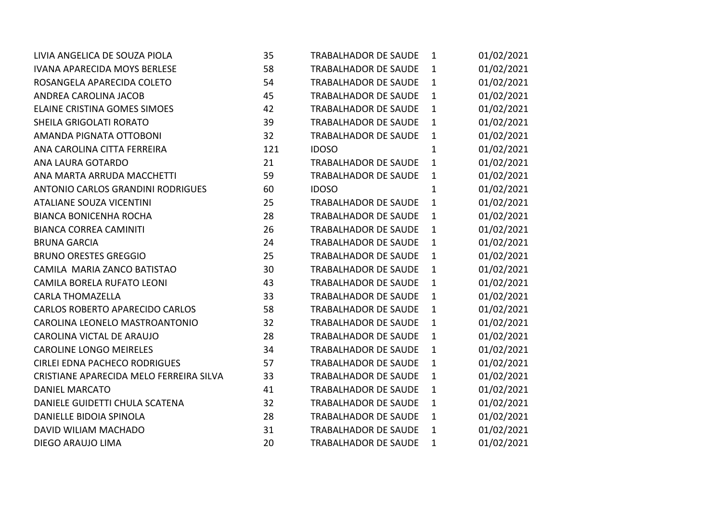| LIVIA ANGELICA DE SOUZA PIOLA           | 35  | TRABALHADOR DE SAUDE        | 1            | 01/02/2021 |
|-----------------------------------------|-----|-----------------------------|--------------|------------|
| <b>IVANA APARECIDA MOYS BERLESE</b>     | 58  | <b>TRABALHADOR DE SAUDE</b> | $\mathbf{1}$ | 01/02/2021 |
| ROSANGELA APARECIDA COLETO              | 54  | <b>TRABALHADOR DE SAUDE</b> | $\mathbf{1}$ | 01/02/2021 |
| ANDREA CAROLINA JACOB                   | 45  | <b>TRABALHADOR DE SAUDE</b> | $\mathbf{1}$ | 01/02/2021 |
| ELAINE CRISTINA GOMES SIMOES            | 42  | <b>TRABALHADOR DE SAUDE</b> | $\mathbf{1}$ | 01/02/2021 |
| SHEILA GRIGOLATI RORATO                 | 39  | <b>TRABALHADOR DE SAUDE</b> | $\mathbf{1}$ | 01/02/2021 |
| AMANDA PIGNATA OTTOBONI                 | 32  | <b>TRABALHADOR DE SAUDE</b> | $\mathbf{1}$ | 01/02/2021 |
| ANA CAROLINA CITTA FERREIRA             | 121 | <b>IDOSO</b>                | $\mathbf{1}$ | 01/02/2021 |
| ANA LAURA GOTARDO                       | 21  | <b>TRABALHADOR DE SAUDE</b> | $\mathbf{1}$ | 01/02/2021 |
| ANA MARTA ARRUDA MACCHETTI              | 59  | TRABALHADOR DE SAUDE        | $\mathbf{1}$ | 01/02/2021 |
| ANTONIO CARLOS GRANDINI RODRIGUES       | 60  | <b>IDOSO</b>                | $\mathbf{1}$ | 01/02/2021 |
| <b>ATALIANE SOUZA VICENTINI</b>         | 25  | <b>TRABALHADOR DE SAUDE</b> | $\mathbf{1}$ | 01/02/2021 |
| <b>BIANCA BONICENHA ROCHA</b>           | 28  | TRABALHADOR DE SAUDE        | $\mathbf{1}$ | 01/02/2021 |
| <b>BIANCA CORREA CAMINITI</b>           | 26  | TRABALHADOR DE SAUDE        | $\mathbf{1}$ | 01/02/2021 |
| <b>BRUNA GARCIA</b>                     | 24  | TRABALHADOR DE SAUDE        | $\mathbf{1}$ | 01/02/2021 |
| <b>BRUNO ORESTES GREGGIO</b>            | 25  | TRABALHADOR DE SAUDE        | $\mathbf{1}$ | 01/02/2021 |
| CAMILA MARIA ZANCO BATISTAO             | 30  | <b>TRABALHADOR DE SAUDE</b> | $\mathbf{1}$ | 01/02/2021 |
| CAMILA BORELA RUFATO LEONI              | 43  | TRABALHADOR DE SAUDE        | $\mathbf{1}$ | 01/02/2021 |
| <b>CARLA THOMAZELLA</b>                 | 33  | <b>TRABALHADOR DE SAUDE</b> | $\mathbf{1}$ | 01/02/2021 |
| <b>CARLOS ROBERTO APARECIDO CARLOS</b>  | 58  | <b>TRABALHADOR DE SAUDE</b> | $\mathbf{1}$ | 01/02/2021 |
| CAROLINA LEONELO MASTROANTONIO          | 32  | TRABALHADOR DE SAUDE        | $\mathbf{1}$ | 01/02/2021 |
| CAROLINA VICTAL DE ARAUJO               | 28  | TRABALHADOR DE SAUDE        | $\mathbf{1}$ | 01/02/2021 |
| CAROLINE LONGO MEIRELES                 | 34  | <b>TRABALHADOR DE SAUDE</b> | $\mathbf{1}$ | 01/02/2021 |
| <b>CIRLEI EDNA PACHECO RODRIGUES</b>    | 57  | TRABALHADOR DE SAUDE        | $\mathbf{1}$ | 01/02/2021 |
| CRISTIANE APARECIDA MELO FERREIRA SILVA | 33  | <b>TRABALHADOR DE SAUDE</b> | $\mathbf{1}$ | 01/02/2021 |
| <b>DANIEL MARCATO</b>                   | 41  | TRABALHADOR DE SAUDE        | $\mathbf{1}$ | 01/02/2021 |
| DANIELE GUIDETTI CHULA SCATENA          | 32  | <b>TRABALHADOR DE SAUDE</b> | $\mathbf{1}$ | 01/02/2021 |
| DANIELLE BIDOIA SPINOLA                 | 28  | TRABALHADOR DE SAUDE        | $\mathbf{1}$ | 01/02/2021 |
| DAVID WILIAM MACHADO                    | 31  | TRABALHADOR DE SAUDE        | $\mathbf{1}$ | 01/02/2021 |
| DIEGO ARAUJO LIMA                       | 20  | TRABALHADOR DE SAUDE        | 1            | 01/02/2021 |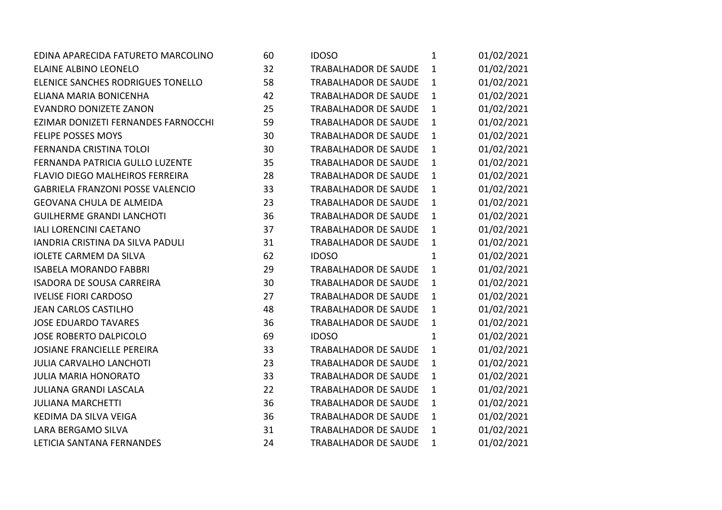| EDINA APARECIDA FATURETO MARCOLINO      | 60 | <b>IDOSO</b>                | $\mathbf{1}$ | 01/02/2021 |
|-----------------------------------------|----|-----------------------------|--------------|------------|
| <b>ELAINE ALBINO LEONELO</b>            | 32 | <b>TRABALHADOR DE SAUDE</b> | $\mathbf{1}$ | 01/02/2021 |
| ELENICE SANCHES RODRIGUES TONELLO       | 58 | <b>TRABALHADOR DE SAUDE</b> | $\mathbf{1}$ | 01/02/2021 |
| ELIANA MARIA BONICENHA                  | 42 | <b>TRABALHADOR DE SAUDE</b> | $\mathbf{1}$ | 01/02/2021 |
| <b>EVANDRO DONIZETE ZANON</b>           | 25 | <b>TRABALHADOR DE SAUDE</b> | $\mathbf{1}$ | 01/02/2021 |
| EZIMAR DONIZETI FERNANDES FARNOCCHI     | 59 | <b>TRABALHADOR DE SAUDE</b> | $\mathbf{1}$ | 01/02/2021 |
| <b>FELIPE POSSES MOYS</b>               | 30 | <b>TRABALHADOR DE SAUDE</b> | $\mathbf{1}$ | 01/02/2021 |
| FERNANDA CRISTINA TOLOI                 | 30 | TRABALHADOR DE SAUDE        | $\mathbf{1}$ | 01/02/2021 |
| FERNANDA PATRICIA GULLO LUZENTE         | 35 | <b>TRABALHADOR DE SAUDE</b> | $\mathbf{1}$ | 01/02/2021 |
| FLAVIO DIEGO MALHEIROS FERREIRA         | 28 | <b>TRABALHADOR DE SAUDE</b> | $\mathbf{1}$ | 01/02/2021 |
| <b>GABRIELA FRANZONI POSSE VALENCIO</b> | 33 | <b>TRABALHADOR DE SAUDE</b> | $\mathbf{1}$ | 01/02/2021 |
| <b>GEOVANA CHULA DE ALMEIDA</b>         | 23 | TRABALHADOR DE SAUDE        | $\mathbf{1}$ | 01/02/2021 |
| <b>GUILHERME GRANDI LANCHOTI</b>        | 36 | <b>TRABALHADOR DE SAUDE</b> | $\mathbf{1}$ | 01/02/2021 |
| <b>IALI LORENCINI CAETANO</b>           | 37 | TRABALHADOR DE SAUDE        | $\mathbf{1}$ | 01/02/2021 |
| IANDRIA CRISTINA DA SILVA PADULI        | 31 | TRABALHADOR DE SAUDE        | $\mathbf{1}$ | 01/02/2021 |
| <b>IOLETE CARMEM DA SILVA</b>           | 62 | <b>IDOSO</b>                | $\mathbf{1}$ | 01/02/2021 |
| <b>ISABELA MORANDO FABBRI</b>           | 29 | <b>TRABALHADOR DE SAUDE</b> | $\mathbf{1}$ | 01/02/2021 |
| <b>ISADORA DE SOUSA CARREIRA</b>        | 30 | <b>TRABALHADOR DE SAUDE</b> | $\mathbf{1}$ | 01/02/2021 |
| <b>IVELISE FIORI CARDOSO</b>            | 27 | TRABALHADOR DE SAUDE        | $\mathbf{1}$ | 01/02/2021 |
| <b>JEAN CARLOS CASTILHO</b>             | 48 | TRABALHADOR DE SAUDE        | $\mathbf{1}$ | 01/02/2021 |
| <b>JOSE EDUARDO TAVARES</b>             | 36 | <b>TRABALHADOR DE SAUDE</b> | $\mathbf{1}$ | 01/02/2021 |
| <b>JOSE ROBERTO DALPICOLO</b>           | 69 | <b>IDOSO</b>                | $\mathbf{1}$ | 01/02/2021 |
| <b>JOSIANE FRANCIELLE PEREIRA</b>       | 33 | <b>TRABALHADOR DE SAUDE</b> | $\mathbf{1}$ | 01/02/2021 |
| <b>JULIA CARVALHO LANCHOTI</b>          | 23 | <b>TRABALHADOR DE SAUDE</b> | $\mathbf{1}$ | 01/02/2021 |
| <b>JULIA MARIA HONORATO</b>             | 33 | <b>TRABALHADOR DE SAUDE</b> | $\mathbf{1}$ | 01/02/2021 |
| <b>JULIANA GRANDI LASCALA</b>           | 22 | TRABALHADOR DE SAUDE        | $\mathbf{1}$ | 01/02/2021 |
| <b>JULIANA MARCHETTI</b>                | 36 | TRABALHADOR DE SAUDE        | $\mathbf{1}$ | 01/02/2021 |
| KEDIMA DA SILVA VEIGA                   | 36 | <b>TRABALHADOR DE SAUDE</b> | $\mathbf{1}$ | 01/02/2021 |
| LARA BERGAMO SILVA                      | 31 | <b>TRABALHADOR DE SAUDE</b> | $\mathbf{1}$ | 01/02/2021 |
| LETICIA SANTANA FERNANDES               | 24 | <b>TRABALHADOR DE SAUDE</b> | 1            | 01/02/2021 |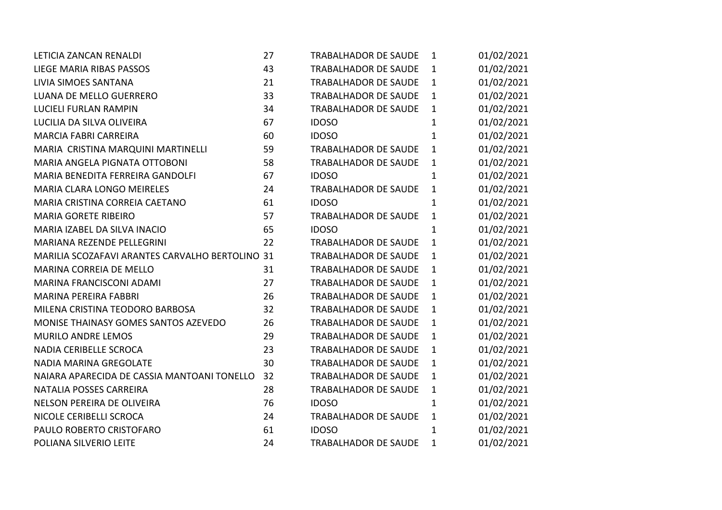| LETICIA ZANCAN RENALDI                          | 27 | <b>TRABALHADOR DE SAUDE</b> | $\mathbf{1}$ | 01/02/2021 |
|-------------------------------------------------|----|-----------------------------|--------------|------------|
| <b>LIEGE MARIA RIBAS PASSOS</b>                 | 43 | <b>TRABALHADOR DE SAUDE</b> | $\mathbf{1}$ | 01/02/2021 |
| LIVIA SIMOES SANTANA                            | 21 | <b>TRABALHADOR DE SAUDE</b> | $\mathbf{1}$ | 01/02/2021 |
| LUANA DE MELLO GUERRERO                         | 33 | <b>TRABALHADOR DE SAUDE</b> | $\mathbf{1}$ | 01/02/2021 |
| <b>LUCIELI FURLAN RAMPIN</b>                    | 34 | <b>TRABALHADOR DE SAUDE</b> | $\mathbf{1}$ | 01/02/2021 |
| LUCILIA DA SILVA OLIVEIRA                       | 67 | <b>IDOSO</b>                | $\mathbf{1}$ | 01/02/2021 |
| <b>MARCIA FABRI CARREIRA</b>                    | 60 | <b>IDOSO</b>                | $\mathbf{1}$ | 01/02/2021 |
| MARIA CRISTINA MARQUINI MARTINELLI              | 59 | <b>TRABALHADOR DE SAUDE</b> | $\mathbf{1}$ | 01/02/2021 |
| MARIA ANGELA PIGNATA OTTOBONI                   | 58 | <b>TRABALHADOR DE SAUDE</b> | $\mathbf{1}$ | 01/02/2021 |
| MARIA BENEDITA FERREIRA GANDOLFI                | 67 | <b>IDOSO</b>                | 1            | 01/02/2021 |
| MARIA CLARA LONGO MEIRELES                      | 24 | <b>TRABALHADOR DE SAUDE</b> | $\mathbf{1}$ | 01/02/2021 |
| MARIA CRISTINA CORREIA CAETANO                  | 61 | <b>IDOSO</b>                | $\mathbf{1}$ | 01/02/2021 |
| <b>MARIA GORETE RIBEIRO</b>                     | 57 | <b>TRABALHADOR DE SAUDE</b> | $\mathbf{1}$ | 01/02/2021 |
| MARIA IZABEL DA SILVA INACIO                    | 65 | <b>IDOSO</b>                | $\mathbf{1}$ | 01/02/2021 |
| MARIANA REZENDE PELLEGRINI                      | 22 | <b>TRABALHADOR DE SAUDE</b> | $\mathbf{1}$ | 01/02/2021 |
| MARILIA SCOZAFAVI ARANTES CARVALHO BERTOLINO 31 |    | <b>TRABALHADOR DE SAUDE</b> | $\mathbf{1}$ | 01/02/2021 |
| MARINA CORREIA DE MELLO                         | 31 | <b>TRABALHADOR DE SAUDE</b> | $\mathbf{1}$ | 01/02/2021 |
| MARINA FRANCISCONI ADAMI                        | 27 | <b>TRABALHADOR DE SAUDE</b> | $\mathbf{1}$ | 01/02/2021 |
| <b>MARINA PEREIRA FABBRI</b>                    | 26 | <b>TRABALHADOR DE SAUDE</b> | $\mathbf{1}$ | 01/02/2021 |
| MILENA CRISTINA TEODORO BARBOSA                 | 32 | <b>TRABALHADOR DE SAUDE</b> | $\mathbf{1}$ | 01/02/2021 |
| MONISE THAINASY GOMES SANTOS AZEVEDO            | 26 | <b>TRABALHADOR DE SAUDE</b> | $\mathbf{1}$ | 01/02/2021 |
| MURILO ANDRE LEMOS                              | 29 | <b>TRABALHADOR DE SAUDE</b> | $\mathbf{1}$ | 01/02/2021 |
| NADIA CERIBELLE SCROCA                          | 23 | TRABALHADOR DE SAUDE        | $\mathbf{1}$ | 01/02/2021 |
| NADIA MARINA GREGOLATE                          | 30 | <b>TRABALHADOR DE SAUDE</b> | $\mathbf{1}$ | 01/02/2021 |
| NAIARA APARECIDA DE CASSIA MANTOANI TONELLO     | 32 | <b>TRABALHADOR DE SAUDE</b> | $\mathbf{1}$ | 01/02/2021 |
| NATALIA POSSES CARREIRA                         | 28 | TRABALHADOR DE SAUDE        | $\mathbf{1}$ | 01/02/2021 |
| NELSON PEREIRA DE OLIVEIRA                      | 76 | <b>IDOSO</b>                | $\mathbf{1}$ | 01/02/2021 |
| NICOLE CERIBELLI SCROCA                         | 24 | TRABALHADOR DE SAUDE        | $\mathbf{1}$ | 01/02/2021 |
| PAULO ROBERTO CRISTOFARO                        | 61 | <b>IDOSO</b>                | $\mathbf{1}$ | 01/02/2021 |
| POLIANA SILVERIO LEITE                          | 24 | <b>TRABALHADOR DE SAUDE</b> | 1            | 01/02/2021 |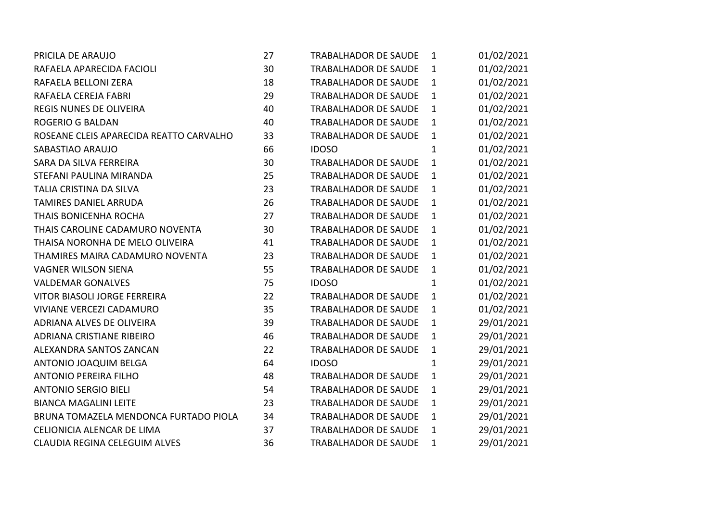| PRICILA DE ARAUJO                       | 27 | <b>TRABALHADOR DE SAUDE</b> | $\mathbf{1}$ | 01/02/2021 |
|-----------------------------------------|----|-----------------------------|--------------|------------|
| RAFAELA APARECIDA FACIOLI               | 30 | <b>TRABALHADOR DE SAUDE</b> | $\mathbf{1}$ | 01/02/2021 |
| RAFAELA BELLONI ZERA                    | 18 | <b>TRABALHADOR DE SAUDE</b> | $\mathbf{1}$ | 01/02/2021 |
| RAFAELA CEREJA FABRI                    | 29 | <b>TRABALHADOR DE SAUDE</b> | $\mathbf{1}$ | 01/02/2021 |
| <b>REGIS NUNES DE OLIVEIRA</b>          | 40 | <b>TRABALHADOR DE SAUDE</b> | $\mathbf{1}$ | 01/02/2021 |
| <b>ROGERIO G BALDAN</b>                 | 40 | TRABALHADOR DE SAUDE        | $\mathbf{1}$ | 01/02/2021 |
| ROSEANE CLEIS APARECIDA REATTO CARVALHO | 33 | <b>TRABALHADOR DE SAUDE</b> | $\mathbf{1}$ | 01/02/2021 |
| SABASTIAO ARAUJO                        | 66 | <b>IDOSO</b>                | $\mathbf{1}$ | 01/02/2021 |
| SARA DA SILVA FERREIRA                  | 30 | <b>TRABALHADOR DE SAUDE</b> | $\mathbf{1}$ | 01/02/2021 |
| STEFANI PAULINA MIRANDA                 | 25 | TRABALHADOR DE SAUDE        | $\mathbf{1}$ | 01/02/2021 |
| TALIA CRISTINA DA SILVA                 | 23 | <b>TRABALHADOR DE SAUDE</b> | 1            | 01/02/2021 |
| TAMIRES DANIEL ARRUDA                   | 26 | <b>TRABALHADOR DE SAUDE</b> | $\mathbf{1}$ | 01/02/2021 |
| <b>THAIS BONICENHA ROCHA</b>            | 27 | <b>TRABALHADOR DE SAUDE</b> | $\mathbf{1}$ | 01/02/2021 |
| THAIS CAROLINE CADAMURO NOVENTA         | 30 | <b>TRABALHADOR DE SAUDE</b> | $\mathbf{1}$ | 01/02/2021 |
| THAISA NORONHA DE MELO OLIVEIRA         | 41 | <b>TRABALHADOR DE SAUDE</b> | $\mathbf{1}$ | 01/02/2021 |
| THAMIRES MAIRA CADAMURO NOVENTA         | 23 | <b>TRABALHADOR DE SAUDE</b> | $\mathbf{1}$ | 01/02/2021 |
| <b>VAGNER WILSON SIENA</b>              | 55 | <b>TRABALHADOR DE SAUDE</b> | $\mathbf{1}$ | 01/02/2021 |
| <b>VALDEMAR GONALVES</b>                | 75 | <b>IDOSO</b>                | 1            | 01/02/2021 |
| VITOR BIASOLI JORGE FERREIRA            | 22 | <b>TRABALHADOR DE SAUDE</b> | $\mathbf{1}$ | 01/02/2021 |
| <b>VIVIANE VERCEZI CADAMURO</b>         | 35 | <b>TRABALHADOR DE SAUDE</b> | $\mathbf{1}$ | 01/02/2021 |
| ADRIANA ALVES DE OLIVEIRA               | 39 | <b>TRABALHADOR DE SAUDE</b> | $\mathbf{1}$ | 29/01/2021 |
| ADRIANA CRISTIANE RIBEIRO               | 46 | <b>TRABALHADOR DE SAUDE</b> | $\mathbf{1}$ | 29/01/2021 |
| ALEXANDRA SANTOS ZANCAN                 | 22 | <b>TRABALHADOR DE SAUDE</b> | $\mathbf{1}$ | 29/01/2021 |
| ANTONIO JOAQUIM BELGA                   | 64 | <b>IDOSO</b>                | $\mathbf{1}$ | 29/01/2021 |
| <b>ANTONIO PEREIRA FILHO</b>            | 48 | <b>TRABALHADOR DE SAUDE</b> | $\mathbf{1}$ | 29/01/2021 |
| <b>ANTONIO SERGIO BIELI</b>             | 54 | <b>TRABALHADOR DE SAUDE</b> | $\mathbf{1}$ | 29/01/2021 |
| <b>BIANCA MAGALINI LEITE</b>            | 23 | <b>TRABALHADOR DE SAUDE</b> | $\mathbf{1}$ | 29/01/2021 |
| BRUNA TOMAZELA MENDONCA FURTADO PIOLA   | 34 | <b>TRABALHADOR DE SAUDE</b> | $\mathbf{1}$ | 29/01/2021 |
| CELIONICIA ALENCAR DE LIMA              | 37 | <b>TRABALHADOR DE SAUDE</b> | $\mathbf{1}$ | 29/01/2021 |
| CLAUDIA REGINA CELEGUIM ALVES           | 36 | <b>TRABALHADOR DE SAUDE</b> | $\mathbf{1}$ | 29/01/2021 |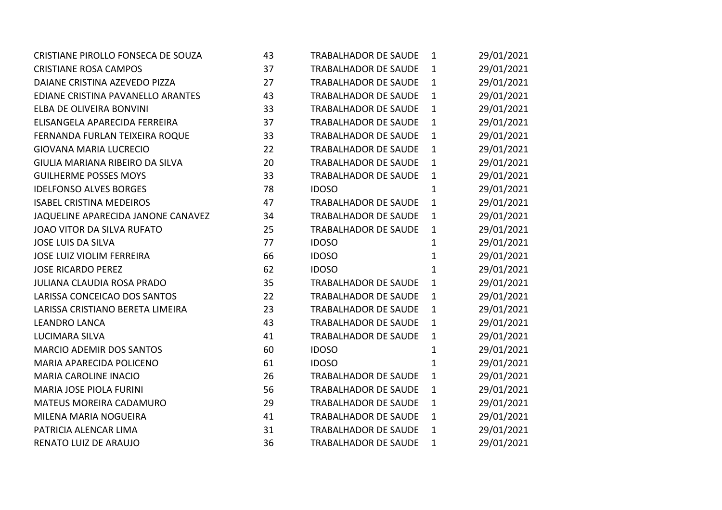| CRISTIANE PIROLLO FONSECA DE SOUZA | 43 | TRABALHADOR DE SAUDE        | 1            | 29/01/2021 |  |
|------------------------------------|----|-----------------------------|--------------|------------|--|
| <b>CRISTIANE ROSA CAMPOS</b>       | 37 | TRABALHADOR DE SAUDE        | $\mathbf{1}$ | 29/01/2021 |  |
| DAIANE CRISTINA AZEVEDO PIZZA      | 27 | TRABALHADOR DE SAUDE        | $\mathbf{1}$ | 29/01/2021 |  |
| EDIANE CRISTINA PAVANELLO ARANTES  | 43 | TRABALHADOR DE SAUDE        | $\mathbf{1}$ | 29/01/2021 |  |
| ELBA DE OLIVEIRA BONVINI           | 33 | TRABALHADOR DE SAUDE        | $\mathbf{1}$ | 29/01/2021 |  |
| ELISANGELA APARECIDA FERREIRA      | 37 | <b>TRABALHADOR DE SAUDE</b> | $\mathbf{1}$ | 29/01/2021 |  |
| FERNANDA FURLAN TEIXEIRA ROQUE     | 33 | TRABALHADOR DE SAUDE        | $\mathbf{1}$ | 29/01/2021 |  |
| <b>GIOVANA MARIA LUCRECIO</b>      | 22 | <b>TRABALHADOR DE SAUDE</b> | $\mathbf{1}$ | 29/01/2021 |  |
| GIULIA MARIANA RIBEIRO DA SILVA    | 20 | TRABALHADOR DE SAUDE        | $\mathbf{1}$ | 29/01/2021 |  |
| <b>GUILHERME POSSES MOYS</b>       | 33 | TRABALHADOR DE SAUDE        | $\mathbf{1}$ | 29/01/2021 |  |
| <b>IDELFONSO ALVES BORGES</b>      | 78 | <b>IDOSO</b>                | $\mathbf{1}$ | 29/01/2021 |  |
| <b>ISABEL CRISTINA MEDEIROS</b>    | 47 | TRABALHADOR DE SAUDE        | $\mathbf{1}$ | 29/01/2021 |  |
| JAQUELINE APARECIDA JANONE CANAVEZ | 34 | TRABALHADOR DE SAUDE        | $\mathbf{1}$ | 29/01/2021 |  |
| JOAO VITOR DA SILVA RUFATO         | 25 | TRABALHADOR DE SAUDE        | $\mathbf{1}$ | 29/01/2021 |  |
| <b>JOSE LUIS DA SILVA</b>          | 77 | <b>IDOSO</b>                | $\mathbf{1}$ | 29/01/2021 |  |
| <b>JOSE LUIZ VIOLIM FERREIRA</b>   | 66 | <b>IDOSO</b>                | $\mathbf{1}$ | 29/01/2021 |  |
| <b>JOSE RICARDO PEREZ</b>          | 62 | <b>IDOSO</b>                | $\mathbf{1}$ | 29/01/2021 |  |
| JULIANA CLAUDIA ROSA PRADO         | 35 | TRABALHADOR DE SAUDE        | $\mathbf{1}$ | 29/01/2021 |  |
| LARISSA CONCEICAO DOS SANTOS       | 22 | <b>TRABALHADOR DE SAUDE</b> | $\mathbf{1}$ | 29/01/2021 |  |
| LARISSA CRISTIANO BERETA LIMEIRA   | 23 | <b>TRABALHADOR DE SAUDE</b> | $\mathbf{1}$ | 29/01/2021 |  |
| <b>LEANDRO LANCA</b>               | 43 | TRABALHADOR DE SAUDE        | $\mathbf{1}$ | 29/01/2021 |  |
| LUCIMARA SILVA                     | 41 | TRABALHADOR DE SAUDE        | $\mathbf{1}$ | 29/01/2021 |  |
| <b>MARCIO ADEMIR DOS SANTOS</b>    | 60 | <b>IDOSO</b>                | 1            | 29/01/2021 |  |
| MARIA APARECIDA POLICENO           | 61 | <b>IDOSO</b>                | $\mathbf{1}$ | 29/01/2021 |  |
| <b>MARIA CAROLINE INACIO</b>       | 26 | TRABALHADOR DE SAUDE        | $\mathbf{1}$ | 29/01/2021 |  |
| <b>MARIA JOSE PIOLA FURINI</b>     | 56 | TRABALHADOR DE SAUDE        | $\mathbf{1}$ | 29/01/2021 |  |
| MATEUS MOREIRA CADAMURO            | 29 | TRABALHADOR DE SAUDE        | $\mathbf{1}$ | 29/01/2021 |  |
| MILENA MARIA NOGUEIRA              | 41 | TRABALHADOR DE SAUDE        | $\mathbf{1}$ | 29/01/2021 |  |
| PATRICIA ALENCAR LIMA              | 31 | TRABALHADOR DE SAUDE        | $\mathbf{1}$ | 29/01/2021 |  |
| RENATO LUIZ DE ARAUJO              | 36 | TRABALHADOR DE SAUDE        | $\mathbf{1}$ | 29/01/2021 |  |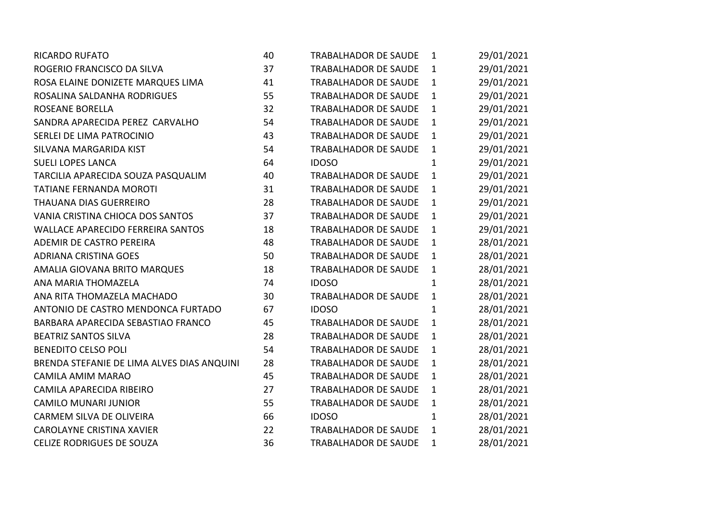| <b>RICARDO RUFATO</b>                      | 40 | <b>TRABALHADOR DE SAUDE</b> | $\mathbf{1}$ | 29/01/2021 |
|--------------------------------------------|----|-----------------------------|--------------|------------|
| ROGERIO FRANCISCO DA SILVA                 | 37 | <b>TRABALHADOR DE SAUDE</b> | $\mathbf{1}$ | 29/01/2021 |
| ROSA ELAINE DONIZETE MARQUES LIMA          | 41 | TRABALHADOR DE SAUDE        | $\mathbf{1}$ | 29/01/2021 |
| ROSALINA SALDANHA RODRIGUES                | 55 | <b>TRABALHADOR DE SAUDE</b> | $\mathbf{1}$ | 29/01/2021 |
| <b>ROSEANE BORELLA</b>                     | 32 | <b>TRABALHADOR DE SAUDE</b> | $\mathbf{1}$ | 29/01/2021 |
| SANDRA APARECIDA PEREZ CARVALHO            | 54 | <b>TRABALHADOR DE SAUDE</b> | $\mathbf{1}$ | 29/01/2021 |
| SERLEI DE LIMA PATROCINIO                  | 43 | TRABALHADOR DE SAUDE        | $\mathbf{1}$ | 29/01/2021 |
| SILVANA MARGARIDA KIST                     | 54 | <b>TRABALHADOR DE SAUDE</b> | $\mathbf{1}$ | 29/01/2021 |
| <b>SUELI LOPES LANCA</b>                   | 64 | <b>IDOSO</b>                | $\mathbf{1}$ | 29/01/2021 |
| TARCILIA APARECIDA SOUZA PASQUALIM         | 40 | <b>TRABALHADOR DE SAUDE</b> | $\mathbf{1}$ | 29/01/2021 |
| <b>TATIANE FERNANDA MOROTI</b>             | 31 | <b>TRABALHADOR DE SAUDE</b> | $\mathbf{1}$ | 29/01/2021 |
| THAUANA DIAS GUERREIRO                     | 28 | <b>TRABALHADOR DE SAUDE</b> | $\mathbf{1}$ | 29/01/2021 |
| VANIA CRISTINA CHIOCA DOS SANTOS           | 37 | <b>TRABALHADOR DE SAUDE</b> | $\mathbf{1}$ | 29/01/2021 |
| <b>WALLACE APARECIDO FERREIRA SANTOS</b>   | 18 | <b>TRABALHADOR DE SAUDE</b> | $\mathbf{1}$ | 29/01/2021 |
| ADEMIR DE CASTRO PEREIRA                   | 48 | TRABALHADOR DE SAUDE        | $\mathbf{1}$ | 28/01/2021 |
| <b>ADRIANA CRISTINA GOES</b>               | 50 | <b>TRABALHADOR DE SAUDE</b> | $\mathbf{1}$ | 28/01/2021 |
| AMALIA GIOVANA BRITO MARQUES               | 18 | <b>TRABALHADOR DE SAUDE</b> | $\mathbf{1}$ | 28/01/2021 |
| ANA MARIA THOMAZELA                        | 74 | <b>IDOSO</b>                | $\mathbf{1}$ | 28/01/2021 |
| ANA RITA THOMAZELA MACHADO                 | 30 | TRABALHADOR DE SAUDE        | $\mathbf{1}$ | 28/01/2021 |
| ANTONIO DE CASTRO MENDONCA FURTADO         | 67 | <b>IDOSO</b>                | $\mathbf{1}$ | 28/01/2021 |
| BARBARA APARECIDA SEBASTIAO FRANCO         | 45 | <b>TRABALHADOR DE SAUDE</b> | $\mathbf{1}$ | 28/01/2021 |
| <b>BEATRIZ SANTOS SILVA</b>                | 28 | <b>TRABALHADOR DE SAUDE</b> | $\mathbf{1}$ | 28/01/2021 |
| <b>BENEDITO CELSO POLI</b>                 | 54 | TRABALHADOR DE SAUDE        | $\mathbf{1}$ | 28/01/2021 |
| BRENDA STEFANIE DE LIMA ALVES DIAS ANQUINI | 28 | <b>TRABALHADOR DE SAUDE</b> | $\mathbf{1}$ | 28/01/2021 |
| CAMILA AMIM MARAO                          | 45 | <b>TRABALHADOR DE SAUDE</b> | $\mathbf{1}$ | 28/01/2021 |
| CAMILA APARECIDA RIBEIRO                   | 27 | <b>TRABALHADOR DE SAUDE</b> | $\mathbf{1}$ | 28/01/2021 |
| <b>CAMILO MUNARI JUNIOR</b>                | 55 | <b>TRABALHADOR DE SAUDE</b> | $\mathbf{1}$ | 28/01/2021 |
| CARMEM SILVA DE OLIVEIRA                   | 66 | <b>IDOSO</b>                | $\mathbf{1}$ | 28/01/2021 |
| <b>CAROLAYNE CRISTINA XAVIER</b>           | 22 | <b>TRABALHADOR DE SAUDE</b> | $\mathbf{1}$ | 28/01/2021 |
| <b>CELIZE RODRIGUES DE SOUZA</b>           | 36 | <b>TRABALHADOR DE SAUDE</b> | 1            | 28/01/2021 |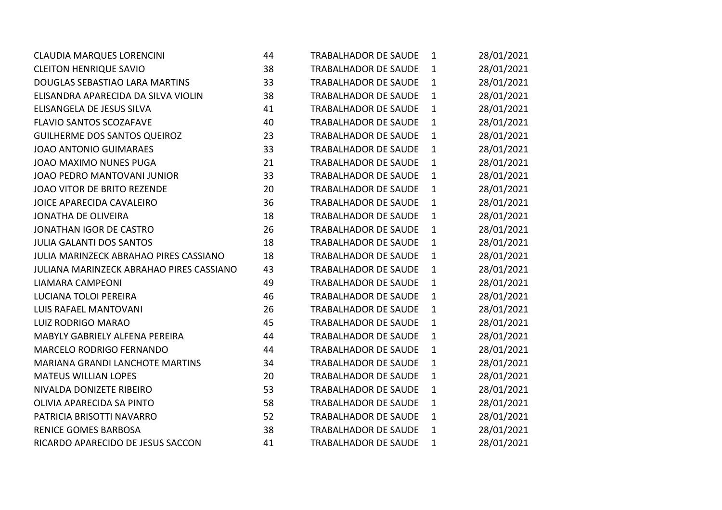| <b>CLAUDIA MARQUES LORENCINI</b>         | 44 | <b>TRABALHADOR DE SAUDE</b> | $\mathbf{1}$ | 28/01/2021 |
|------------------------------------------|----|-----------------------------|--------------|------------|
| <b>CLEITON HENRIQUE SAVIO</b>            | 38 | <b>TRABALHADOR DE SAUDE</b> | $\mathbf{1}$ | 28/01/2021 |
| DOUGLAS SEBASTIAO LARA MARTINS           | 33 | <b>TRABALHADOR DE SAUDE</b> | $\mathbf{1}$ | 28/01/2021 |
| ELISANDRA APARECIDA DA SILVA VIOLIN      | 38 | <b>TRABALHADOR DE SAUDE</b> | $\mathbf{1}$ | 28/01/2021 |
| ELISANGELA DE JESUS SILVA                | 41 | <b>TRABALHADOR DE SAUDE</b> | $\mathbf{1}$ | 28/01/2021 |
| <b>FLAVIO SANTOS SCOZAFAVE</b>           | 40 | <b>TRABALHADOR DE SAUDE</b> | $\mathbf{1}$ | 28/01/2021 |
| GUILHERME DOS SANTOS QUEIROZ             | 23 | <b>TRABALHADOR DE SAUDE</b> | $\mathbf{1}$ | 28/01/2021 |
| <b>JOAO ANTONIO GUIMARAES</b>            | 33 | <b>TRABALHADOR DE SAUDE</b> | $\mathbf{1}$ | 28/01/2021 |
| JOAO MAXIMO NUNES PUGA                   | 21 | <b>TRABALHADOR DE SAUDE</b> | $\mathbf{1}$ | 28/01/2021 |
| JOAO PEDRO MANTOVANI JUNIOR              | 33 | <b>TRABALHADOR DE SAUDE</b> | $\mathbf{1}$ | 28/01/2021 |
| JOAO VITOR DE BRITO REZENDE              | 20 | <b>TRABALHADOR DE SAUDE</b> | $\mathbf{1}$ | 28/01/2021 |
| JOICE APARECIDA CAVALEIRO                | 36 | <b>TRABALHADOR DE SAUDE</b> | 1            | 28/01/2021 |
| <b>JONATHA DE OLIVEIRA</b>               | 18 | <b>TRABALHADOR DE SAUDE</b> | $\mathbf{1}$ | 28/01/2021 |
| JONATHAN IGOR DE CASTRO                  | 26 | <b>TRABALHADOR DE SAUDE</b> | $\mathbf{1}$ | 28/01/2021 |
| <b>JULIA GALANTI DOS SANTOS</b>          | 18 | <b>TRABALHADOR DE SAUDE</b> | $\mathbf{1}$ | 28/01/2021 |
| JULIA MARINZECK ABRAHAO PIRES CASSIANO   | 18 | <b>TRABALHADOR DE SAUDE</b> | 1            | 28/01/2021 |
| JULIANA MARINZECK ABRAHAO PIRES CASSIANO | 43 | <b>TRABALHADOR DE SAUDE</b> | $\mathbf{1}$ | 28/01/2021 |
| <b>LIAMARA CAMPEONI</b>                  | 49 | <b>TRABALHADOR DE SAUDE</b> | $\mathbf{1}$ | 28/01/2021 |
| LUCIANA TOLOI PEREIRA                    | 46 | <b>TRABALHADOR DE SAUDE</b> | 1            | 28/01/2021 |
| <b>LUIS RAFAEL MANTOVANI</b>             | 26 | <b>TRABALHADOR DE SAUDE</b> | 1            | 28/01/2021 |
| LUIZ RODRIGO MARAO                       | 45 | <b>TRABALHADOR DE SAUDE</b> | $\mathbf{1}$ | 28/01/2021 |
| MABYLY GABRIELY ALFENA PEREIRA           | 44 | <b>TRABALHADOR DE SAUDE</b> | $\mathbf{1}$ | 28/01/2021 |
| MARCELO RODRIGO FERNANDO                 | 44 | <b>TRABALHADOR DE SAUDE</b> | 1            | 28/01/2021 |
| <b>MARIANA GRANDI LANCHOTE MARTINS</b>   | 34 | <b>TRABALHADOR DE SAUDE</b> | 1            | 28/01/2021 |
| <b>MATEUS WILLIAN LOPES</b>              | 20 | <b>TRABALHADOR DE SAUDE</b> | $\mathbf{1}$ | 28/01/2021 |
| NIVALDA DONIZETE RIBEIRO                 | 53 | <b>TRABALHADOR DE SAUDE</b> | $\mathbf{1}$ | 28/01/2021 |
| OLIVIA APARECIDA SA PINTO                | 58 | <b>TRABALHADOR DE SAUDE</b> | 1            | 28/01/2021 |
| PATRICIA BRISOTTI NAVARRO                | 52 | <b>TRABALHADOR DE SAUDE</b> | $\mathbf{1}$ | 28/01/2021 |
| <b>RENICE GOMES BARBOSA</b>              | 38 | <b>TRABALHADOR DE SAUDE</b> | 1            | 28/01/2021 |
| RICARDO APARECIDO DE JESUS SACCON        | 41 | <b>TRABALHADOR DE SAUDE</b> | 1            | 28/01/2021 |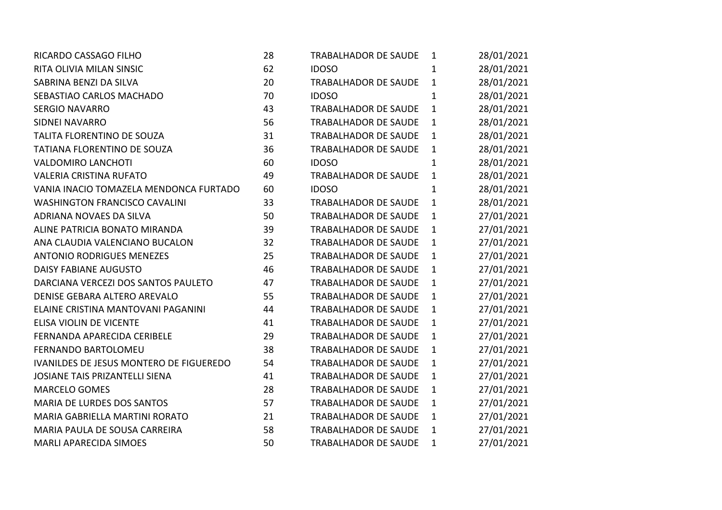| RICARDO CASSAGO FILHO                   | 28 | <b>TRABALHADOR DE SAUDE</b> | $\mathbf{1}$ | 28/01/2021 |
|-----------------------------------------|----|-----------------------------|--------------|------------|
| RITA OLIVIA MILAN SINSIC                | 62 | <b>IDOSO</b>                | 1            | 28/01/2021 |
| SABRINA BENZI DA SILVA                  | 20 | <b>TRABALHADOR DE SAUDE</b> | $\mathbf{1}$ | 28/01/2021 |
| SEBASTIAO CARLOS MACHADO                | 70 | <b>IDOSO</b>                | $\mathbf{1}$ | 28/01/2021 |
| <b>SERGIO NAVARRO</b>                   | 43 | TRABALHADOR DE SAUDE        | $\mathbf{1}$ | 28/01/2021 |
| <b>SIDNEI NAVARRO</b>                   | 56 | <b>TRABALHADOR DE SAUDE</b> | $\mathbf{1}$ | 28/01/2021 |
| TALITA FLORENTINO DE SOUZA              | 31 | TRABALHADOR DE SAUDE        | $\mathbf{1}$ | 28/01/2021 |
| TATIANA FLORENTINO DE SOUZA             | 36 | <b>TRABALHADOR DE SAUDE</b> | $\mathbf{1}$ | 28/01/2021 |
| <b>VALDOMIRO LANCHOTI</b>               | 60 | <b>IDOSO</b>                | $\mathbf{1}$ | 28/01/2021 |
| <b>VALERIA CRISTINA RUFATO</b>          | 49 | <b>TRABALHADOR DE SAUDE</b> | $\mathbf{1}$ | 28/01/2021 |
| VANIA INACIO TOMAZELA MENDONCA FURTADO  | 60 | <b>IDOSO</b>                | $\mathbf{1}$ | 28/01/2021 |
| <b>WASHINGTON FRANCISCO CAVALINI</b>    | 33 | <b>TRABALHADOR DE SAUDE</b> | $\mathbf{1}$ | 28/01/2021 |
| ADRIANA NOVAES DA SILVA                 | 50 | TRABALHADOR DE SAUDE        | $\mathbf{1}$ | 27/01/2021 |
| ALINE PATRICIA BONATO MIRANDA           | 39 | <b>TRABALHADOR DE SAUDE</b> | $\mathbf{1}$ | 27/01/2021 |
| ANA CLAUDIA VALENCIANO BUCALON          | 32 | <b>TRABALHADOR DE SAUDE</b> | $\mathbf{1}$ | 27/01/2021 |
| <b>ANTONIO RODRIGUES MENEZES</b>        | 25 | TRABALHADOR DE SAUDE        | $\mathbf{1}$ | 27/01/2021 |
| <b>DAISY FABIANE AUGUSTO</b>            | 46 | <b>TRABALHADOR DE SAUDE</b> | $\mathbf{1}$ | 27/01/2021 |
| DARCIANA VERCEZI DOS SANTOS PAULETO     | 47 | <b>TRABALHADOR DE SAUDE</b> | $\mathbf{1}$ | 27/01/2021 |
| DENISE GEBARA ALTERO AREVALO            | 55 | <b>TRABALHADOR DE SAUDE</b> | $\mathbf{1}$ | 27/01/2021 |
| ELAINE CRISTINA MANTOVANI PAGANINI      | 44 | <b>TRABALHADOR DE SAUDE</b> | $\mathbf{1}$ | 27/01/2021 |
| ELISA VIOLIN DE VICENTE                 | 41 | TRABALHADOR DE SAUDE        | $\mathbf{1}$ | 27/01/2021 |
| FERNANDA APARECIDA CERIBELE             | 29 | <b>TRABALHADOR DE SAUDE</b> | $\mathbf{1}$ | 27/01/2021 |
| FERNANDO BARTOLOMEU                     | 38 | <b>TRABALHADOR DE SAUDE</b> | $\mathbf{1}$ | 27/01/2021 |
| IVANILDES DE JESUS MONTERO DE FIGUEREDO | 54 | TRABALHADOR DE SAUDE        | $\mathbf{1}$ | 27/01/2021 |
| JOSIANE TAIS PRIZANTELLI SIENA          | 41 | <b>TRABALHADOR DE SAUDE</b> | $\mathbf{1}$ | 27/01/2021 |
| <b>MARCELO GOMES</b>                    | 28 | <b>TRABALHADOR DE SAUDE</b> | $\mathbf{1}$ | 27/01/2021 |
| MARIA DE LURDES DOS SANTOS              | 57 | <b>TRABALHADOR DE SAUDE</b> | $\mathbf{1}$ | 27/01/2021 |
| MARIA GABRIELLA MARTINI RORATO          | 21 | TRABALHADOR DE SAUDE        | $\mathbf{1}$ | 27/01/2021 |
| MARIA PAULA DE SOUSA CARREIRA           | 58 | <b>TRABALHADOR DE SAUDE</b> | $\mathbf{1}$ | 27/01/2021 |
| <b>MARLI APARECIDA SIMOES</b>           | 50 | <b>TRABALHADOR DE SAUDE</b> | 1            | 27/01/2021 |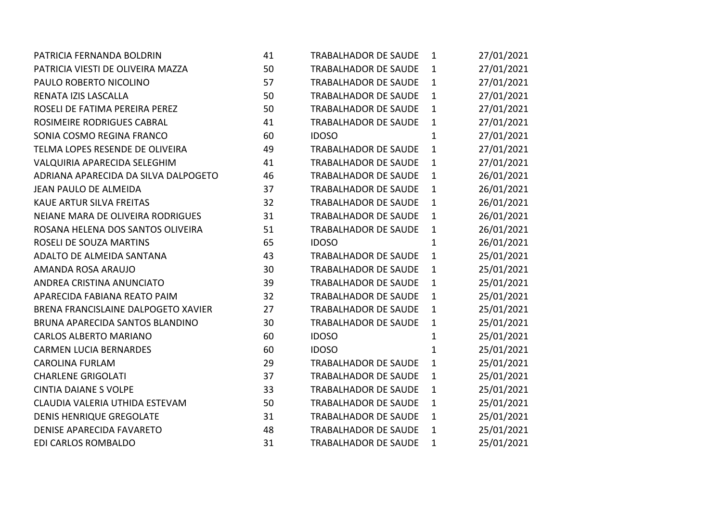| PATRICIA FERNANDA BOLDRIN            | 41 | <b>TRABALHADOR DE SAUDE</b> | $\mathbf{1}$ | 27/01/2021 |
|--------------------------------------|----|-----------------------------|--------------|------------|
| PATRICIA VIESTI DE OLIVEIRA MAZZA    | 50 | TRABALHADOR DE SAUDE        | $\mathbf{1}$ | 27/01/2021 |
| PAULO ROBERTO NICOLINO               | 57 | <b>TRABALHADOR DE SAUDE</b> | $\mathbf{1}$ | 27/01/2021 |
| RENATA IZIS LASCALLA                 | 50 | <b>TRABALHADOR DE SAUDE</b> | $\mathbf{1}$ | 27/01/2021 |
| ROSELI DE FATIMA PEREIRA PEREZ       | 50 | TRABALHADOR DE SAUDE        | $\mathbf{1}$ | 27/01/2021 |
| ROSIMEIRE RODRIGUES CABRAL           | 41 | TRABALHADOR DE SAUDE        | $\mathbf{1}$ | 27/01/2021 |
| SONIA COSMO REGINA FRANCO            | 60 | <b>IDOSO</b>                | $\mathbf{1}$ | 27/01/2021 |
| TELMA LOPES RESENDE DE OLIVEIRA      | 49 | <b>TRABALHADOR DE SAUDE</b> | $\mathbf{1}$ | 27/01/2021 |
| VALQUIRIA APARECIDA SELEGHIM         | 41 | <b>TRABALHADOR DE SAUDE</b> | $\mathbf{1}$ | 27/01/2021 |
| ADRIANA APARECIDA DA SILVA DALPOGETO | 46 | TRABALHADOR DE SAUDE        | $\mathbf{1}$ | 26/01/2021 |
| JEAN PAULO DE ALMEIDA                | 37 | <b>TRABALHADOR DE SAUDE</b> | 1            | 26/01/2021 |
| KAUE ARTUR SILVA FREITAS             | 32 | <b>TRABALHADOR DE SAUDE</b> | $\mathbf{1}$ | 26/01/2021 |
| NEIANE MARA DE OLIVEIRA RODRIGUES    | 31 | <b>TRABALHADOR DE SAUDE</b> | $\mathbf{1}$ | 26/01/2021 |
| ROSANA HELENA DOS SANTOS OLIVEIRA    | 51 | TRABALHADOR DE SAUDE        | $\mathbf{1}$ | 26/01/2021 |
| ROSELI DE SOUZA MARTINS              | 65 | <b>IDOSO</b>                | $\mathbf{1}$ | 26/01/2021 |
| ADALTO DE ALMEIDA SANTANA            | 43 | <b>TRABALHADOR DE SAUDE</b> | $\mathbf{1}$ | 25/01/2021 |
| AMANDA ROSA ARAUJO                   | 30 | <b>TRABALHADOR DE SAUDE</b> | $\mathbf{1}$ | 25/01/2021 |
| ANDREA CRISTINA ANUNCIATO            | 39 | <b>TRABALHADOR DE SAUDE</b> | $\mathbf{1}$ | 25/01/2021 |
| APARECIDA FABIANA REATO PAIM         | 32 | <b>TRABALHADOR DE SAUDE</b> | $\mathbf{1}$ | 25/01/2021 |
| BRENA FRANCISLAINE DALPOGETO XAVIER  | 27 | TRABALHADOR DE SAUDE        | $\mathbf{1}$ | 25/01/2021 |
| BRUNA APARECIDA SANTOS BLANDINO      | 30 | <b>TRABALHADOR DE SAUDE</b> | $\mathbf{1}$ | 25/01/2021 |
| CARLOS ALBERTO MARIANO               | 60 | <b>IDOSO</b>                | $\mathbf{1}$ | 25/01/2021 |
| <b>CARMEN LUCIA BERNARDES</b>        | 60 | <b>IDOSO</b>                | $\mathbf{1}$ | 25/01/2021 |
| <b>CAROLINA FURLAM</b>               | 29 | TRABALHADOR DE SAUDE        | $\mathbf{1}$ | 25/01/2021 |
| <b>CHARLENE GRIGOLATI</b>            | 37 | <b>TRABALHADOR DE SAUDE</b> | $\mathbf{1}$ | 25/01/2021 |
| <b>CINTIA DAIANE S VOLPE</b>         | 33 | <b>TRABALHADOR DE SAUDE</b> | $\mathbf{1}$ | 25/01/2021 |
| CLAUDIA VALERIA UTHIDA ESTEVAM       | 50 | <b>TRABALHADOR DE SAUDE</b> | $\mathbf{1}$ | 25/01/2021 |
| <b>DENIS HENRIQUE GREGOLATE</b>      | 31 | <b>TRABALHADOR DE SAUDE</b> | $\mathbf{1}$ | 25/01/2021 |
| DENISE APARECIDA FAVARETO            | 48 | <b>TRABALHADOR DE SAUDE</b> | $\mathbf{1}$ | 25/01/2021 |
| EDI CARLOS ROMBALDO                  | 31 | <b>TRABALHADOR DE SAUDE</b> | 1            | 25/01/2021 |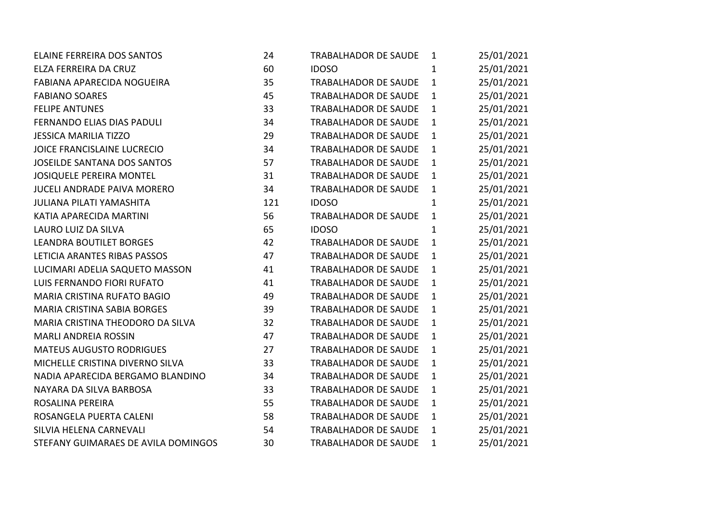| <b>ELAINE FERREIRA DOS SANTOS</b>   | 24  | TRABALHADOR DE SAUDE        | $\mathbf{1}$ | 25/01/2021 |
|-------------------------------------|-----|-----------------------------|--------------|------------|
| ELZA FERREIRA DA CRUZ               | 60  | <b>IDOSO</b>                | $\mathbf{1}$ | 25/01/2021 |
| FABIANA APARECIDA NOGUEIRA          | 35  | TRABALHADOR DE SAUDE        | $\mathbf{1}$ | 25/01/2021 |
| <b>FABIANO SOARES</b>               | 45  | <b>TRABALHADOR DE SAUDE</b> | $\mathbf{1}$ | 25/01/2021 |
| <b>FELIPE ANTUNES</b>               | 33  | <b>TRABALHADOR DE SAUDE</b> | $\mathbf{1}$ | 25/01/2021 |
| FERNANDO ELIAS DIAS PADULI          | 34  | <b>TRABALHADOR DE SAUDE</b> | $\mathbf{1}$ | 25/01/2021 |
| <b>JESSICA MARILIA TIZZO</b>        | 29  | <b>TRABALHADOR DE SAUDE</b> | $\mathbf{1}$ | 25/01/2021 |
| <b>JOICE FRANCISLAINE LUCRECIO</b>  | 34  | <b>TRABALHADOR DE SAUDE</b> | $\mathbf{1}$ | 25/01/2021 |
| <b>JOSEILDE SANTANA DOS SANTOS</b>  | 57  | <b>TRABALHADOR DE SAUDE</b> | $\mathbf{1}$ | 25/01/2021 |
| <b>JOSIQUELE PEREIRA MONTEL</b>     | 31  | TRABALHADOR DE SAUDE        | $\mathbf{1}$ | 25/01/2021 |
| <b>JUCELI ANDRADE PAIVA MORERO</b>  | 34  | TRABALHADOR DE SAUDE        | $\mathbf{1}$ | 25/01/2021 |
| <b>JULIANA PILATI YAMASHITA</b>     | 121 | <b>IDOSO</b>                | $\mathbf{1}$ | 25/01/2021 |
| KATIA APARECIDA MARTINI             | 56  | <b>TRABALHADOR DE SAUDE</b> | $\mathbf{1}$ | 25/01/2021 |
| LAURO LUIZ DA SILVA                 | 65  | <b>IDOSO</b>                | $\mathbf{1}$ | 25/01/2021 |
| <b>LEANDRA BOUTILET BORGES</b>      | 42  | <b>TRABALHADOR DE SAUDE</b> | $\mathbf{1}$ | 25/01/2021 |
| LETICIA ARANTES RIBAS PASSOS        | 47  | TRABALHADOR DE SAUDE        | $\mathbf{1}$ | 25/01/2021 |
| LUCIMARI ADELIA SAQUETO MASSON      | 41  | <b>TRABALHADOR DE SAUDE</b> | $\mathbf{1}$ | 25/01/2021 |
| LUIS FERNANDO FIORI RUFATO          | 41  | <b>TRABALHADOR DE SAUDE</b> | $\mathbf{1}$ | 25/01/2021 |
| MARIA CRISTINA RUFATO BAGIO         | 49  | TRABALHADOR DE SAUDE        | $\mathbf{1}$ | 25/01/2021 |
| <b>MARIA CRISTINA SABIA BORGES</b>  | 39  | TRABALHADOR DE SAUDE        | $\mathbf{1}$ | 25/01/2021 |
| MARIA CRISTINA THEODORO DA SILVA    | 32  | <b>TRABALHADOR DE SAUDE</b> | $\mathbf{1}$ | 25/01/2021 |
| <b>MARLI ANDREIA ROSSIN</b>         | 47  | <b>TRABALHADOR DE SAUDE</b> | $\mathbf{1}$ | 25/01/2021 |
| <b>MATEUS AUGUSTO RODRIGUES</b>     | 27  | <b>TRABALHADOR DE SAUDE</b> | $\mathbf{1}$ | 25/01/2021 |
| MICHELLE CRISTINA DIVERNO SILVA     | 33  | TRABALHADOR DE SAUDE        | $\mathbf{1}$ | 25/01/2021 |
| NADIA APARECIDA BERGAMO BLANDINO    | 34  | <b>TRABALHADOR DE SAUDE</b> | $\mathbf{1}$ | 25/01/2021 |
| NAYARA DA SILVA BARBOSA             | 33  | <b>TRABALHADOR DE SAUDE</b> | $\mathbf{1}$ | 25/01/2021 |
| ROSALINA PEREIRA                    | 55  | <b>TRABALHADOR DE SAUDE</b> | $\mathbf{1}$ | 25/01/2021 |
| ROSANGELA PUERTA CALENI             | 58  | <b>TRABALHADOR DE SAUDE</b> | $\mathbf{1}$ | 25/01/2021 |
| SILVIA HELENA CARNEVALI             | 54  | <b>TRABALHADOR DE SAUDE</b> | $\mathbf{1}$ | 25/01/2021 |
| STEFANY GUIMARAES DE AVILA DOMINGOS | 30  | <b>TRABALHADOR DE SAUDE</b> | 1            | 25/01/2021 |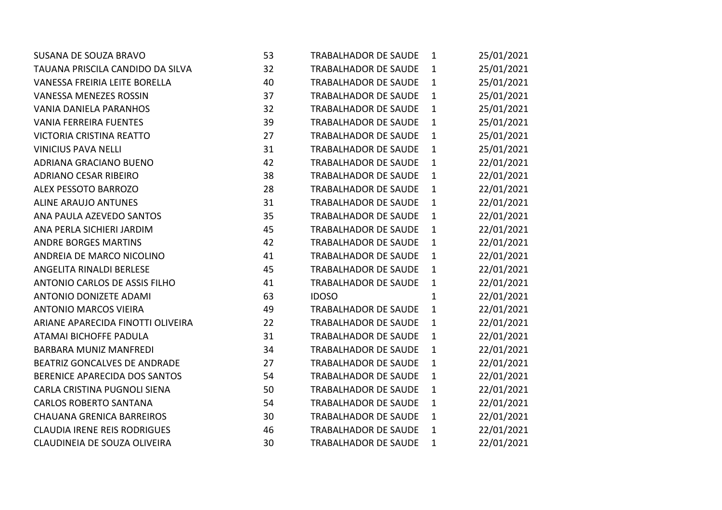| <b>SUSANA DE SOUZA BRAVO</b>        | 53 | <b>TRABALHADOR DE SAUDE</b> | 1            | 25/01/2021 |
|-------------------------------------|----|-----------------------------|--------------|------------|
| TAUANA PRISCILA CANDIDO DA SILVA    | 32 | TRABALHADOR DE SAUDE        | $\mathbf{1}$ | 25/01/2021 |
| VANESSA FREIRIA LEITE BORELLA       | 40 | <b>TRABALHADOR DE SAUDE</b> | $\mathbf{1}$ | 25/01/2021 |
| <b>VANESSA MENEZES ROSSIN</b>       | 37 | <b>TRABALHADOR DE SAUDE</b> | $\mathbf{1}$ | 25/01/2021 |
| <b>VANIA DANIELA PARANHOS</b>       | 32 | <b>TRABALHADOR DE SAUDE</b> | $\mathbf{1}$ | 25/01/2021 |
| <b>VANIA FERREIRA FUENTES</b>       | 39 | <b>TRABALHADOR DE SAUDE</b> | $\mathbf{1}$ | 25/01/2021 |
| <b>VICTORIA CRISTINA REATTO</b>     | 27 | <b>TRABALHADOR DE SAUDE</b> | $\mathbf{1}$ | 25/01/2021 |
| <b>VINICIUS PAVA NELLI</b>          | 31 | <b>TRABALHADOR DE SAUDE</b> | $\mathbf{1}$ | 25/01/2021 |
| ADRIANA GRACIANO BUENO              | 42 | <b>TRABALHADOR DE SAUDE</b> | $\mathbf{1}$ | 22/01/2021 |
| <b>ADRIANO CESAR RIBEIRO</b>        | 38 | TRABALHADOR DE SAUDE        | $\mathbf{1}$ | 22/01/2021 |
| ALEX PESSOTO BARROZO                | 28 | <b>TRABALHADOR DE SAUDE</b> | $\mathbf{1}$ | 22/01/2021 |
| <b>ALINE ARAUJO ANTUNES</b>         | 31 | <b>TRABALHADOR DE SAUDE</b> | $\mathbf{1}$ | 22/01/2021 |
| ANA PAULA AZEVEDO SANTOS            | 35 | <b>TRABALHADOR DE SAUDE</b> | $\mathbf{1}$ | 22/01/2021 |
| ANA PERLA SICHIERI JARDIM           | 45 | <b>TRABALHADOR DE SAUDE</b> | $\mathbf{1}$ | 22/01/2021 |
| <b>ANDRE BORGES MARTINS</b>         | 42 | <b>TRABALHADOR DE SAUDE</b> | $\mathbf{1}$ | 22/01/2021 |
| ANDREIA DE MARCO NICOLINO           | 41 | TRABALHADOR DE SAUDE        | $\mathbf{1}$ | 22/01/2021 |
| <b>ANGELITA RINALDI BERLESE</b>     | 45 | <b>TRABALHADOR DE SAUDE</b> | $\mathbf{1}$ | 22/01/2021 |
| ANTONIO CARLOS DE ASSIS FILHO       | 41 | <b>TRABALHADOR DE SAUDE</b> | $\mathbf{1}$ | 22/01/2021 |
| ANTONIO DONIZETE ADAMI              | 63 | <b>IDOSO</b>                | 1            | 22/01/2021 |
| <b>ANTONIO MARCOS VIEIRA</b>        | 49 | <b>TRABALHADOR DE SAUDE</b> | $\mathbf{1}$ | 22/01/2021 |
| ARIANE APARECIDA FINOTTI OLIVEIRA   | 22 | <b>TRABALHADOR DE SAUDE</b> | $\mathbf{1}$ | 22/01/2021 |
| ATAMAI BICHOFFE PADULA              | 31 | <b>TRABALHADOR DE SAUDE</b> | $\mathbf{1}$ | 22/01/2021 |
| <b>BARBARA MUNIZ MANFREDI</b>       | 34 | <b>TRABALHADOR DE SAUDE</b> | $\mathbf{1}$ | 22/01/2021 |
| BEATRIZ GONCALVES DE ANDRADE        | 27 | <b>TRABALHADOR DE SAUDE</b> | $\mathbf{1}$ | 22/01/2021 |
| BERENICE APARECIDA DOS SANTOS       | 54 | <b>TRABALHADOR DE SAUDE</b> | $\mathbf{1}$ | 22/01/2021 |
| CARLA CRISTINA PUGNOLI SIENA        | 50 | <b>TRABALHADOR DE SAUDE</b> | $\mathbf{1}$ | 22/01/2021 |
| <b>CARLOS ROBERTO SANTANA</b>       | 54 | <b>TRABALHADOR DE SAUDE</b> | $\mathbf{1}$ | 22/01/2021 |
| <b>CHAUANA GRENICA BARREIROS</b>    | 30 | <b>TRABALHADOR DE SAUDE</b> | $\mathbf{1}$ | 22/01/2021 |
| <b>CLAUDIA IRENE REIS RODRIGUES</b> | 46 | <b>TRABALHADOR DE SAUDE</b> | $\mathbf{1}$ | 22/01/2021 |
| CLAUDINEIA DE SOUZA OLIVEIRA        | 30 | <b>TRABALHADOR DE SAUDE</b> | $\mathbf{1}$ | 22/01/2021 |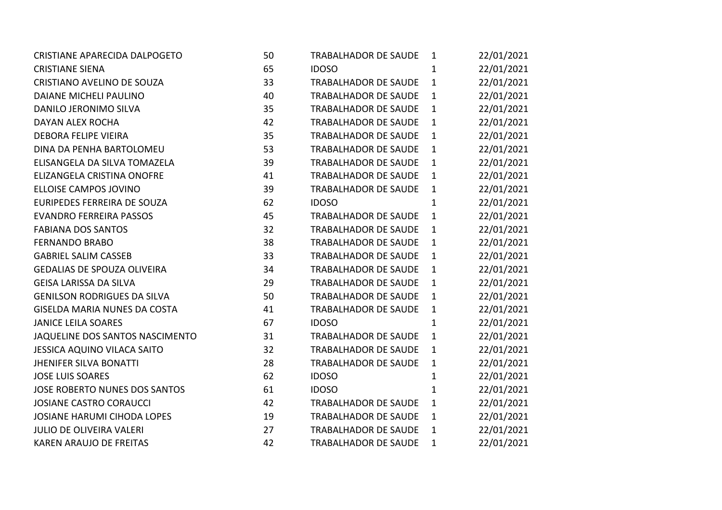| CRISTIANE APARECIDA DALPOGETO       | 50 | TRABALHADOR DE SAUDE        | $\mathbf{1}$ | 22/01/2021 |
|-------------------------------------|----|-----------------------------|--------------|------------|
| <b>CRISTIANE SIENA</b>              | 65 | <b>IDOSO</b>                | $\mathbf{1}$ | 22/01/2021 |
| CRISTIANO AVELINO DE SOUZA          | 33 | <b>TRABALHADOR DE SAUDE</b> | $\mathbf{1}$ | 22/01/2021 |
| <b>DAIANE MICHELI PAULINO</b>       | 40 | <b>TRABALHADOR DE SAUDE</b> | $\mathbf{1}$ | 22/01/2021 |
| DANILO JERONIMO SILVA               | 35 | <b>TRABALHADOR DE SAUDE</b> | $\mathbf{1}$ | 22/01/2021 |
| DAYAN ALEX ROCHA                    | 42 | TRABALHADOR DE SAUDE        | $\mathbf{1}$ | 22/01/2021 |
| <b>DEBORA FELIPE VIEIRA</b>         | 35 | <b>TRABALHADOR DE SAUDE</b> | $\mathbf{1}$ | 22/01/2021 |
| DINA DA PENHA BARTOLOMEU            | 53 | <b>TRABALHADOR DE SAUDE</b> | $\mathbf{1}$ | 22/01/2021 |
| ELISANGELA DA SILVA TOMAZELA        | 39 | <b>TRABALHADOR DE SAUDE</b> | $\mathbf{1}$ | 22/01/2021 |
| ELIZANGELA CRISTINA ONOFRE          | 41 | TRABALHADOR DE SAUDE        | $\mathbf{1}$ | 22/01/2021 |
| ELLOISE CAMPOS JOVINO               | 39 | <b>TRABALHADOR DE SAUDE</b> | $\mathbf{1}$ | 22/01/2021 |
| EURIPEDES FERREIRA DE SOUZA         | 62 | <b>IDOSO</b>                | $\mathbf{1}$ | 22/01/2021 |
| <b>EVANDRO FERREIRA PASSOS</b>      | 45 | <b>TRABALHADOR DE SAUDE</b> | $\mathbf{1}$ | 22/01/2021 |
| <b>FABIANA DOS SANTOS</b>           | 32 | TRABALHADOR DE SAUDE        | $\mathbf{1}$ | 22/01/2021 |
| <b>FERNANDO BRABO</b>               | 38 | <b>TRABALHADOR DE SAUDE</b> | $\mathbf{1}$ | 22/01/2021 |
| <b>GABRIEL SALIM CASSEB</b>         | 33 | <b>TRABALHADOR DE SAUDE</b> | $\mathbf{1}$ | 22/01/2021 |
| <b>GEDALIAS DE SPOUZA OLIVEIRA</b>  | 34 | <b>TRABALHADOR DE SAUDE</b> | $\mathbf{1}$ | 22/01/2021 |
| <b>GEISA LARISSA DA SILVA</b>       | 29 | TRABALHADOR DE SAUDE        | $\mathbf{1}$ | 22/01/2021 |
| <b>GENILSON RODRIGUES DA SILVA</b>  | 50 | <b>TRABALHADOR DE SAUDE</b> | $\mathbf{1}$ | 22/01/2021 |
| <b>GISELDA MARIA NUNES DA COSTA</b> | 41 | <b>TRABALHADOR DE SAUDE</b> | $\mathbf{1}$ | 22/01/2021 |
| <b>JANICE LEILA SOARES</b>          | 67 | <b>IDOSO</b>                | $\mathbf{1}$ | 22/01/2021 |
| JAQUELINE DOS SANTOS NASCIMENTO     | 31 | <b>TRABALHADOR DE SAUDE</b> | $\mathbf{1}$ | 22/01/2021 |
| JESSICA AQUINO VILACA SAITO         | 32 | <b>TRABALHADOR DE SAUDE</b> | $\mathbf{1}$ | 22/01/2021 |
| <b>JHENIFER SILVA BONATTI</b>       | 28 | <b>TRABALHADOR DE SAUDE</b> | $\mathbf{1}$ | 22/01/2021 |
| <b>JOSE LUIS SOARES</b>             | 62 | <b>IDOSO</b>                | $\mathbf{1}$ | 22/01/2021 |
| JOSE ROBERTO NUNES DOS SANTOS       | 61 | <b>IDOSO</b>                | $\mathbf{1}$ | 22/01/2021 |
| <b>JOSIANE CASTRO CORAUCCI</b>      | 42 | <b>TRABALHADOR DE SAUDE</b> | $\mathbf{1}$ | 22/01/2021 |
| <b>JOSIANE HARUMI CIHODA LOPES</b>  | 19 | <b>TRABALHADOR DE SAUDE</b> | $\mathbf{1}$ | 22/01/2021 |
| <b>JULIO DE OLIVEIRA VALERI</b>     | 27 | <b>TRABALHADOR DE SAUDE</b> | $\mathbf{1}$ | 22/01/2021 |
| <b>KAREN ARAUJO DE FREITAS</b>      | 42 | <b>TRABALHADOR DE SAUDE</b> | 1            | 22/01/2021 |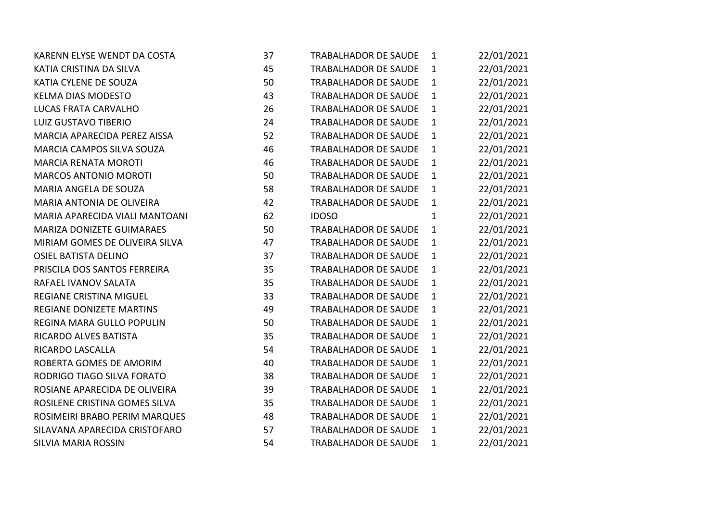| KARENN ELYSE WENDT DA COSTA      | 37 | <b>TRABALHADOR DE SAUDE</b> | $\mathbf{1}$ | 22/01/2021 |
|----------------------------------|----|-----------------------------|--------------|------------|
| KATIA CRISTINA DA SILVA          | 45 | <b>TRABALHADOR DE SAUDE</b> | $\mathbf{1}$ | 22/01/2021 |
| KATIA CYLENE DE SOUZA            | 50 | <b>TRABALHADOR DE SAUDE</b> | $\mathbf{1}$ | 22/01/2021 |
| <b>KELMA DIAS MODESTO</b>        | 43 | <b>TRABALHADOR DE SAUDE</b> | $\mathbf{1}$ | 22/01/2021 |
| LUCAS FRATA CARVALHO             | 26 | <b>TRABALHADOR DE SAUDE</b> | $\mathbf{1}$ | 22/01/2021 |
| LUIZ GUSTAVO TIBERIO             | 24 | TRABALHADOR DE SAUDE        | $\mathbf{1}$ | 22/01/2021 |
| MARCIA APARECIDA PEREZ AISSA     | 52 | <b>TRABALHADOR DE SAUDE</b> | $\mathbf{1}$ | 22/01/2021 |
| MARCIA CAMPOS SILVA SOUZA        | 46 | <b>TRABALHADOR DE SAUDE</b> | $\mathbf{1}$ | 22/01/2021 |
| <b>MARCIA RENATA MOROTI</b>      | 46 | <b>TRABALHADOR DE SAUDE</b> | $\mathbf{1}$ | 22/01/2021 |
| <b>MARCOS ANTONIO MOROTI</b>     | 50 | <b>TRABALHADOR DE SAUDE</b> | $\mathbf{1}$ | 22/01/2021 |
| MARIA ANGELA DE SOUZA            | 58 | TRABALHADOR DE SAUDE        | $\mathbf{1}$ | 22/01/2021 |
| <b>MARIA ANTONIA DE OLIVEIRA</b> | 42 | TRABALHADOR DE SAUDE        | $\mathbf{1}$ | 22/01/2021 |
| MARIA APARECIDA VIALI MANTOANI   | 62 | <b>IDOSO</b>                | $\mathbf{1}$ | 22/01/2021 |
| MARIZA DONIZETE GUIMARAES        | 50 | <b>TRABALHADOR DE SAUDE</b> | $\mathbf{1}$ | 22/01/2021 |
| MIRIAM GOMES DE OLIVEIRA SILVA   | 47 | <b>TRABALHADOR DE SAUDE</b> | $\mathbf{1}$ | 22/01/2021 |
| <b>OSIEL BATISTA DELINO</b>      | 37 | <b>TRABALHADOR DE SAUDE</b> | $\mathbf{1}$ | 22/01/2021 |
| PRISCILA DOS SANTOS FERREIRA     | 35 | <b>TRABALHADOR DE SAUDE</b> | $\mathbf{1}$ | 22/01/2021 |
| RAFAEL IVANOV SALATA             | 35 | TRABALHADOR DE SAUDE        | $\mathbf{1}$ | 22/01/2021 |
| <b>REGIANE CRISTINA MIGUEL</b>   | 33 | <b>TRABALHADOR DE SAUDE</b> | $\mathbf{1}$ | 22/01/2021 |
| <b>REGIANE DONIZETE MARTINS</b>  | 49 | <b>TRABALHADOR DE SAUDE</b> | $\mathbf{1}$ | 22/01/2021 |
| REGINA MARA GULLO POPULIN        | 50 | <b>TRABALHADOR DE SAUDE</b> | $\mathbf{1}$ | 22/01/2021 |
| RICARDO ALVES BATISTA            | 35 | <b>TRABALHADOR DE SAUDE</b> | $\mathbf{1}$ | 22/01/2021 |
| RICARDO LASCALLA                 | 54 | TRABALHADOR DE SAUDE        | $\mathbf{1}$ | 22/01/2021 |
| ROBERTA GOMES DE AMORIM          | 40 | TRABALHADOR DE SAUDE        | $\mathbf{1}$ | 22/01/2021 |
| RODRIGO TIAGO SILVA FORATO       | 38 | <b>TRABALHADOR DE SAUDE</b> | $\mathbf{1}$ | 22/01/2021 |
| ROSIANE APARECIDA DE OLIVEIRA    | 39 | <b>TRABALHADOR DE SAUDE</b> | $\mathbf{1}$ | 22/01/2021 |
| ROSILENE CRISTINA GOMES SILVA    | 35 | <b>TRABALHADOR DE SAUDE</b> | $\mathbf{1}$ | 22/01/2021 |
| ROSIMEIRI BRABO PERIM MARQUES    | 48 | <b>TRABALHADOR DE SAUDE</b> | $\mathbf{1}$ | 22/01/2021 |
| SILAVANA APARECIDA CRISTOFARO    | 57 | TRABALHADOR DE SAUDE        | $\mathbf{1}$ | 22/01/2021 |
| <b>SILVIA MARIA ROSSIN</b>       | 54 | <b>TRABALHADOR DE SAUDE</b> | 1            | 22/01/2021 |